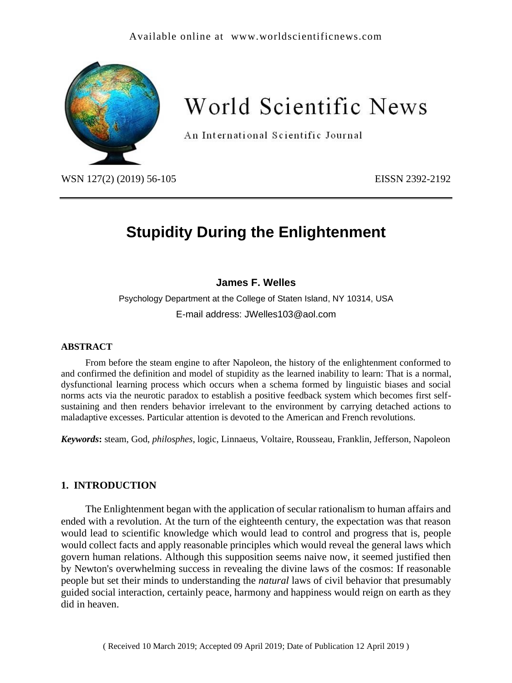# Available online at [www.worldscientificnews.com](http://www.worldscientificnews.com/)



# World Scientific News

An International Scientific Journal

WSN 127(2) (2019) 56-105 EISSN 2392-2192

# **Stupidity During the Enlightenment**

# **James F. Welles**

Psychology Department at the College of Staten Island, NY 10314, USA E-mail address: JWelles103@aol.com

#### **ABSTRACT**

From before the steam engine to after Napoleon, the history of the enlightenment conformed to and confirmed the definition and model of stupidity as the learned inability to learn: That is a normal, dysfunctional learning process which occurs when a schema formed by linguistic biases and social norms acts via the neurotic paradox to establish a positive feedback system which becomes first selfsustaining and then renders behavior irrelevant to the environment by carrying detached actions to maladaptive excesses. Particular attention is devoted to the American and French revolutions.

*Keywords***:** steam, God, *philosphes*, logic, Linnaeus, Voltaire, Rousseau, Franklin, Jefferson, Napoleon

# **1. INTRODUCTION**

The Enlightenment began with the application of secular rationalism to human affairs and ended with a revolution. At the turn of the eighteenth century, the expectation was that reason would lead to scientific knowledge which would lead to control and progress that is, people would collect facts and apply reasonable principles which would reveal the general laws which govern human relations. Although this supposition seems naive now, it seemed justified then by Newton's overwhelming success in revealing the divine laws of the cosmos: If reasonable people but set their minds to understanding the *natural* laws of civil behavior that presumably guided social interaction, certainly peace, harmony and happiness would reign on earth as they did in heaven.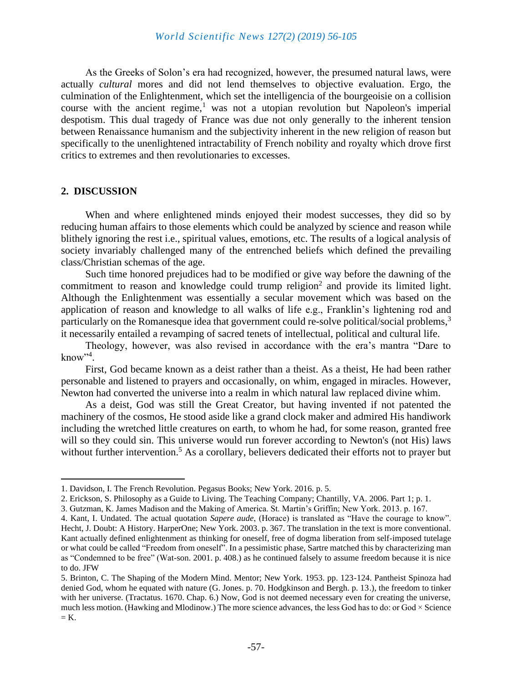As the Greeks of Solon's era had recognized, however, the presumed natural laws, were actually *cultural* mores and did not lend themselves to objective evaluation. Ergo, the culmination of the Enlightenment, which set the intelligencia of the bourgeoisie on a collision course with the ancient regime, $<sup>1</sup>$  was not a utopian revolution but Napoleon's imperial</sup> despotism. This dual tragedy of France was due not only generally to the inherent tension between Renaissance humanism and the subjectivity inherent in the new religion of reason but specifically to the unenlightened intractability of French nobility and royalty which drove first critics to extremes and then revolutionaries to excesses.

#### **2. DISCUSSION**

When and where enlightened minds enjoyed their modest successes, they did so by reducing human affairs to those elements which could be analyzed by science and reason while blithely ignoring the rest i.e., spiritual values, emotions, etc. The results of a logical analysis of society invariably challenged many of the entrenched beliefs which defined the prevailing class/Christian schemas of the age.

Such time honored prejudices had to be modified or give way before the dawning of the commitment to reason and knowledge could trump religion<sup>2</sup> and provide its limited light. Although the Enlightenment was essentially a secular movement which was based on the application of reason and knowledge to all walks of life e.g., Franklin's lightening rod and particularly on the Romanesque idea that government could re-solve political/social problems,<sup>3</sup> it necessarily entailed a revamping of sacred tenets of intellectual, political and cultural life.

Theology, however, was also revised in accordance with the era's mantra "Dare to know"<sup>4</sup> .

First, God became known as a deist rather than a theist. As a theist, He had been rather personable and listened to prayers and occasionally, on whim, engaged in miracles. However, Newton had converted the universe into a realm in which natural law replaced divine whim.

As a deist, God was still the Great Creator, but having invented if not patented the machinery of the cosmos, He stood aside like a grand clock maker and admired His handiwork including the wretched little creatures on earth, to whom he had, for some reason, granted free will so they could sin. This universe would run forever according to Newton's (not His) laws without further intervention.<sup>5</sup> As a corollary, believers dedicated their efforts not to prayer but

<sup>1.</sup> Davidson, I. The French Revolution. Pegasus Books; New York. 2016. p. 5.

<sup>2.</sup> Erickson, S. Philosophy as a Guide to Living. The Teaching Company; Chantilly, VA. 2006. Part 1; p. 1.

<sup>3.</sup> Gutzman, K. James Madison and the Making of America. St. Martin's Griffin; New York. 2013. p. 167.

<sup>4.</sup> Kant, I. Undated. The actual quotation *Sapere aude*, (Horace) is translated as "Have the courage to know". Hecht, J. Doubt: A History. HarperOne; New York. 2003. p. 367. The translation in the text is more conventional. Kant actually defined enlightenment as thinking for oneself, free of dogma liberation from self-imposed tutelage or what could be called "Freedom from oneself". In a pessimistic phase, Sartre matched this by characterizing man as "Condemned to be free" (Wat-son. 2001. p. 408.) as he continued falsely to assume freedom because it is nice to do. JFW

<sup>5.</sup> Brinton, C. The Shaping of the Modern Mind. Mentor; New York. 1953. pp. 123-124. Pantheist Spinoza had denied God, whom he equated with nature (G. Jones. p. 70. Hodgkinson and Bergh. p. 13.), the freedom to tinker with her universe. (Tractatus. 1670. Chap. 6.) Now, God is not deemed necessary even for creating the universe, much less motion. (Hawking and Mlodinow.) The more science advances, the less God has to do: or God  $\times$  Science  $=$  K.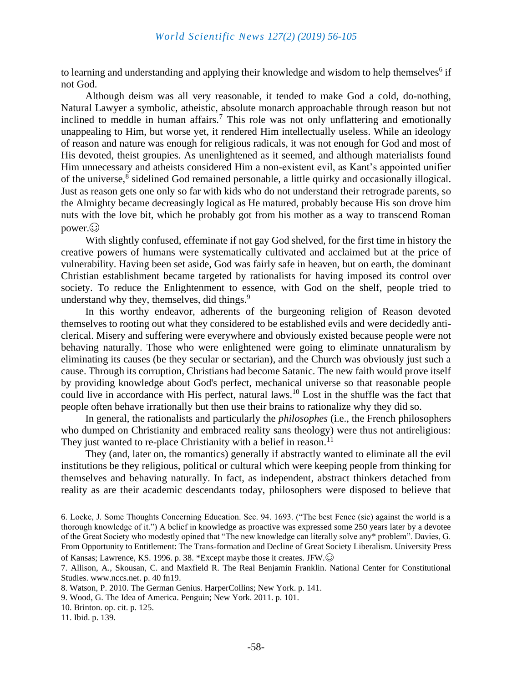to learning and understanding and applying their knowledge and wisdom to help themselves<sup>6</sup> if not God.

Although deism was all very reasonable, it tended to make God a cold, do-nothing, Natural Lawyer a symbolic, atheistic, absolute monarch approachable through reason but not inclined to meddle in human affairs.<sup>7</sup> This role was not only unflattering and emotionally unappealing to Him, but worse yet, it rendered Him intellectually useless. While an ideology of reason and nature was enough for religious radicals, it was not enough for God and most of His devoted, theist groupies. As unenlightened as it seemed, and although materialists found Him unnecessary and atheists considered Him a non-existent evil, as Kant's appointed unifier of the universe,<sup>8</sup> sidelined God remained personable, a little quirky and occasionally illogical. Just as reason gets one only so far with kids who do not understand their retrograde parents, so the Almighty became decreasingly logical as He matured, probably because His son drove him nuts with the love bit, which he probably got from his mother as a way to transcend Roman  $power$ . $\odot$ 

With slightly confused, effeminate if not gay God shelved, for the first time in history the creative powers of humans were systematically cultivated and acclaimed but at the price of vulnerability. Having been set aside, God was fairly safe in heaven, but on earth, the dominant Christian establishment became targeted by rationalists for having imposed its control over society. To reduce the Enlightenment to essence, with God on the shelf, people tried to understand why they, themselves, did things.<sup>9</sup>

In this worthy endeavor, adherents of the burgeoning religion of Reason devoted themselves to rooting out what they considered to be established evils and were decidedly anticlerical. Misery and suffering were everywhere and obviously existed because people were not behaving naturally. Those who were enlightened were going to eliminate unnaturalism by eliminating its causes (be they secular or sectarian), and the Church was obviously just such a cause. Through its corruption, Christians had become Satanic. The new faith would prove itself by providing knowledge about God's perfect, mechanical universe so that reasonable people could live in accordance with His perfect, natural laws.<sup>10</sup> Lost in the shuffle was the fact that people often behave irrationally but then use their brains to rationalize why they did so.

In general, the rationalists and particularly the *philosophes* (i.e., the French philosophers who dumped on Christianity and embraced reality sans theology) were thus not antireligious: They just wanted to re-place Christianity with a belief in reason.<sup>11</sup>

They (and, later on, the romantics) generally if abstractly wanted to eliminate all the evil institutions be they religious, political or cultural which were keeping people from thinking for themselves and behaving naturally. In fact, as independent, abstract thinkers detached from reality as are their academic descendants today, philosophers were disposed to believe that

<sup>6.</sup> Locke, J. Some Thoughts Concerning Education. Sec. 94. 1693. ("The best Fence (sic) against the world is a thorough knowledge of it.") A belief in knowledge as proactive was expressed some 250 years later by a devotee of the Great Society who modestly opined that "The new knowledge can literally solve any\* problem". Davies, G. From Opportunity to Entitlement: The Trans-formation and Decline of Great Society Liberalism. University Press of Kansas; Lawrence, KS. 1996. p. 38. \*Except maybe those it creates. JFW.

<sup>7.</sup> Allison, A., Skousan, C. and Maxfield R. The Real Benjamin Franklin. National Center for Constitutional Studies. [www.nccs.net.](http://www.nccs.net./) p. 40 fn19.

<sup>8.</sup> Watson, P. 2010. The German Genius. HarperCollins; New York. p. 141.

<sup>9.</sup> Wood, G. The Idea of America. Penguin; New York. 2011. p. 101.

<sup>10.</sup> Brinton. op. cit. p. 125.

<sup>11.</sup> Ibid. p. 139.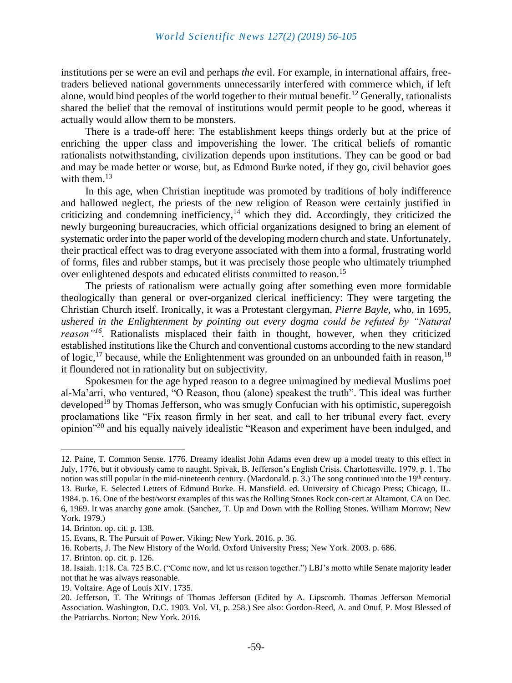institutions per se were an evil and perhaps *the* evil. For example, in international affairs, freetraders believed national governments unnecessarily interfered with commerce which, if left alone, would bind peoples of the world together to their mutual benefit.<sup>12</sup> Generally, rationalists shared the belief that the removal of institutions would permit people to be good, whereas it actually would allow them to be monsters.

There is a trade-off here: The establishment keeps things orderly but at the price of enriching the upper class and impoverishing the lower. The critical beliefs of romantic rationalists notwithstanding, civilization depends upon institutions. They can be good or bad and may be made better or worse, but, as Edmond Burke noted, if they go, civil behavior goes with them. $13$ 

In this age, when Christian ineptitude was promoted by traditions of holy indifference and hallowed neglect, the priests of the new religion of Reason were certainly justified in criticizing and condemning inefficiency,<sup>14</sup> which they did. Accordingly, they criticized the newly burgeoning bureaucracies, which official organizations designed to bring an element of systematic order into the paper world of the developing modern church and state. Unfortunately, their practical effect was to drag everyone associated with them into a formal, frustrating world of forms, files and rubber stamps, but it was precisely those people who ultimately triumphed over enlightened despots and educated elitists committed to reason.<sup>15</sup>

The priests of rationalism were actually going after something even more formidable theologically than general or over-organized clerical inefficiency: They were targeting the Christian Church itself. Ironically, it was a Protestant clergyman, *Pierre Bayle,* who, in 1695, *ushered in the Enlightenment by pointing out every dogma could be refuted by "Natural reason"<sup>16</sup> .* Rationalists misplaced their faith in thought, however, when they criticized established institutions like the Church and conventional customs according to the new standard of logic,  $^{17}$  because, while the Enlightenment was grounded on an unbounded faith in reason,  $^{18}$ it floundered not in rationality but on subjectivity.

Spokesmen for the age hyped reason to a degree unimagined by medieval Muslims poet al-Ma'arri, who ventured, "O Reason, thou (alone) speakest the truth". This ideal was further developed<sup>19</sup> by Thomas Jefferson, who was smugly Confucian with his optimistic, superegoish proclamations like "Fix reason firmly in her seat, and call to her tribunal every fact, every opinion"<sup>20</sup> and his equally naively idealistic "Reason and experiment have been indulged, and

16. Roberts, J. The New History of the World. Oxford University Press; New York. 2003. p. 686.

19. Voltaire. Age of Louis XIV. 1735.

<sup>12.</sup> Paine, T. Common Sense. 1776. Dreamy idealist John Adams even drew up a model treaty to this effect in July, 1776, but it obviously came to naught. Spivak, B. Jefferson's English Crisis. Charlottesville. 1979. p. 1. The notion was still popular in the mid-nineteenth century. (Macdonald. p. 3.) The song continued into the 19<sup>th</sup> century. 13. Burke, E. Selected Letters of Edmund Burke. H. Mansfield. ed. University of Chicago Press; Chicago, IL. 1984. p. 16. One of the best/worst examples of this was the Rolling Stones Rock con-cert at Altamont, CA on Dec. 6, 1969. It was anarchy gone amok. (Sanchez, T. Up and Down with the Rolling Stones. William Morrow; New York. 1979.)

<sup>14.</sup> Brinton. op. cit. p. 138.

<sup>15.</sup> Evans, R. The Pursuit of Power. Viking; New York. 2016. p. 36.

<sup>17.</sup> Brinton. op. cit. p. 126.

<sup>18.</sup> Isaiah. 1:18. Ca. 725 B.C. ("Come now, and let us reason together.") LBJ's motto while Senate majority leader not that he was always reasonable.

<sup>20.</sup> Jefferson, T. The Writings of Thomas Jefferson (Edited by A. Lipscomb. Thomas Jefferson Memorial Association. Washington, D.C. 1903. Vol. VI, p. 258.) See also: Gordon-Reed, A. and Onuf, P. Most Blessed of the Patriarchs. Norton; New York. 2016.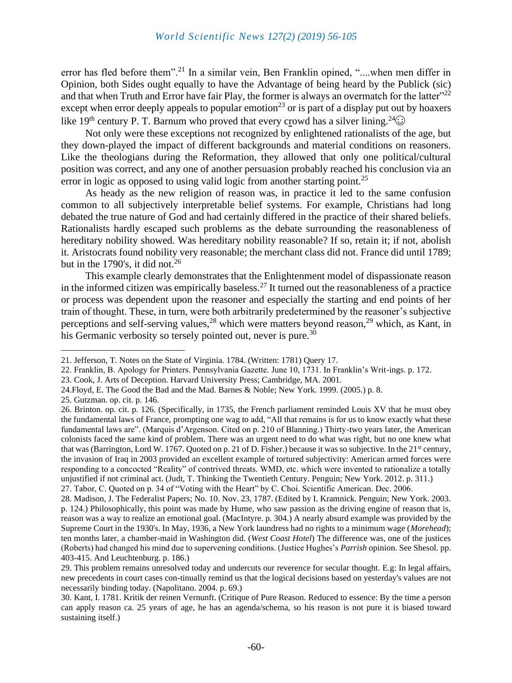error has fled before them".<sup>21</sup> In a similar vein, Ben Franklin opined, "..., when men differ in Opinion, both Sides ought equally to have the Advantage of being heard by the Publick (sic) and that when Truth and Error have fair Play, the former is always an overmatch for the latter"<sup>22</sup> except when error deeply appeals to popular emotion<sup>23</sup> or is part of a display put out by hoaxers like 19<sup>th</sup> century P. T. Barnum who proved that every crowd has a silver lining.<sup>24</sup> $\odot$ 

Not only were these exceptions not recognized by enlightened rationalists of the age, but they down-played the impact of different backgrounds and material conditions on reasoners. Like the theologians during the Reformation, they allowed that only one political/cultural position was correct, and any one of another persuasion probably reached his conclusion via an error in logic as opposed to using valid logic from another starting point.<sup>25</sup>

As heady as the new religion of reason was, in practice it led to the same confusion common to all subjectively interpretable belief systems. For example, Christians had long debated the true nature of God and had certainly differed in the practice of their shared beliefs. Rationalists hardly escaped such problems as the debate surrounding the reasonableness of hereditary nobility showed. Was hereditary nobility reasonable? If so, retain it; if not, abolish it. Aristocrats found nobility very reasonable; the merchant class did not. France did until 1789; but in the 1790's, it did not.<sup>26</sup>

This example clearly demonstrates that the Enlightenment model of dispassionate reason in the informed citizen was empirically baseless.<sup>27</sup> It turned out the reasonableness of a practice or process was dependent upon the reasoner and especially the starting and end points of her train of thought. These, in turn, were both arbitrarily predetermined by the reasoner's subjective perceptions and self-serving values,<sup>28</sup> which were matters beyond reason,<sup>29</sup> which, as Kant, in his Germanic verbosity so tersely pointed out, never is pure.<sup>30</sup>

24.Floyd, E. The Good the Bad and the Mad. Barnes & Noble; New York. 1999. (2005.) p. 8.

<sup>21.</sup> Jefferson, T. Notes on the State of Virginia. 1784. (Written: 1781) Query 17.

<sup>22.</sup> Franklin, B. Apology for Printers. Pennsylvania Gazette. June 10, 1731. In Franklin's Writ-ings. p. 172.

<sup>23.</sup> Cook, J. Arts of Deception. Harvard University Press; Cambridge, MA. 2001.

<sup>25.</sup> Gutzman. op. cit. p. 146.

<sup>26.</sup> Brinton. op. cit. p. 126. (Specifically, in 1735, the French parliament reminded Louis XV that he must obey the fundamental laws of France, prompting one wag to add, "All that remains is for us to know exactly what these fundamental laws are". (Marquis d'Argenson. Cited on p. 210 of Blanning.) Thirty-two years later, the American colonists faced the same kind of problem. There was an urgent need to do what was right, but no one knew what that was (Barrington, Lord W. 1767. Quoted on p. 21 of D. Fisher.) because it was so subjective. In the 21<sup>st</sup> century, the invasion of Iraq in 2003 provided an excellent example of tortured subjectivity: American armed forces were responding to a concocted "Reality" of contrived threats. WMD, etc. which were invented to rationalize a totally unjustified if not criminal act. (Judt, T. Thinking the Twentieth Century. Penguin; New York. 2012. p. 311.) 27. Tabor, C. Quoted on p. 34 of "Voting with the Heart" by C. Choi. Scientific American. Dec. 2006.

<sup>28.</sup> Madison, J. The Federalist Papers; No. 10. Nov. 23, 1787. (Edited by I. Kramnick. Penguin; New York. 2003. p. 124.) Philosophically, this point was made by Hume, who saw passion as the driving engine of reason that is, reason was a way to realize an emotional goal. (MacIntyre. p. 304.) A nearly absurd example was provided by the Supreme Court in the 1930's. In May, 1936, a New York laundress had no rights to a minimum wage (*Morehead*); ten months later, a chamber-maid in Washington did. (*West Coast Hotel*) The difference was, one of the justices (Roberts) had changed his mind due to supervening conditions. (Justice Hughes's *Parrish* opinion. See Shesol. pp. 403-415. And Leuchtenburg. p. 186.)

<sup>29.</sup> This problem remains unresolved today and undercuts our reverence for secular thought. E.g: In legal affairs, new precedents in court cases con-tinually remind us that the logical decisions based on yesterday's values are not necessarily binding today. (Napolitano. 2004. p. 69.)

<sup>30.</sup> Kant, I. 1781. Kritik der reinen Vernunft. (Critique of Pure Reason. Reduced to essence: By the time a person can apply reason ca. 25 years of age, he has an agenda/schema, so his reason is not pure it is biased toward sustaining itself.)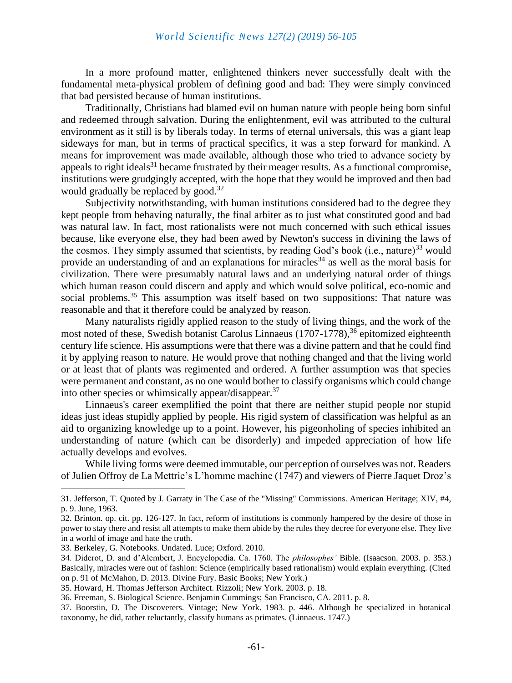In a more profound matter, enlightened thinkers never successfully dealt with the fundamental meta-physical problem of defining good and bad: They were simply convinced that bad persisted because of human institutions.

Traditionally, Christians had blamed evil on human nature with people being born sinful and redeemed through salvation. During the enlightenment, evil was attributed to the cultural environment as it still is by liberals today. In terms of eternal universals, this was a giant leap sideways for man, but in terms of practical specifics, it was a step forward for mankind. A means for improvement was made available, although those who tried to advance society by appeals to right ideals<sup>31</sup> became frustrated by their meager results. As a functional compromise, institutions were grudgingly accepted, with the hope that they would be improved and then bad would gradually be replaced by good.<sup>32</sup>

Subjectivity notwithstanding, with human institutions considered bad to the degree they kept people from behaving naturally, the final arbiter as to just what constituted good and bad was natural law. In fact, most rationalists were not much concerned with such ethical issues because, like everyone else, they had been awed by Newton's success in divining the laws of the cosmos. They simply assumed that scientists, by reading God's book (i.e., nature)<sup>33</sup> would provide an understanding of and an explanations for miracles<sup>34</sup> as well as the moral basis for civilization. There were presumably natural laws and an underlying natural order of things which human reason could discern and apply and which would solve political, eco-nomic and social problems.<sup>35</sup> This assumption was itself based on two suppositions: That nature was reasonable and that it therefore could be analyzed by reason.

Many naturalists rigidly applied reason to the study of living things, and the work of the most noted of these, Swedish botanist Carolus Linnaeus  $(1707-1778)$ ,<sup>36</sup> epitomized eighteenth century life science. His assumptions were that there was a divine pattern and that he could find it by applying reason to nature. He would prove that nothing changed and that the living world or at least that of plants was regimented and ordered. A further assumption was that species were permanent and constant, as no one would bother to classify organisms which could change into other species or whimsically appear/disappear.<sup>37</sup>

Linnaeus's career exemplified the point that there are neither stupid people nor stupid ideas just ideas stupidly applied by people. His rigid system of classification was helpful as an aid to organizing knowledge up to a point. However, his pigeonholing of species inhibited an understanding of nature (which can be disorderly) and impeded appreciation of how life actually develops and evolves.

While living forms were deemed immutable, our perception of ourselves was not. Readers of Julien Offroy de La Mettrie's L'homme machine (1747) and viewers of Pierre Jaquet Droz's

<sup>31.</sup> Jefferson, T. Quoted by J. Garraty in The Case of the "Missing" Commissions. American Heritage; XIV, #4, p. 9. June, 1963.

<sup>32.</sup> Brinton. op. cit. pp. 126-127. In fact, reform of institutions is commonly hampered by the desire of those in power to stay there and resist all attempts to make them abide by the rules they decree for everyone else. They live in a world of image and hate the truth.

<sup>33.</sup> Berkeley, G. Notebooks. Undated. Luce; Oxford. 2010.

<sup>34.</sup> Diderot, D. and d'Alembert, J. Encyclopedia. Ca. 1760. The *philosophes'* Bible. (Isaacson. 2003. p. 353.) Basically, miracles were out of fashion: Science (empirically based rationalism) would explain everything. (Cited on p. 91 of McMahon, D. 2013. Divine Fury. Basic Books; New York.)

<sup>35.</sup> Howard, H. Thomas Jefferson Architect. Rizzoli; New York. 2003. p. 18.

<sup>36.</sup> Freeman, S. Biological Science. Benjamin Cummings; San Francisco, CA. 2011. p. 8.

<sup>37.</sup> Boorstin, D. The Discoverers. Vintage; New York. 1983. p. 446. Although he specialized in botanical taxonomy, he did, rather reluctantly, classify humans as primates. (Linnaeus. 1747.)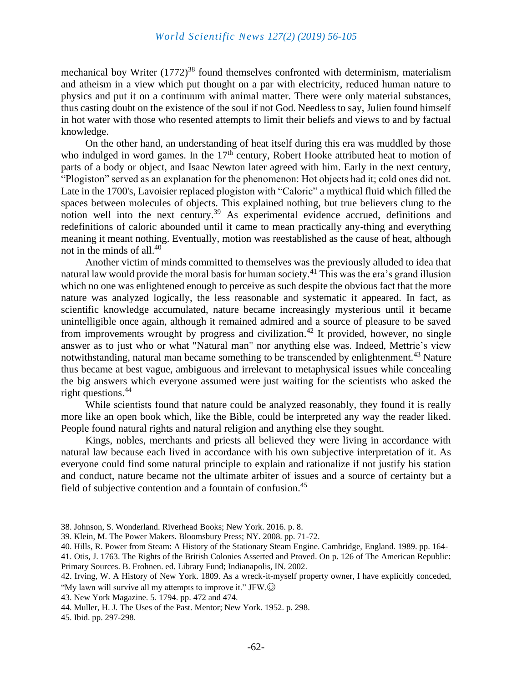mechanical boy Writer  $(1772)^{38}$  found themselves confronted with determinism, materialism and atheism in a view which put thought on a par with electricity, reduced human nature to physics and put it on a continuum with animal matter. There were only material substances, thus casting doubt on the existence of the soul if not God. Needless to say, Julien found himself in hot water with those who resented attempts to limit their beliefs and views to and by factual knowledge.

On the other hand, an understanding of heat itself during this era was muddled by those who indulged in word games. In the  $17<sup>th</sup>$  century, Robert Hooke attributed heat to motion of parts of a body or object, and Isaac Newton later agreed with him. Early in the next century, "Plogiston" served as an explanation for the phenomenon: Hot objects had it; cold ones did not. Late in the 1700's, Lavoisier replaced plogiston with "Caloric" a mythical fluid which filled the spaces between molecules of objects. This explained nothing, but true believers clung to the notion well into the next century.<sup>39</sup> As experimental evidence accrued, definitions and redefinitions of caloric abounded until it came to mean practically any-thing and everything meaning it meant nothing. Eventually, motion was reestablished as the cause of heat, although not in the minds of all.<sup>40</sup>

Another victim of minds committed to themselves was the previously alluded to idea that natural law would provide the moral basis for human society.<sup>41</sup> This was the era's grand illusion which no one was enlightened enough to perceive as such despite the obvious fact that the more nature was analyzed logically, the less reasonable and systematic it appeared. In fact, as scientific knowledge accumulated, nature became increasingly mysterious until it became unintelligible once again, although it remained admired and a source of pleasure to be saved from improvements wrought by progress and civilization.<sup>42</sup> It provided, however, no single answer as to just who or what "Natural man" nor anything else was. Indeed, Mettrie's view notwithstanding, natural man became something to be transcended by enlightenment.<sup>43</sup> Nature thus became at best vague, ambiguous and irrelevant to metaphysical issues while concealing the big answers which everyone assumed were just waiting for the scientists who asked the right questions.<sup>44</sup>

While scientists found that nature could be analyzed reasonably, they found it is really more like an open book which, like the Bible, could be interpreted any way the reader liked. People found natural rights and natural religion and anything else they sought.

Kings, nobles, merchants and priests all believed they were living in accordance with natural law because each lived in accordance with his own subjective interpretation of it. As everyone could find some natural principle to explain and rationalize if not justify his station and conduct, nature became not the ultimate arbiter of issues and a source of certainty but a field of subjective contention and a fountain of confusion.<sup>45</sup>

<sup>38.</sup> Johnson, S. Wonderland. Riverhead Books; New York. 2016. p. 8.

<sup>39.</sup> Klein, M. The Power Makers. Bloomsbury Press; NY. 2008. pp. 71-72.

<sup>40.</sup> Hills, R. Power from Steam: A History of the Stationary Steam Engine. Cambridge, England. 1989. pp. 164-

<sup>41.</sup> Otis, J. 1763. The Rights of the British Colonies Asserted and Proved. On p. 126 of The American Republic: Primary Sources. B. Frohnen. ed. Library Fund; Indianapolis, IN. 2002.

<sup>42.</sup> Irving, W. A History of New York. 1809. As a wreck-it-myself property owner, I have explicitly conceded, "My lawn will survive all my attempts to improve it." JFW. $\odot$ 

<sup>43.</sup> New York Magazine. 5. 1794. pp. 472 and 474.

<sup>44.</sup> Muller, H. J. The Uses of the Past. Mentor; New York. 1952. p. 298.

<sup>45.</sup> Ibid. pp. 297-298.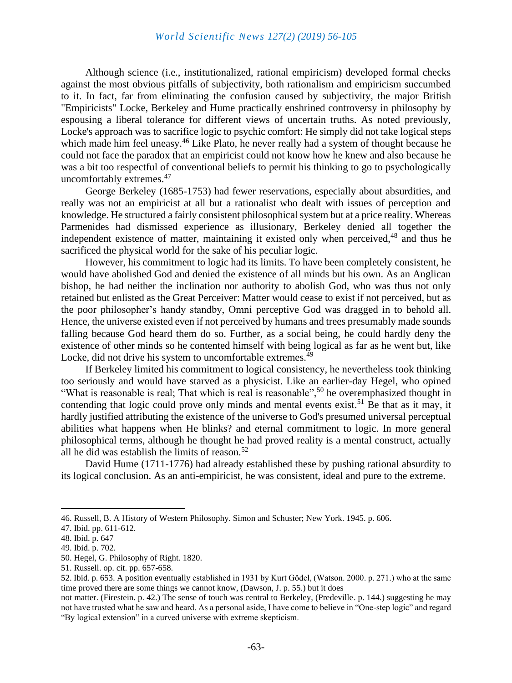Although science (i.e., institutionalized, rational empiricism) developed formal checks against the most obvious pitfalls of subjectivity, both rationalism and empiricism succumbed to it. In fact, far from eliminating the confusion caused by subjectivity, the major British "Empiricists" Locke, Berkeley and Hume practically enshrined controversy in philosophy by espousing a liberal tolerance for different views of uncertain truths. As noted previously, Locke's approach was to sacrifice logic to psychic comfort: He simply did not take logical steps which made him feel uneasy.<sup>46</sup> Like Plato, he never really had a system of thought because he could not face the paradox that an empiricist could not know how he knew and also because he was a bit too respectful of conventional beliefs to permit his thinking to go to psychologically uncomfortably extremes.<sup>47</sup>

George Berkeley (1685-1753) had fewer reservations, especially about absurdities, and really was not an empiricist at all but a rationalist who dealt with issues of perception and knowledge. He structured a fairly consistent philosophical system but at a price reality. Whereas Parmenides had dismissed experience as illusionary, Berkeley denied all together the independent existence of matter, maintaining it existed only when perceived,  $48$  and thus he sacrificed the physical world for the sake of his peculiar logic.

However, his commitment to logic had its limits. To have been completely consistent, he would have abolished God and denied the existence of all minds but his own. As an Anglican bishop, he had neither the inclination nor authority to abolish God, who was thus not only retained but enlisted as the Great Perceiver: Matter would cease to exist if not perceived, but as the poor philosopher's handy standby, Omni perceptive God was dragged in to behold all. Hence, the universe existed even if not perceived by humans and trees presumably made sounds falling because God heard them do so. Further, as a social being, he could hardly deny the existence of other minds so he contented himself with being logical as far as he went but, like Locke, did not drive his system to uncomfortable extremes.<sup>49</sup>

If Berkeley limited his commitment to logical consistency, he nevertheless took thinking too seriously and would have starved as a physicist. Like an earlier-day Hegel, who opined "What is reasonable is real; That which is real is reasonable",<sup>50</sup> he overemphasized thought in contending that logic could prove only minds and mental events exist.<sup>51</sup> Be that as it may, it hardly justified attributing the existence of the universe to God's presumed universal perceptual abilities what happens when He blinks? and eternal commitment to logic. In more general philosophical terms, although he thought he had proved reality is a mental construct, actually all he did was establish the limits of reason.<sup>52</sup>

David Hume (1711-1776) had already established these by pushing rational absurdity to its logical conclusion. As an anti-empiricist, he was consistent, ideal and pure to the extreme.

<sup>46.</sup> Russell, B. A History of Western Philosophy. Simon and Schuster; New York. 1945. p. 606.

<sup>47.</sup> Ibid. pp. 611-612.

<sup>48.</sup> Ibid. p. 647

<sup>49.</sup> Ibid. p. 702.

<sup>50.</sup> Hegel, G. Philosophy of Right. 1820.

<sup>51.</sup> Russell. op. cit. pp. 657-658.

<sup>52.</sup> Ibid. p. 653. A position eventually established in 1931 by Kurt Gödel, (Watson. 2000. p. 271.) who at the same time proved there are some things we cannot know, (Dawson, J. p. 55.) but it does

not matter. (Firestein. p. 42.) The sense of touch was central to Berkeley, (Predeville. p. 144.) suggesting he may not have trusted what he saw and heard. As a personal aside, I have come to believe in "One-step logic" and regard "By logical extension" in a curved universe with extreme skepticism.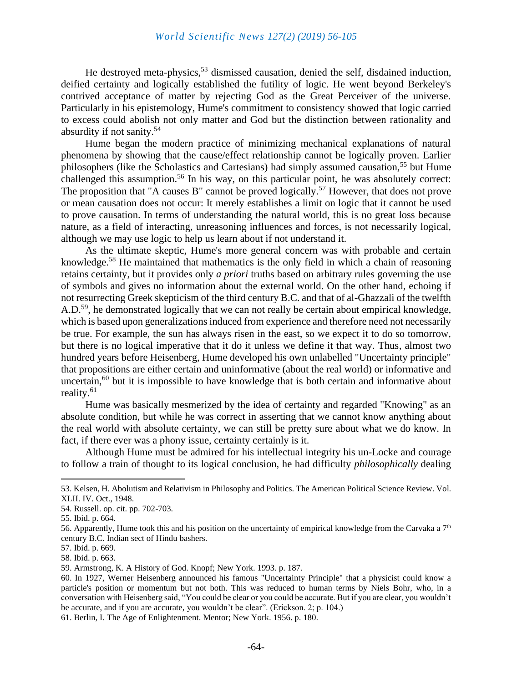He destroved meta-physics,  $53$  dismissed causation, denied the self, disdained induction, deified certainty and logically established the futility of logic. He went beyond Berkeley's contrived acceptance of matter by rejecting God as the Great Perceiver of the universe. Particularly in his epistemology, Hume's commitment to consistency showed that logic carried to excess could abolish not only matter and God but the distinction between rationality and absurdity if not sanity.<sup>54</sup>

Hume began the modern practice of minimizing mechanical explanations of natural phenomena by showing that the cause/effect relationship cannot be logically proven. Earlier philosophers (like the Scholastics and Cartesians) had simply assumed causation,<sup>55</sup> but Hume challenged this assumption.<sup>56</sup> In his way, on this particular point, he was absolutely correct: The proposition that "A causes B" cannot be proved logically.<sup>57</sup> However, that does not prove or mean causation does not occur: It merely establishes a limit on logic that it cannot be used to prove causation. In terms of understanding the natural world, this is no great loss because nature, as a field of interacting, unreasoning influences and forces, is not necessarily logical, although we may use logic to help us learn about if not understand it.

As the ultimate skeptic, Hume's more general concern was with probable and certain knowledge.<sup>58</sup> He maintained that mathematics is the only field in which a chain of reasoning retains certainty, but it provides only *a priori* truths based on arbitrary rules governing the use of symbols and gives no information about the external world. On the other hand, echoing if not resurrecting Greek skepticism of the third century B.C. and that of al-Ghazzali of the twelfth A.D.<sup>59</sup>, he demonstrated logically that we can not really be certain about empirical knowledge, which is based upon generalizations induced from experience and therefore need not necessarily be true. For example, the sun has always risen in the east, so we expect it to do so tomorrow, but there is no logical imperative that it do it unless we define it that way. Thus, almost two hundred years before Heisenberg, Hume developed his own unlabelled "Uncertainty principle" that propositions are either certain and uninformative (about the real world) or informative and uncertain, $60$  but it is impossible to have knowledge that is both certain and informative about reality.<sup>61</sup>

Hume was basically mesmerized by the idea of certainty and regarded "Knowing" as an absolute condition, but while he was correct in asserting that we cannot know anything about the real world with absolute certainty, we can still be pretty sure about what we do know. In fact, if there ever was a phony issue, certainty certainly is it.

Although Hume must be admired for his intellectual integrity his un-Locke and courage to follow a train of thought to its logical conclusion, he had difficulty *philosophically* dealing

<sup>53.</sup> Kelsen, H. Abolutism and Relativism in Philosophy and Politics. The American Political Science Review. Vol. XLII. IV. Oct., 1948.

<sup>54.</sup> Russell. op. cit. pp. 702-703.

<sup>55.</sup> Ibid. p. 664.

<sup>56.</sup> Apparently, Hume took this and his position on the uncertainty of empirical knowledge from the Carvaka a  $7<sup>th</sup>$ century B.C. Indian sect of Hindu bashers.

<sup>57.</sup> Ibid. p. 669.

<sup>58.</sup> Ibid. p. 663.

<sup>59.</sup> Armstrong, K. A History of God. Knopf; New York. 1993. p. 187.

<sup>60.</sup> In 1927, Werner Heisenberg announced his famous "Uncertainty Principle" that a physicist could know a particle's position or momentum but not both. This was reduced to human terms by Niels Bohr, who, in a conversation with Heisenberg said, "You could be clear or you could be accurate. But if you are clear, you wouldn't be accurate, and if you are accurate, you wouldn't be clear". (Erickson. 2; p. 104.)

<sup>61.</sup> Berlin, I. The Age of Enlightenment. Mentor; New York. 1956. p. 180.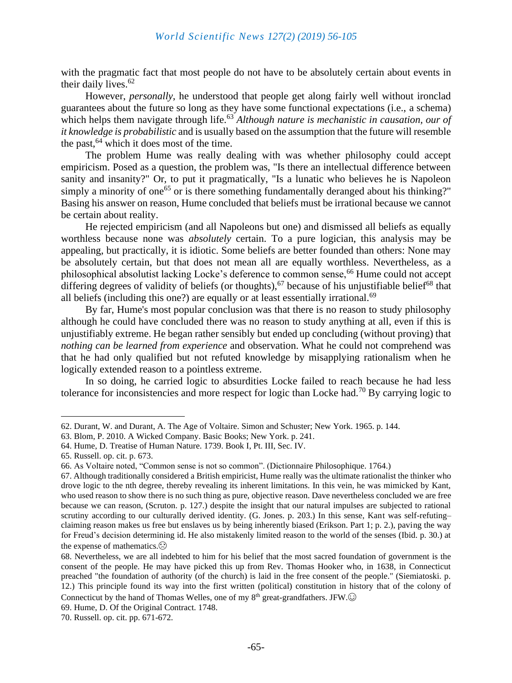with the pragmatic fact that most people do not have to be absolutely certain about events in their daily lives. $62$ 

However, *personally*, he understood that people get along fairly well without ironclad guarantees about the future so long as they have some functional expectations (i.e., a schema) which helps them navigate through life.<sup>63</sup> *Although nature is mechanistic in causation, our of it knowledge is probabilistic* and is usually based on the assumption that the future will resemble the past,  $64$  which it does most of the time.

The problem Hume was really dealing with was whether philosophy could accept empiricism. Posed as a question, the problem was, "Is there an intellectual difference between sanity and insanity?" Or, to put it pragmatically, "Is a lunatic who believes he is Napoleon simply a minority of one<sup>65</sup> or is there something fundamentally deranged about his thinking?" Basing his answer on reason, Hume concluded that beliefs must be irrational because we cannot be certain about reality.

He rejected empiricism (and all Napoleons but one) and dismissed all beliefs as equally worthless because none was *absolutely* certain. To a pure logician, this analysis may be appealing, but practically, it is idiotic. Some beliefs are better founded than others: None may be absolutely certain, but that does not mean all are equally worthless. Nevertheless, as a philosophical absolutist lacking Locke's deference to common sense,<sup>66</sup> Hume could not accept differing degrees of validity of beliefs (or thoughts),<sup>67</sup> because of his unjustifiable belief<sup>68</sup> that all beliefs (including this one?) are equally or at least essentially irrational.<sup>69</sup>

By far, Hume's most popular conclusion was that there is no reason to study philosophy although he could have concluded there was no reason to study anything at all, even if this is unjustifiably extreme. He began rather sensibly but ended up concluding (without proving) that *nothing can be learned from experience* and observation. What he could not comprehend was that he had only qualified but not refuted knowledge by misapplying rationalism when he logically extended reason to a pointless extreme.

In so doing, he carried logic to absurdities Locke failed to reach because he had less tolerance for inconsistencies and more respect for logic than Locke had.<sup>70</sup> By carrying logic to

<sup>62.</sup> Durant, W. and Durant, A. The Age of Voltaire. Simon and Schuster; New York. 1965. p. 144.

<sup>63.</sup> Blom, P. 2010. A Wicked Company. Basic Books; New York. p. 241.

<sup>64.</sup> Hume, D. Treatise of Human Nature. 1739. Book I, Pt. III, Sec. IV.

<sup>65.</sup> Russell. op. cit. p. 673.

<sup>66.</sup> As Voltaire noted, "Common sense is not so common". (Dictionnaire Philosophique. 1764.)

<sup>67.</sup> Although traditionally considered a British empiricist, Hume really was the ultimate rationalist the thinker who drove logic to the nth degree, thereby revealing its inherent limitations. In this vein, he was mimicked by Kant, who used reason to show there is no such thing as pure, objective reason. Dave nevertheless concluded we are free because we can reason, (Scruton. p. 127.) despite the insight that our natural impulses are subjected to rational scrutiny according to our culturally derived identity. (G. Jones. p. 203.) In this sense, Kant was self-refuting– claiming reason makes us free but enslaves us by being inherently biased (Erikson. Part 1; p. 2.), paving the way for Freud's decision determining id. He also mistakenly limited reason to the world of the senses (Ibid. p. 30.) at the expense of mathematics. $\odot$ 

<sup>68.</sup> Nevertheless, we are all indebted to him for his belief that the most sacred foundation of government is the consent of the people. He may have picked this up from Rev. Thomas Hooker who, in 1638, in Connecticut preached "the foundation of authority (of the church) is laid in the free consent of the people." (Siemiatoski. p. 12.) This principle found its way into the first written (political) constitution in history that of the colony of Connecticut by the hand of Thomas Welles, one of my 8<sup>th</sup> great-grandfathers. JFW.

<sup>69.</sup> Hume, D. Of the Original Contract. 1748.

<sup>70.</sup> Russell. op. cit. pp. 671-672.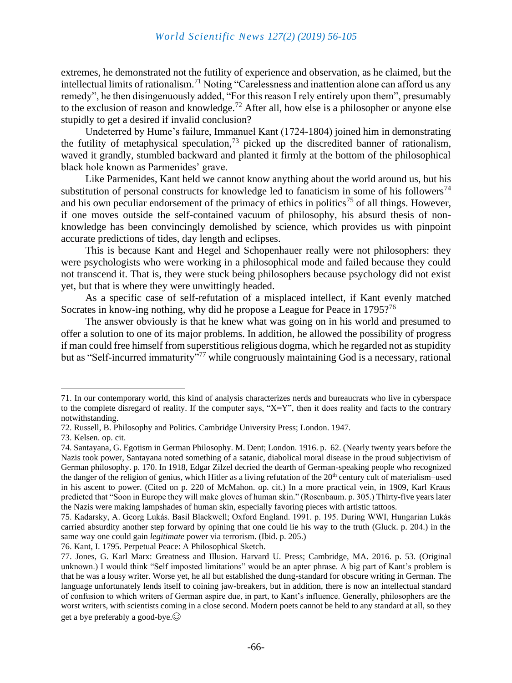extremes, he demonstrated not the futility of experience and observation, as he claimed, but the intellectual limits of rationalism.<sup>71</sup> Noting "Carelessness and inattention alone can afford us any remedy", he then disingenuously added, "For this reason I rely entirely upon them", presumably to the exclusion of reason and knowledge.<sup>72</sup> After all, how else is a philosopher or anyone else stupidly to get a desired if invalid conclusion?

Undeterred by Hume's failure, Immanuel Kant (1724-1804) joined him in demonstrating the futility of metaphysical speculation,<sup>73</sup> picked up the discredited banner of rationalism, waved it grandly, stumbled backward and planted it firmly at the bottom of the philosophical black hole known as Parmenides' grave.

Like Parmenides, Kant held we cannot know anything about the world around us, but his substitution of personal constructs for knowledge led to fanaticism in some of his followers<sup>74</sup> and his own peculiar endorsement of the primacy of ethics in politics<sup>75</sup> of all things. However, if one moves outside the self-contained vacuum of philosophy, his absurd thesis of nonknowledge has been convincingly demolished by science, which provides us with pinpoint accurate predictions of tides, day length and eclipses.

This is because Kant and Hegel and Schopenhauer really were not philosophers: they were psychologists who were working in a philosophical mode and failed because they could not transcend it. That is, they were stuck being philosophers because psychology did not exist yet, but that is where they were unwittingly headed.

As a specific case of self-refutation of a misplaced intellect, if Kant evenly matched Socrates in know-ing nothing, why did he propose a League for Peace in 1795?<sup>76</sup>

The answer obviously is that he knew what was going on in his world and presumed to offer a solution to one of its major problems. In addition, he allowed the possibility of progress if man could free himself from superstitious religious dogma, which he regarded not as stupidity but as "Self-incurred immaturity"<sup>77</sup> while congruously maintaining God is a necessary, rational

76. Kant, I. 1795. Perpetual Peace: A Philosophical Sketch.

<sup>71.</sup> In our contemporary world, this kind of analysis characterizes nerds and bureaucrats who live in cyberspace to the complete disregard of reality. If the computer says, " $X=Y$ ", then it does reality and facts to the contrary notwithstanding.

<sup>72.</sup> Russell, B. Philosophy and Politics. Cambridge University Press; London. 1947.

<sup>73.</sup> Kelsen. op. cit.

<sup>74.</sup> Santayana, G. Egotism in German Philosophy. M. Dent; London. 1916. p. 62. (Nearly twenty years before the Nazis took power, Santayana noted something of a satanic, diabolical moral disease in the proud subjectivism of German philosophy. p. 170. In 1918, Edgar Zilzel decried the dearth of German-speaking people who recognized the danger of the religion of genius, which Hitler as a living refutation of the 20<sup>th</sup> century cult of materialism–used in his ascent to power. (Cited on p. 220 of McMahon. op. cit.) In a more practical vein, in 1909, Karl Kraus predicted that "Soon in Europe they will make gloves of human skin." (Rosenbaum. p. 305.) Thirty-five years later the Nazis were making lampshades of human skin, especially favoring pieces with artistic tattoos.

<sup>75.</sup> Kadarsky, A. Georg Lukás. Basil Blackwell; Oxford England. 1991. p. 195. During WWI, Hungarian Lukás carried absurdity another step forward by opining that one could lie his way to the truth (Gluck. p. 204.) in the same way one could gain *legitimate* power via terrorism. (Ibid. p. 205.)

<sup>77.</sup> Jones, G. Karl Marx: Greatness and Illusion. Harvard U. Press; Cambridge, MA. 2016. p. 53. (Original unknown.) I would think "Self imposted limitations" would be an apter phrase. A big part of Kant's problem is that he was a lousy writer. Worse yet, he all but established the dung-standard for obscure writing in German. The language unfortunately lends itself to coining jaw-breakers, but in addition, there is now an intellectual standard of confusion to which writers of German aspire due, in part, to Kant's influence. Generally, philosophers are the worst writers, with scientists coming in a close second. Modern poets cannot be held to any standard at all, so they get a bye preferably a good-bye. $\odot$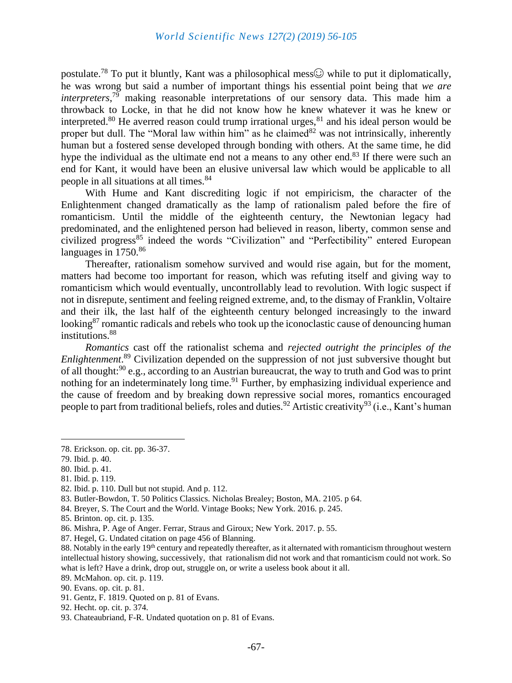postulate.<sup>78</sup> To put it bluntly, Kant was a philosophical mess $\odot$  while to put it diplomatically, he was wrong but said a number of important things his essential point being that *we are interpreters*, <sup>79</sup> making reasonable interpretations of our sensory data. This made him a throwback to Locke, in that he did not know how he knew whatever it was he knew or interpreted.<sup>80</sup> He averred reason could trump irrational urges,<sup>81</sup> and his ideal person would be proper but dull. The "Moral law within him" as he claimed  $82$  was not intrinsically, inherently human but a fostered sense developed through bonding with others. At the same time, he did hype the individual as the ultimate end not a means to any other end.<sup>83</sup> If there were such an end for Kant, it would have been an elusive universal law which would be applicable to all people in all situations at all times.<sup>84</sup>

With Hume and Kant discrediting logic if not empiricism, the character of the Enlightenment changed dramatically as the lamp of rationalism paled before the fire of romanticism. Until the middle of the eighteenth century, the Newtonian legacy had predominated, and the enlightened person had believed in reason, liberty, common sense and civilized progress<sup>85</sup> indeed the words "Civilization" and "Perfectibility" entered European languages in  $1750^{86}$ 

Thereafter, rationalism somehow survived and would rise again, but for the moment, matters had become too important for reason, which was refuting itself and giving way to romanticism which would eventually, uncontrollably lead to revolution. With logic suspect if not in disrepute, sentiment and feeling reigned extreme, and, to the dismay of Franklin, Voltaire and their ilk, the last half of the eighteenth century belonged increasingly to the inward looking<sup>87</sup> romantic radicals and rebels who took up the iconoclastic cause of denouncing human institutions.<sup>88</sup>

*Romantics* cast off the rationalist schema and *rejected outright the principles of the Enlightenment*. <sup>89</sup> Civilization depended on the suppression of not just subversive thought but of all thought:<sup>90</sup> e.g., according to an Austrian bureaucrat, the way to truth and God was to print nothing for an indeterminately long time.<sup>91</sup> Further, by emphasizing individual experience and the cause of freedom and by breaking down repressive social mores, romantics encouraged people to part from traditional beliefs, roles and duties.<sup>92</sup> Artistic creativity<sup>93</sup> (i.e., Kant's human

<sup>78.</sup> Erickson. op. cit. pp. 36-37.

<sup>79.</sup> Ibid. p. 40.

<sup>80.</sup> Ibid. p. 41.

<sup>81.</sup> Ibid. p. 119.

<sup>82.</sup> Ibid. p. 110. Dull but not stupid. And p. 112.

<sup>83.</sup> Butler-Bowdon, T. 50 Politics Classics. Nicholas Brealey; Boston, MA. 2105. p 64.

<sup>84.</sup> Breyer, S. The Court and the World. Vintage Books; New York. 2016. p. 245.

<sup>85.</sup> Brinton. op. cit. p. 135.

<sup>86.</sup> Mishra, P. Age of Anger. Ferrar, Straus and Giroux; New York. 2017. p. 55.

<sup>87.</sup> Hegel, G. Undated citation on page 456 of Blanning.

<sup>88.</sup> Notably in the early 19<sup>th</sup> century and repeatedly thereafter, as it alternated with romanticism throughout western intellectual history showing, successively, that rationalism did not work and that romanticism could not work. So what is left? Have a drink, drop out, struggle on, or write a useless book about it all.

<sup>89.</sup> McMahon. op. cit. p. 119.

<sup>90.</sup> Evans. op. cit. p. 81.

<sup>91.</sup> Gentz, F. 1819. Quoted on p. 81 of Evans.

<sup>92.</sup> Hecht. op. cit. p. 374.

<sup>93.</sup> Chateaubriand, F-R. Undated quotation on p. 81 of Evans.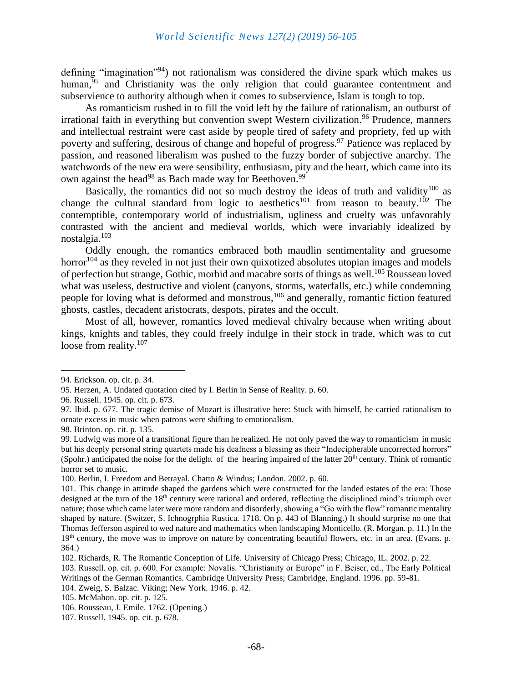#### *World Scientific News 127(2) (2019) 56-105*

defining "imagination"<sup>94</sup>) not rationalism was considered the divine spark which makes us human, $^{95}$  and Christianity was the only religion that could guarantee contentment and subservience to authority although when it comes to subservience, Islam is tough to top.

As romanticism rushed in to fill the void left by the failure of rationalism, an outburst of irrational faith in everything but convention swept Western civilization.<sup>96</sup> Prudence, manners and intellectual restraint were cast aside by people tired of safety and propriety, fed up with poverty and suffering, desirous of change and hopeful of progress.<sup>97</sup> Patience was replaced by passion, and reasoned liberalism was pushed to the fuzzy border of subjective anarchy. The watchwords of the new era were sensibility, enthusiasm, pity and the heart, which came into its own against the head<sup>98</sup> as Bach made way for Beethoven.<sup>99</sup>

Basically, the romantics did not so much destroy the ideas of truth and validity<sup>100</sup> as change the cultural standard from logic to aesthetics<sup>101</sup> from reason to beauty.<sup>102</sup> The contemptible, contemporary world of industrialism, ugliness and cruelty was unfavorably contrasted with the ancient and medieval worlds, which were invariably idealized by nostalgia.<sup>103</sup>

Oddly enough, the romantics embraced both maudlin sentimentality and gruesome horror<sup>104</sup> as they reveled in not just their own quixotized absolutes utopian images and models of perfection but strange, Gothic, morbid and macabre sorts of things as well.<sup>105</sup> Rousseau loved what was useless, destructive and violent (canyons, storms, waterfalls, etc.) while condemning people for loving what is deformed and monstrous,<sup>106</sup> and generally, romantic fiction featured ghosts, castles, decadent aristocrats, despots, pirates and the occult.

Most of all, however, romantics loved medieval chivalry because when writing about kings, knights and tables, they could freely indulge in their stock in trade, which was to cut loose from reality.<sup>107</sup>

<sup>94.</sup> Erickson. op. cit. p. 34.

<sup>95.</sup> Herzen, A. Undated quotation cited by I. Berlin in Sense of Reality. p. 60.

<sup>96.</sup> Russell. 1945. op. cit. p. 673.

<sup>97.</sup> Ibid. p. 677. The tragic demise of Mozart is illustrative here: Stuck with himself, he carried rationalism to ornate excess in music when patrons were shifting to emotionalism.

<sup>98.</sup> Brinton. op. cit. p. 135.

<sup>99.</sup> Ludwig was more of a transitional figure than he realized. He not only paved the way to romanticism in music but his deeply personal string quartets made his deafness a blessing as their "Indecipherable uncorrected horrors" (Spohr.) anticipated the noise for the delight of the hearing impaired of the latter  $20<sup>th</sup>$  century. Think of romantic horror set to music.

<sup>100.</sup> Berlin, I. Freedom and Betrayal. Chatto & Windus; London. 2002. p. 60.

<sup>101.</sup> This change in attitude shaped the gardens which were constructed for the landed estates of the era: Those designed at the turn of the  $18<sup>th</sup>$  century were rational and ordered, reflecting the disciplined mind's triumph over nature; those which came later were more random and disorderly, showing a "Go with the flow" romantic mentality shaped by nature. (Switzer, S. Ichnogrphia Rustica. 1718. On p. 443 of Blanning.) It should surprise no one that Thomas Jefferson aspired to wed nature and mathematics when landscaping Monticello. (R. Morgan. p. 11.) In the 19<sup>th</sup> century, the move was to improve on nature by concentrating beautiful flowers, etc. in an area. (Evans. p. 364.)

<sup>102.</sup> Richards, R. The Romantic Conception of Life. University of Chicago Press; Chicago, IL. 2002. p. 22.

<sup>103.</sup> Russell. op. cit. p. 600. For example: Novalis. "Christianity or Europe" in F. Beiser, ed., The Early Political Writings of the German Romantics. Cambridge University Press; Cambridge, England. 1996. pp. 59-81.

<sup>104.</sup> Zweig, S. Balzac. Viking; New York. 1946. p. 42.

<sup>105.</sup> McMahon. op. cit. p. 125.

<sup>106.</sup> Rousseau, J. Emile. 1762. (Opening.)

<sup>107.</sup> Russell. 1945. op. cit. p. 678.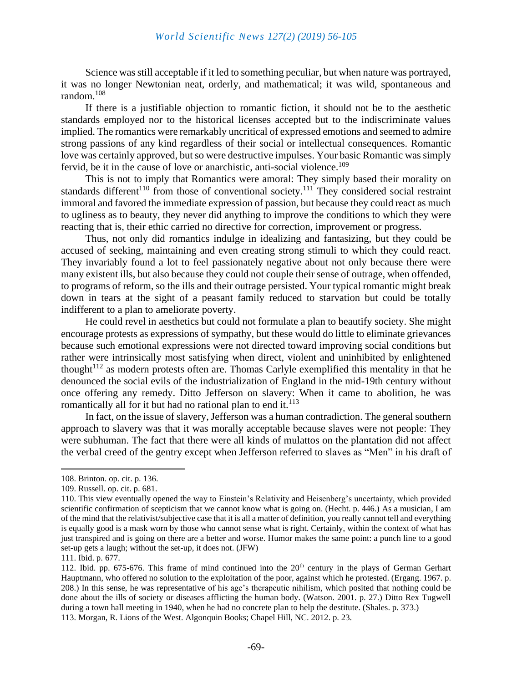Science was still acceptable if it led to something peculiar, but when nature was portrayed, it was no longer Newtonian neat, orderly, and mathematical; it was wild, spontaneous and random.<sup>108</sup>

If there is a justifiable objection to romantic fiction, it should not be to the aesthetic standards employed nor to the historical licenses accepted but to the indiscriminate values implied. The romantics were remarkably uncritical of expressed emotions and seemed to admire strong passions of any kind regardless of their social or intellectual consequences. Romantic love was certainly approved, but so were destructive impulses. Your basic Romantic was simply fervid, be it in the cause of love or anarchistic, anti-social violence.<sup>109</sup>

This is not to imply that Romantics were amoral: They simply based their morality on standards different<sup>110</sup> from those of conventional society.<sup>111</sup> They considered social restraint immoral and favored the immediate expression of passion, but because they could react as much to ugliness as to beauty, they never did anything to improve the conditions to which they were reacting that is, their ethic carried no directive for correction, improvement or progress.

Thus, not only did romantics indulge in idealizing and fantasizing, but they could be accused of seeking, maintaining and even creating strong stimuli to which they could react. They invariably found a lot to feel passionately negative about not only because there were many existent ills, but also because they could not couple their sense of outrage, when offended, to programs of reform, so the ills and their outrage persisted. Your typical romantic might break down in tears at the sight of a peasant family reduced to starvation but could be totally indifferent to a plan to ameliorate poverty.

He could revel in aesthetics but could not formulate a plan to beautify society. She might encourage protests as expressions of sympathy, but these would do little to eliminate grievances because such emotional expressions were not directed toward improving social conditions but rather were intrinsically most satisfying when direct, violent and uninhibited by enlightened thought<sup> $112$ </sup> as modern protests often are. Thomas Carlyle exemplified this mentality in that he denounced the social evils of the industrialization of England in the mid-19th century without once offering any remedy. Ditto Jefferson on slavery: When it came to abolition, he was romantically all for it but had no rational plan to end it. $^{113}$ 

In fact, on the issue of slavery, Jefferson was a human contradiction. The general southern approach to slavery was that it was morally acceptable because slaves were not people: They were subhuman. The fact that there were all kinds of mulattos on the plantation did not affect the verbal creed of the gentry except when Jefferson referred to slaves as "Men" in his draft of

<sup>108.</sup> Brinton. op. cit. p. 136.

<sup>109.</sup> Russell. op. cit. p. 681.

<sup>110.</sup> This view eventually opened the way to Einstein's Relativity and Heisenberg's uncertainty, which provided scientific confirmation of scepticism that we cannot know what is going on. (Hecht. p. 446.) As a musician, I am of the mind that the relativist/subjective case that it is all a matter of definition, you really cannot tell and everything is equally good is a mask worn by those who cannot sense what is right. Certainly, within the context of what has just transpired and is going on there are a better and worse. Humor makes the same point: a punch line to a good set-up gets a laugh; without the set-up, it does not. (JFW)

<sup>111.</sup> Ibid. p. 677.

<sup>112.</sup> Ibid. pp. 675-676. This frame of mind continued into the  $20<sup>th</sup>$  century in the plays of German Gerhart Hauptmann, who offered no solution to the exploitation of the poor, against which he protested. (Ergang. 1967. p. 208.) In this sense, he was representative of his age's therapeutic nihilism, which posited that nothing could be done about the ills of society or diseases afflicting the human body. (Watson. 2001. p. 27.) Ditto Rex Tugwell during a town hall meeting in 1940, when he had no concrete plan to help the destitute. (Shales. p. 373.)

<sup>113.</sup> Morgan, R. Lions of the West. Algonquin Books; Chapel Hill, NC. 2012. p. 23.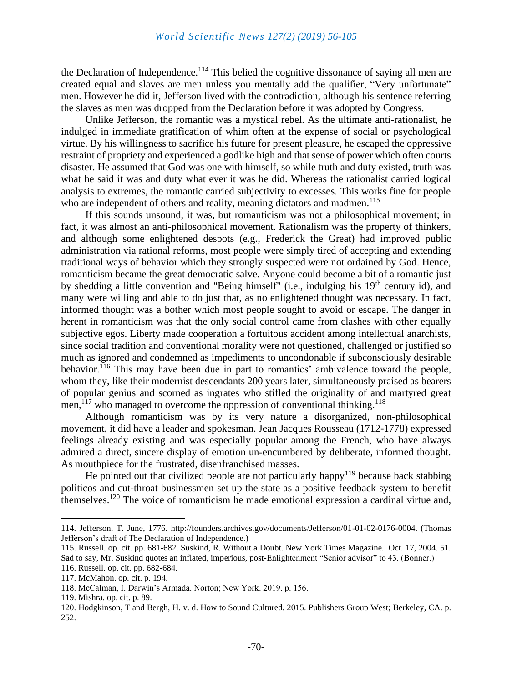the Declaration of Independence.<sup>114</sup> This belied the cognitive dissonance of saying all men are created equal and slaves are men unless you mentally add the qualifier, "Very unfortunate" men. However he did it, Jefferson lived with the contradiction, although his sentence referring the slaves as men was dropped from the Declaration before it was adopted by Congress.

Unlike Jefferson, the romantic was a mystical rebel. As the ultimate anti-rationalist, he indulged in immediate gratification of whim often at the expense of social or psychological virtue. By his willingness to sacrifice his future for present pleasure, he escaped the oppressive restraint of propriety and experienced a godlike high and that sense of power which often courts disaster. He assumed that God was one with himself, so while truth and duty existed, truth was what he said it was and duty what ever it was he did. Whereas the rationalist carried logical analysis to extremes, the romantic carried subjectivity to excesses. This works fine for people who are independent of others and reality, meaning dictators and madmen.<sup>115</sup>

If this sounds unsound, it was, but romanticism was not a philosophical movement; in fact, it was almost an anti-philosophical movement. Rationalism was the property of thinkers, and although some enlightened despots (e.g., Frederick the Great) had improved public administration via rational reforms, most people were simply tired of accepting and extending traditional ways of behavior which they strongly suspected were not ordained by God. Hence, romanticism became the great democratic salve. Anyone could become a bit of a romantic just by shedding a little convention and "Being himself" (i.e., indulging his 19<sup>th</sup> century id), and many were willing and able to do just that, as no enlightened thought was necessary. In fact, informed thought was a bother which most people sought to avoid or escape. The danger in herent in romanticism was that the only social control came from clashes with other equally subjective egos. Liberty made cooperation a fortuitous accident among intellectual anarchists, since social tradition and conventional morality were not questioned, challenged or justified so much as ignored and condemned as impediments to uncondonable if subconsciously desirable behavior.<sup>116</sup> This may have been due in part to romantics' ambivalence toward the people, whom they, like their modernist descendants 200 years later, simultaneously praised as bearers of popular genius and scorned as ingrates who stifled the originality of and martyred great men, $^{117}$  who managed to overcome the oppression of conventional thinking.<sup>118</sup>

Although romanticism was by its very nature a disorganized, non-philosophical movement, it did have a leader and spokesman. Jean Jacques Rousseau (1712-1778) expressed feelings already existing and was especially popular among the French, who have always admired a direct, sincere display of emotion un-encumbered by deliberate, informed thought. As mouthpiece for the frustrated, disenfranchised masses.

He pointed out that civilized people are not particularly happy<sup>119</sup> because back stabbing politicos and cut-throat businessmen set up the state as a positive feedback system to benefit themselves.<sup>120</sup> The voice of romanticism he made emotional expression a cardinal virtue and,

<sup>114.</sup> Jefferson, T. June, 1776. http://founders.archives.gov/documents/Jefferson/01-01-02-0176-0004. (Thomas Jefferson's draft of The Declaration of Independence.)

<sup>115.</sup> Russell. op. cit. pp. 681-682. Suskind, R. Without a Doubt. New York Times Magazine. Oct. 17, 2004. 51. Sad to say, Mr. Suskind quotes an inflated, imperious, post-Enlightenment "Senior advisor" to 43. (Bonner.)

<sup>116.</sup> Russell. op. cit. pp. 682-684.

<sup>117.</sup> McMahon. op. cit. p. 194.

<sup>118.</sup> McCalman, I. Darwin's Armada. Norton; New York. 2019. p. 156.

<sup>119.</sup> Mishra. op. cit. p. 89.

<sup>120.</sup> Hodgkinson, T and Bergh, H. v. d. How to Sound Cultured. 2015. Publishers Group West; Berkeley, CA. p. 252.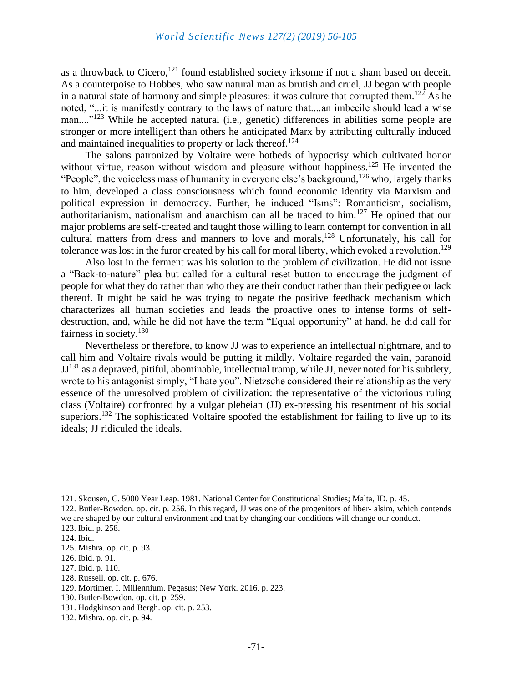as a throwback to Cicero,  $121$  found established society irksome if not a sham based on deceit. As a counterpoise to Hobbes, who saw natural man as brutish and cruel, JJ began with people in a natural state of harmony and simple pleasures: it was culture that corrupted them.<sup>122</sup> As he noted, "...it is manifestly contrary to the laws of nature that....an imbecile should lead a wise man....<sup>"123</sup> While he accepted natural (i.e., genetic) differences in abilities some people are stronger or more intelligent than others he anticipated Marx by attributing culturally induced and maintained inequalities to property or lack thereof.<sup>124</sup>

The salons patronized by Voltaire were hotbeds of hypocrisy which cultivated honor without virtue, reason without wisdom and pleasure without happiness.<sup>125</sup> He invented the "People", the voiceless mass of humanity in everyone else's background,  $126$  who, largely thanks to him, developed a class consciousness which found economic identity via Marxism and political expression in democracy. Further, he induced "Isms": Romanticism, socialism, authoritarianism, nationalism and anarchism can all be traced to him.<sup>127</sup> He opined that our major problems are self-created and taught those willing to learn contempt for convention in all cultural matters from dress and manners to love and morals,<sup>128</sup> Unfortunately, his call for tolerance was lost in the furor created by his call for moral liberty, which evoked a revolution.<sup>129</sup>

Also lost in the ferment was his solution to the problem of civilization. He did not issue a "Back-to-nature" plea but called for a cultural reset button to encourage the judgment of people for what they do rather than who they are their conduct rather than their pedigree or lack thereof. It might be said he was trying to negate the positive feedback mechanism which characterizes all human societies and leads the proactive ones to intense forms of selfdestruction, and, while he did not have the term "Equal opportunity" at hand, he did call for fairness in society.<sup>130</sup>

Nevertheless or therefore, to know JJ was to experience an intellectual nightmare, and to call him and Voltaire rivals would be putting it mildly. Voltaire regarded the vain, paranoid  $JJ<sup>131</sup>$  as a depraved, pitiful, abominable, intellectual tramp, while JJ, never noted for his subtlety, wrote to his antagonist simply, "I hate you". Nietzsche considered their relationship as the very essence of the unresolved problem of civilization: the representative of the victorious ruling class (Voltaire) confronted by a vulgar plebeian (JJ) ex-pressing his resentment of his social superiors.<sup>132</sup> The sophisticated Voltaire spoofed the establishment for failing to live up to its ideals; JJ ridiculed the ideals.

<sup>121.</sup> Skousen, C. 5000 Year Leap. 1981. National Center for Constitutional Studies; Malta, ID. p. 45.

<sup>122.</sup> Butler-Bowdon. op. cit. p. 256. In this regard, JJ was one of the progenitors of liber- alsim, which contends we are shaped by our cultural environment and that by changing our conditions will change our conduct.

<sup>123.</sup> Ibid. p. 258.

<sup>124.</sup> Ibid.

<sup>125.</sup> Mishra. op. cit. p. 93.

<sup>126.</sup> Ibid. p. 91.

<sup>127.</sup> Ibid. p. 110.

<sup>128.</sup> Russell. op. cit. p. 676.

<sup>129.</sup> Mortimer, I. Millennium. Pegasus; New York. 2016. p. 223.

<sup>130.</sup> Butler-Bowdon. op. cit. p. 259.

<sup>131.</sup> Hodgkinson and Bergh. op. cit. p. 253.

<sup>132.</sup> Mishra. op. cit. p. 94.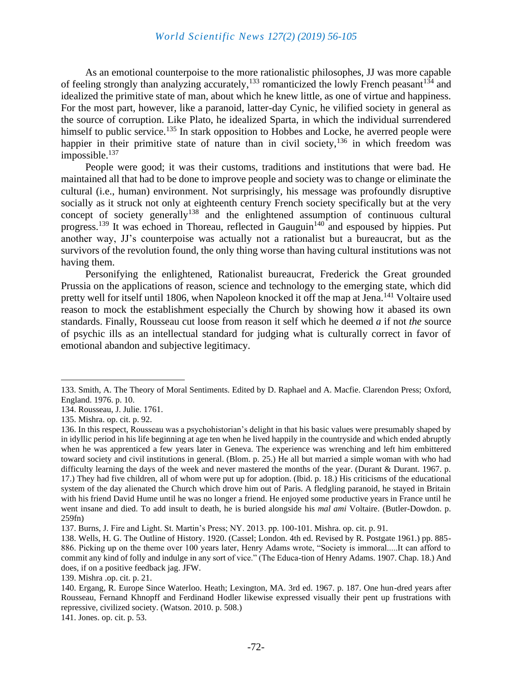#### *World Scientific News 127(2) (2019) 56-105*

As an emotional counterpoise to the more rationalistic philosophes, JJ was more capable of feeling strongly than analyzing accurately,<sup>133</sup> romanticized the lowly French peasant<sup>134</sup> and idealized the primitive state of man, about which he knew little, as one of virtue and happiness. For the most part, however, like a paranoid, latter-day Cynic, he vilified society in general as the source of corruption. Like Plato, he idealized Sparta, in which the individual surrendered himself to public service.<sup>135</sup> In stark opposition to Hobbes and Locke, he averred people were happier in their primitive state of nature than in civil society,  $136$  in which freedom was  $impossible.<sup>137</sup>$ 

People were good; it was their customs, traditions and institutions that were bad. He maintained all that had to be done to improve people and society was to change or eliminate the cultural (i.e., human) environment. Not surprisingly, his message was profoundly disruptive socially as it struck not only at eighteenth century French society specifically but at the very concept of society generally<sup>138</sup> and the enlightened assumption of continuous cultural progress.<sup>139</sup> It was echoed in Thoreau, reflected in Gauguin<sup>140</sup> and espoused by hippies. Put another way, JJ's counterpoise was actually not a rationalist but a bureaucrat, but as the survivors of the revolution found, the only thing worse than having cultural institutions was not having them.

Personifying the enlightened, Rationalist bureaucrat, Frederick the Great grounded Prussia on the applications of reason, science and technology to the emerging state, which did pretty well for itself until 1806, when Napoleon knocked it off the map at Jena.<sup>141</sup> Voltaire used reason to mock the establishment especially the Church by showing how it abased its own standards. Finally, Rousseau cut loose from reason it self which he deemed *a* if not *the* source of psychic ills as an intellectual standard for judging what is culturally correct in favor of emotional abandon and subjective legitimacy.

141. Jones. op. cit. p. 53.

<sup>133.</sup> Smith, A. The Theory of Moral Sentiments. Edited by D. Raphael and A. Macfie. Clarendon Press; Oxford, England. 1976. p. 10.

<sup>134.</sup> Rousseau, J. Julie. 1761.

<sup>135.</sup> Mishra. op. cit. p. 92.

<sup>136.</sup> In this respect, Rousseau was a psychohistorian's delight in that his basic values were presumably shaped by in idyllic period in his life beginning at age ten when he lived happily in the countryside and which ended abruptly when he was apprenticed a few years later in Geneva. The experience was wrenching and left him embittered toward society and civil institutions in general. (Blom. p. 25.) He all but married a simple woman with who had difficulty learning the days of the week and never mastered the months of the year. (Durant & Durant. 1967. p. 17.) They had five children, all of whom were put up for adoption. (Ibid. p. 18.) His criticisms of the educational system of the day alienated the Church which drove him out of Paris. A fledgling paranoid, he stayed in Britain with his friend David Hume until he was no longer a friend. He enjoyed some productive years in France until he went insane and died. To add insult to death, he is buried alongside his *mal ami* Voltaire. (Butler-Dowdon. p. 259fn)

<sup>137.</sup> Burns, J. Fire and Light. St. Martin's Press; NY. 2013. pp. 100-101. Mishra. op. cit. p. 91.

<sup>138.</sup> Wells, H. G. The Outline of History. 1920. (Cassel; London. 4th ed. Revised by R. Postgate 1961.) pp. 885- 886. Picking up on the theme over 100 years later, Henry Adams wrote, "Society is immoral.....It can afford to commit any kind of folly and indulge in any sort of vice." (The Educa-tion of Henry Adams. 1907. Chap. 18.) And does, if on a positive feedback jag. JFW.

<sup>139.</sup> Mishra .op. cit. p. 21.

<sup>140.</sup> Ergang, R. Europe Since Waterloo. Heath; Lexington, MA. 3rd ed. 1967. p. 187. One hun-dred years after Rousseau, Fernand Khnopff and Ferdinand Hodler likewise expressed visually their pent up frustrations with repressive, civilized society. (Watson. 2010. p. 508.)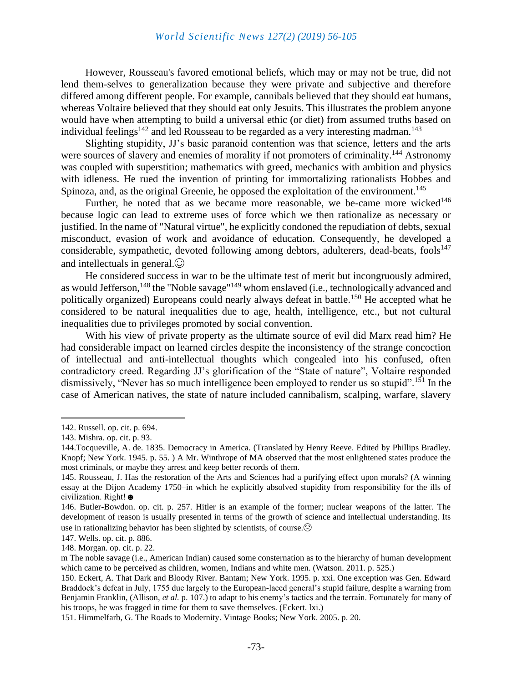#### *World Scientific News 127(2) (2019) 56-105*

However, Rousseau's favored emotional beliefs, which may or may not be true, did not lend them-selves to generalization because they were private and subjective and therefore differed among different people. For example, cannibals believed that they should eat humans, whereas Voltaire believed that they should eat only Jesuits. This illustrates the problem anyone would have when attempting to build a universal ethic (or diet) from assumed truths based on individual feelings<sup>142</sup> and led Rousseau to be regarded as a very interesting madman.<sup>143</sup>

Slighting stupidity, JJ's basic paranoid contention was that science, letters and the arts were sources of slavery and enemies of morality if not promoters of criminality.<sup>144</sup> Astronomy was coupled with superstition; mathematics with greed, mechanics with ambition and physics with idleness. He rued the invention of printing for immortalizing rationalists Hobbes and Spinoza, and, as the original Greenie, he opposed the exploitation of the environment.<sup>145</sup>

Further, he noted that as we became more reasonable, we be-came more wicked<sup>146</sup> because logic can lead to extreme uses of force which we then rationalize as necessary or justified. In the name of "Natural virtue", he explicitly condoned the repudiation of debts, sexual misconduct, evasion of work and avoidance of education. Consequently, he developed a considerable, sympathetic, devoted following among debtors, adulterers, dead-beats, fools<sup>147</sup> and intellectuals in general. $\odot$ 

He considered success in war to be the ultimate test of merit but incongruously admired, as would Jefferson,<sup>148</sup> the "Noble savage"<sup>149</sup> whom enslaved (i.e., technologically advanced and politically organized) Europeans could nearly always defeat in battle.<sup>150</sup> He accepted what he considered to be natural inequalities due to age, health, intelligence, etc., but not cultural inequalities due to privileges promoted by social convention.

With his view of private property as the ultimate source of evil did Marx read him? He had considerable impact on learned circles despite the inconsistency of the strange concoction of intellectual and anti-intellectual thoughts which congealed into his confused, often contradictory creed. Regarding JJ's glorification of the "State of nature", Voltaire responded dismissively, "Never has so much intelligence been employed to render us so stupid".<sup>151</sup> In the case of American natives, the state of nature included cannibalism, scalping, warfare, slavery

148. Morgan. op. cit. p. 22.

<sup>142.</sup> Russell. op. cit. p. 694.

<sup>143.</sup> Mishra. op. cit. p. 93.

<sup>144.</sup>Tocqueville, A. de. 1835. Democracy in America. (Translated by Henry Reeve. Edited by Phillips Bradley. Knopf; New York. 1945. p. 55. ) A Mr. Winthrope of MA observed that the most enlightened states produce the most criminals, or maybe they arrest and keep better records of them.

<sup>145.</sup> Rousseau, J. Has the restoration of the Arts and Sciences had a purifying effect upon morals? (A winning essay at the Dijon Academy 1750–in which he explicitly absolved stupidity from responsibility for the ills of civilization. Right!☻

<sup>146.</sup> Butler-Bowdon. op. cit. p. 257. Hitler is an example of the former; nuclear weapons of the latter. The development of reason is usually presented in terms of the growth of science and intellectual understanding. Its use in rationalizing behavior has been slighted by scientists, of course. $\odot$ 

<sup>147.</sup> Wells. op. cit. p. 886.

m The noble savage (i.e., American Indian) caused some consternation as to the hierarchy of human development which came to be perceived as children, women, Indians and white men. (Watson. 2011. p. 525.)

<sup>150.</sup> Eckert, A. That Dark and Bloody River. Bantam; New York. 1995. p. xxi. One exception was Gen. Edward Braddock's defeat in July, 1755 due largely to the European-laced general's stupid failure, despite a warning from Benjamin Franklin, (Allison, *et al.* p. 107.) to adapt to his enemy's tactics and the terrain. Fortunately for many of his troops, he was fragged in time for them to save themselves. (Eckert. lxi.)

<sup>151.</sup> Himmelfarb, G. The Roads to Modernity. Vintage Books; New York. 2005. p. 20.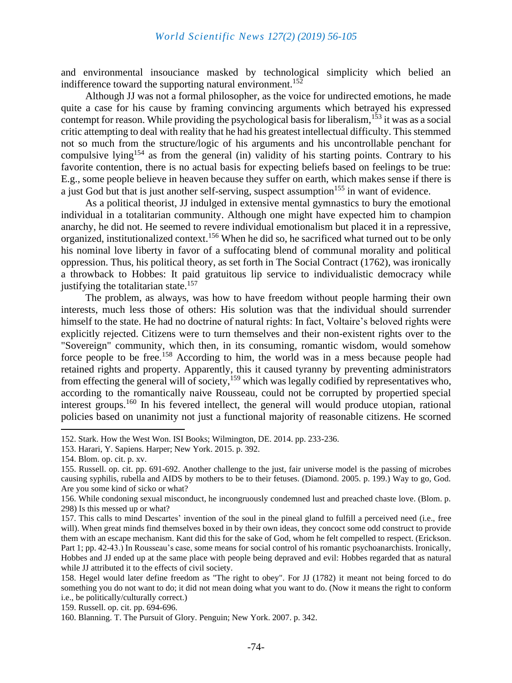and environmental insouciance masked by technological simplicity which belied an indifference toward the supporting natural environment.<sup>152</sup>

Although JJ was not a formal philosopher, as the voice for undirected emotions, he made quite a case for his cause by framing convincing arguments which betrayed his expressed contempt for reason. While providing the psychological basis for liberalism,<sup>153</sup> it was as a social critic attempting to deal with reality that he had his greatest intellectual difficulty. This stemmed not so much from the structure/logic of his arguments and his uncontrollable penchant for compulsive lying<sup>154</sup> as from the general (in) validity of his starting points. Contrary to his favorite contention, there is no actual basis for expecting beliefs based on feelings to be true: E.g., some people believe in heaven because they suffer on earth, which makes sense if there is a just God but that is just another self-serving, suspect assumption<sup>155</sup> in want of evidence.

As a political theorist, JJ indulged in extensive mental gymnastics to bury the emotional individual in a totalitarian community. Although one might have expected him to champion anarchy, he did not. He seemed to revere individual emotionalism but placed it in a repressive, organized, institutionalized context.<sup>156</sup> When he did so, he sacrificed what turned out to be only his nominal love liberty in favor of a suffocating blend of communal morality and political oppression. Thus, his political theory, as set forth in The Social Contract (1762), was ironically a throwback to Hobbes: It paid gratuitous lip service to individualistic democracy while justifying the totalitarian state.<sup>157</sup>

The problem, as always, was how to have freedom without people harming their own interests, much less those of others: His solution was that the individual should surrender himself to the state. He had no doctrine of natural rights: In fact, Voltaire's beloved rights were explicitly rejected. Citizens were to turn themselves and their non-existent rights over to the "Sovereign" community, which then, in its consuming, romantic wisdom, would somehow force people to be free.<sup>158</sup> According to him, the world was in a mess because people had retained rights and property. Apparently, this it caused tyranny by preventing administrators from effecting the general will of society,<sup>159</sup> which was legally codified by representatives who, according to the romantically naive Rousseau, could not be corrupted by propertied special interest groups.<sup>160</sup> In his fevered intellect, the general will would produce utopian, rational policies based on unanimity not just a functional majority of reasonable citizens. He scorned

<sup>152.</sup> Stark. How the West Won. ISI Books; Wilmington, DE. 2014. pp. 233-236.

<sup>153.</sup> Harari, Y. Sapiens. Harper; New York. 2015. p. 392.

<sup>154.</sup> Blom. op. cit. p. xv.

<sup>155.</sup> Russell. op. cit. pp. 691-692. Another challenge to the just, fair universe model is the passing of microbes causing syphilis, rubella and AIDS by mothers to be to their fetuses. (Diamond. 2005. p. 199.) Way to go, God. Are you some kind of sicko or what?

<sup>156.</sup> While condoning sexual misconduct, he incongruously condemned lust and preached chaste love. (Blom. p. 298) Is this messed up or what?

<sup>157.</sup> This calls to mind Descartes' invention of the soul in the pineal gland to fulfill a perceived need (i.e., free will). When great minds find themselves boxed in by their own ideas, they concoct some odd construct to provide them with an escape mechanism. Kant did this for the sake of God, whom he felt compelled to respect. (Erickson. Part 1; pp. 42-43.) In Rousseau's case, some means for social control of his romantic psychoanarchists. Ironically, Hobbes and JJ ended up at the same place with people being depraved and evil: Hobbes regarded that as natural while JJ attributed it to the effects of civil society.

<sup>158.</sup> Hegel would later define freedom as "The right to obey". For JJ (1782) it meant not being forced to do something you do not want to do; it did not mean doing what you want to do. (Now it means the right to conform i.e., be politically/culturally correct.)

<sup>159.</sup> Russell. op. cit. pp. 694-696.

<sup>160.</sup> Blanning. T. The Pursuit of Glory. Penguin; New York. 2007. p. 342.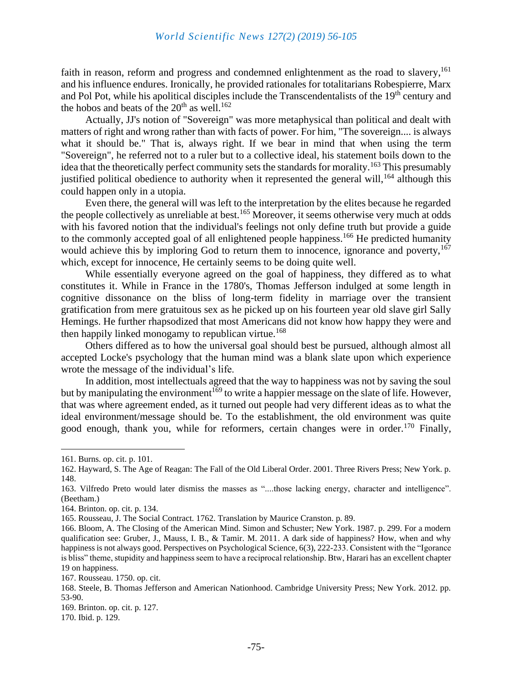faith in reason, reform and progress and condemned enlightenment as the road to slavery,  $161$ and his influence endures. Ironically, he provided rationales for totalitarians Robespierre, Marx and Pol Pot, while his apolitical disciples include the Transcendentalists of the 19<sup>th</sup> century and the hobos and beats of the  $20<sup>th</sup>$  as well.<sup>162</sup>

Actually, JJ's notion of "Sovereign" was more metaphysical than political and dealt with matters of right and wrong rather than with facts of power. For him, "The sovereign.... is always what it should be." That is, always right. If we bear in mind that when using the term "Sovereign", he referred not to a ruler but to a collective ideal, his statement boils down to the idea that the theoretically perfect community sets the standards for morality.<sup>163</sup> This presumably justified political obedience to authority when it represented the general will,<sup>164</sup> although this could happen only in a utopia.

Even there, the general will was left to the interpretation by the elites because he regarded the people collectively as unreliable at best.<sup>165</sup> Moreover, it seems otherwise very much at odds with his favored notion that the individual's feelings not only define truth but provide a guide to the commonly accepted goal of all enlightened people happiness.<sup>166</sup> He predicted humanity would achieve this by imploring God to return them to innocence, ignorance and poverty,<sup>167</sup> which, except for innocence, He certainly seems to be doing quite well.

While essentially everyone agreed on the goal of happiness, they differed as to what constitutes it. While in France in the 1780's, Thomas Jefferson indulged at some length in cognitive dissonance on the bliss of long-term fidelity in marriage over the transient gratification from mere gratuitous sex as he picked up on his fourteen year old slave girl Sally Hemings. He further rhapsodized that most Americans did not know how happy they were and then happily linked monogamy to republican virtue.<sup>168</sup>

Others differed as to how the universal goal should best be pursued, although almost all accepted Locke's psychology that the human mind was a blank slate upon which experience wrote the message of the individual's life.

In addition, most intellectuals agreed that the way to happiness was not by saving the soul but by manipulating the environment<sup>169</sup> to write a happier message on the slate of life. However, that was where agreement ended, as it turned out people had very different ideas as to what the ideal environment/message should be. To the establishment, the old environment was quite good enough, thank you, while for reformers, certain changes were in order.<sup>170</sup> Finally,

<sup>161.</sup> Burns. op. cit. p. 101.

<sup>162.</sup> Hayward, S. The Age of Reagan: The Fall of the Old Liberal Order. 2001. Three Rivers Press; New York. p. 148.

<sup>163.</sup> Vilfredo Preto would later dismiss the masses as "....those lacking energy, character and intelligence". (Beetham.)

<sup>164.</sup> Brinton. op. cit. p. 134.

<sup>165.</sup> Rousseau, J. The Social Contract. 1762. Translation by Maurice Cranston. p. 89.

<sup>166.</sup> Bloom, A. The Closing of the American Mind. Simon and Schuster; New York. 1987. p. 299. For a modern qualification see: Gruber, J., Mauss, I. B., & Tamir. M. 2011. A dark side of happiness? How, when and why happiness is not always good. Perspectives on Psychological Science, 6(3), 222-233. Consistent with the "Igorance" is bliss" theme, stupidity and happiness seem to have a reciprocal relationship. Btw, Harari has an excellent chapter 19 on happiness.

<sup>167.</sup> Rousseau. 1750. op. cit.

<sup>168.</sup> Steele, B. Thomas Jefferson and American Nationhood. Cambridge University Press; New York. 2012. pp. 53-90.

<sup>169.</sup> Brinton. op. cit. p. 127.

<sup>170.</sup> Ibid. p. 129.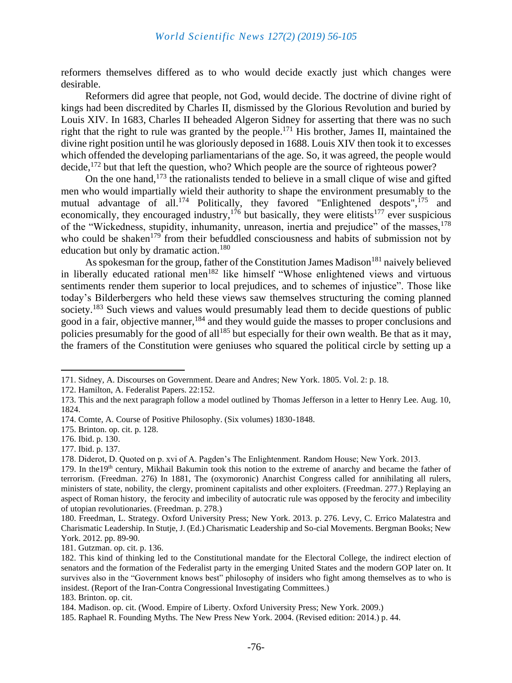reformers themselves differed as to who would decide exactly just which changes were desirable.

Reformers did agree that people, not God, would decide. The doctrine of divine right of kings had been discredited by Charles II, dismissed by the Glorious Revolution and buried by Louis XIV. In 1683, Charles II beheaded Algeron Sidney for asserting that there was no such right that the right to rule was granted by the people.<sup>171</sup> His brother, James II, maintained the divine right position until he was gloriously deposed in 1688. Louis XIV then took it to excesses which offended the developing parliamentarians of the age. So, it was agreed, the people would decide,  $^{172}$  but that left the question, who? Which people are the source of righteous power?

On the one hand,  $173$  the rationalists tended to believe in a small clique of wise and gifted men who would impartially wield their authority to shape the environment presumably to the mutual advantage of all.<sup>174</sup> Politically, they favored "Enlightened despots",<sup>175</sup> and economically, they encouraged industry,<sup>176</sup> but basically, they were elitists<sup>177</sup> ever suspicious of the "Wickedness, stupidity, inhumanity, unreason, inertia and prejudice" of the masses, <sup>178</sup> who could be shaken<sup>179</sup> from their befuddled consciousness and habits of submission not by education but only by dramatic action.<sup>180</sup>

As spokesman for the group, father of the Constitution James Madison<sup>181</sup> naively believed in liberally educated rational men<sup>182</sup> like himself "Whose enlightened views and virtuous sentiments render them superior to local prejudices, and to schemes of injustice". Those like today's Bilderbergers who held these views saw themselves structuring the coming planned society.<sup>183</sup> Such views and values would presumably lead them to decide questions of public good in a fair, objective manner,<sup>184</sup> and they would guide the masses to proper conclusions and policies presumably for the good of all<sup>185</sup> but especially for their own wealth. Be that as it may, the framers of the Constitution were geniuses who squared the political circle by setting up a

<sup>171.</sup> Sidney, A. Discourses on Government. Deare and Andres; New York. 1805. Vol. 2: p. 18.

<sup>172.</sup> Hamilton, A. Federalist Papers. 22:152.

<sup>173.</sup> This and the next paragraph follow a model outlined by Thomas Jefferson in a letter to Henry Lee. Aug. 10, 1824.

<sup>174.</sup> Comte, A. Course of Positive Philosophy. (Six volumes) 1830-1848.

<sup>175.</sup> Brinton. op. cit. p. 128.

<sup>176.</sup> Ibid. p. 130.

<sup>177.</sup> Ibid. p. 137.

<sup>178.</sup> Diderot, D. Quoted on p. xvi of A. Pagden's The Enlightenment. Random House; New York. 2013.

<sup>179.</sup> In the19<sup>th</sup> century, Mikhail Bakumin took this notion to the extreme of anarchy and became the father of terrorism. (Freedman. 276) In 1881, The (oxymoronic) Anarchist Congress called for annihilating all rulers, ministers of state, nobility, the clergy, prominent capitalists and other exploiters. (Freedman. 277.) Replaying an aspect of Roman history, the ferocity and imbecility of autocratic rule was opposed by the ferocity and imbecility of utopian revolutionaries. (Freedman. p. 278.)

<sup>180.</sup> Freedman, L. Strategy. Oxford University Press; New York. 2013. p. 276. Levy, C. Errico Malatestra and Charismatic Leadership. In Stutje, J. (Ed.) Charismatic Leadership and So-cial Movements. Bergman Books; New York. 2012. pp. 89-90.

<sup>181.</sup> Gutzman. op. cit. p. 136.

<sup>182.</sup> This kind of thinking led to the Constitutional mandate for the Electoral College, the indirect election of senators and the formation of the Federalist party in the emerging United States and the modern GOP later on. It survives also in the "Government knows best" philosophy of insiders who fight among themselves as to who is insidest. (Report of the Iran-Contra Congressional Investigating Committees.)

<sup>183.</sup> Brinton. op. cit.

<sup>184.</sup> Madison. op. cit. (Wood. Empire of Liberty. Oxford University Press; New York. 2009.)

<sup>185.</sup> Raphael R. Founding Myths. The New Press New York. 2004. (Revised edition: 2014.) p. 44.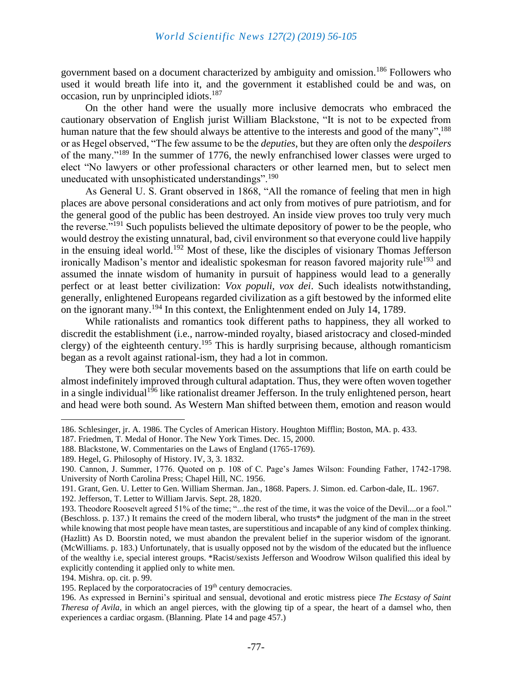government based on a document characterized by ambiguity and omission.<sup>186</sup> Followers who used it would breath life into it, and the government it established could be and was, on occasion, run by unprincipled idiots.<sup>187</sup>

On the other hand were the usually more inclusive democrats who embraced the cautionary observation of English jurist William Blackstone, "It is not to be expected from human nature that the few should always be attentive to the interests and good of the many".<sup>188</sup> or as Hegel observed, "The few assume to be the *deputies*, but they are often only the *despoilers* of the many."<sup>189</sup> In the summer of 1776, the newly enfranchised lower classes were urged to elect "No lawyers or other professional characters or other learned men, but to select men uneducated with unsophisticated understandings".<sup>190</sup>

As General U. S. Grant observed in 1868, "All the romance of feeling that men in high places are above personal considerations and act only from motives of pure patriotism, and for the general good of the public has been destroyed. An inside view proves too truly very much the reverse."<sup>191</sup> Such populists believed the ultimate depository of power to be the people, who would destroy the existing unnatural, bad, civil environment so that everyone could live happily in the ensuing ideal world.<sup>192</sup> Most of these, like the disciples of visionary Thomas Jefferson ironically Madison's mentor and idealistic spokesman for reason favored majority rule<sup>193</sup> and assumed the innate wisdom of humanity in pursuit of happiness would lead to a generally perfect or at least better civilization: *Vox populi, vox dei*. Such idealists notwithstanding, generally, enlightened Europeans regarded civilization as a gift bestowed by the informed elite on the ignorant many.<sup>194</sup> In this context, the Enlightenment ended on July 14, 1789.

While rationalists and romantics took different paths to happiness, they all worked to discredit the establishment (i.e., narrow-minded royalty, biased aristocracy and closed-minded clergy) of the eighteenth century.<sup>195</sup> This is hardly surprising because, although romanticism began as a revolt against rational-ism, they had a lot in common.

They were both secular movements based on the assumptions that life on earth could be almost indefinitely improved through cultural adaptation. Thus, they were often woven together in a single individual<sup>196</sup> like rationalist dreamer Jefferson. In the truly enlightened person, heart and head were both sound. As Western Man shifted between them, emotion and reason would

194. Mishra. op. cit. p. 99.

<sup>186.</sup> Schlesinger, jr. A. 1986. The Cycles of American History. Houghton Mifflin; Boston, MA. p. 433.

<sup>187.</sup> Friedmen, T. Medal of Honor. The New York Times. Dec. 15, 2000.

<sup>188.</sup> Blackstone, W. Commentaries on the Laws of England (1765-1769).

<sup>189.</sup> Hegel, G. Philosophy of History. IV, 3, 3. 1832.

<sup>190.</sup> Cannon, J. Summer, 1776. Quoted on p. 108 of C. Page's James Wilson: Founding Father, 1742-1798. University of North Carolina Press; Chapel Hill, NC. 1956.

<sup>191.</sup> Grant, Gen. U. Letter to Gen. William Sherman. Jan., 1868. Papers. J. Simon. ed. Carbon-dale, IL. 1967.

<sup>192.</sup> Jefferson, T. Letter to William Jarvis. Sept. 28, 1820.

<sup>193.</sup> Theodore Roosevelt agreed 51% of the time; "...the rest of the time, it was the voice of the Devil....or a fool." (Beschloss. p. 137.) It remains the creed of the modern liberal, who trusts\* the judgment of the man in the street while knowing that most people have mean tastes, are superstitious and incapable of any kind of complex thinking. (Hazlitt) As D. Boorstin noted, we must abandon the prevalent belief in the superior wisdom of the ignorant. (McWilliams. p. 183.) Unfortunately, that is usually opposed not by the wisdom of the educated but the influence of the wealthy i.e, special interest groups. \*Racist/sexists Jefferson and Woodrow Wilson qualified this ideal by explicitly contending it applied only to white men.

<sup>195.</sup> Replaced by the corporatocracies of  $19<sup>th</sup>$  century democracies.

<sup>196.</sup> As expressed in Bernini's spiritual and sensual, devotional and erotic mistress piece *The Ecstasy of Saint Theresa of Avila*, in which an angel pierces, with the glowing tip of a spear, the heart of a damsel who, then experiences a cardiac orgasm. (Blanning. Plate 14 and page 457.)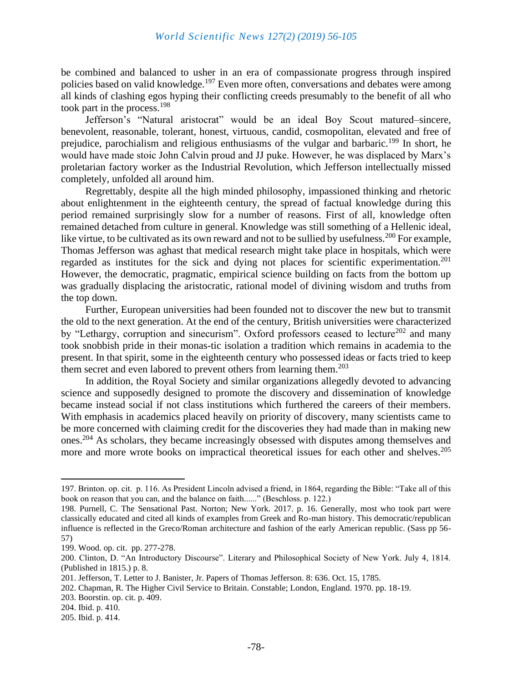be combined and balanced to usher in an era of compassionate progress through inspired policies based on valid knowledge.<sup>197</sup> Even more often, conversations and debates were among all kinds of clashing egos hyping their conflicting creeds presumably to the benefit of all who took part in the process.<sup>198</sup>

Jefferson's "Natural aristocrat" would be an ideal Boy Scout matured–sincere, benevolent, reasonable, tolerant, honest, virtuous, candid, cosmopolitan, elevated and free of prejudice, parochialism and religious enthusiasms of the vulgar and barbaric.<sup>199</sup> In short, he would have made stoic John Calvin proud and JJ puke. However, he was displaced by Marx's proletarian factory worker as the Industrial Revolution, which Jefferson intellectually missed completely, unfolded all around him.

Regrettably, despite all the high minded philosophy, impassioned thinking and rhetoric about enlightenment in the eighteenth century, the spread of factual knowledge during this period remained surprisingly slow for a number of reasons. First of all, knowledge often remained detached from culture in general. Knowledge was still something of a Hellenic ideal, like virtue, to be cultivated as its own reward and not to be sullied by usefulness.<sup>200</sup> For example, Thomas Jefferson was aghast that medical research might take place in hospitals, which were regarded as institutes for the sick and dying not places for scientific experimentation.<sup>201</sup> However, the democratic, pragmatic, empirical science building on facts from the bottom up was gradually displacing the aristocratic, rational model of divining wisdom and truths from the top down.

Further, European universities had been founded not to discover the new but to transmit the old to the next generation. At the end of the century, British universities were characterized by "Lethargy, corruption and sinecurism". Oxford professors ceased to lecture<sup>202</sup> and many took snobbish pride in their monas-tic isolation a tradition which remains in academia to the present. In that spirit, some in the eighteenth century who possessed ideas or facts tried to keep them secret and even labored to prevent others from learning them. $203$ 

In addition, the Royal Society and similar organizations allegedly devoted to advancing science and supposedly designed to promote the discovery and dissemination of knowledge became instead social if not class institutions which furthered the careers of their members. With emphasis in academics placed heavily on priority of discovery, many scientists came to be more concerned with claiming credit for the discoveries they had made than in making new ones.<sup>204</sup> As scholars, they became increasingly obsessed with disputes among themselves and more and more wrote books on impractical theoretical issues for each other and shelves.<sup>205</sup>

<sup>197.</sup> Brinton. op. cit. p. 116. As President Lincoln advised a friend, in 1864, regarding the Bible: "Take all of this book on reason that you can, and the balance on faith......" (Beschloss. p. 122.)

<sup>198.</sup> Purnell, C. The Sensational Past. Norton; New York. 2017. p. 16. Generally, most who took part were classically educated and cited all kinds of examples from Greek and Ro-man history. This democratic/republican influence is reflected in the Greco/Roman architecture and fashion of the early American republic. (Sass pp 56- 57)

<sup>199.</sup> Wood. op. cit. pp. 277-278.

<sup>200.</sup> Clinton, D. "An Introductory Discourse". Literary and Philosophical Society of New York. July 4, 1814. (Published in 1815.) p. 8.

<sup>201.</sup> Jefferson, T. Letter to J. Banister, Jr. Papers of Thomas Jefferson. 8: 636. Oct. 15, 1785.

<sup>202.</sup> Chapman, R. The Higher Civil Service to Britain. Constable; London, England. 1970. pp. 18-19.

<sup>203.</sup> Boorstin. op. cit. p. 409.

<sup>204.</sup> Ibid. p. 410.

<sup>205.</sup> Ibid. p. 414.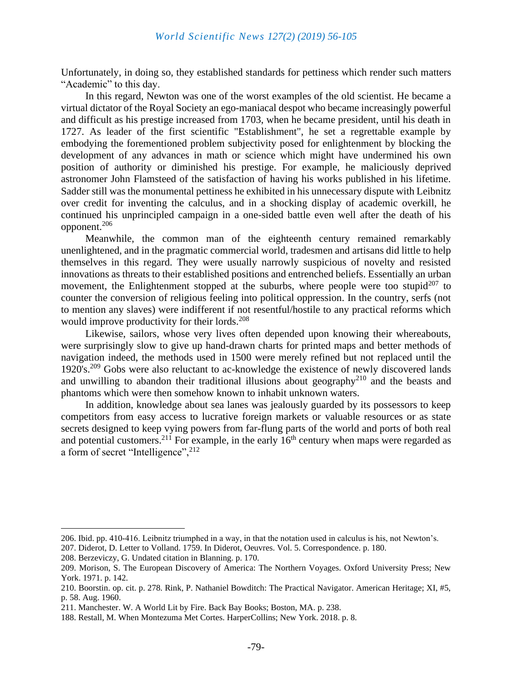Unfortunately, in doing so, they established standards for pettiness which render such matters "Academic" to this day.

In this regard, Newton was one of the worst examples of the old scientist. He became a virtual dictator of the Royal Society an ego-maniacal despot who became increasingly powerful and difficult as his prestige increased from 1703, when he became president, until his death in 1727. As leader of the first scientific "Establishment", he set a regrettable example by embodying the forementioned problem subjectivity posed for enlightenment by blocking the development of any advances in math or science which might have undermined his own position of authority or diminished his prestige. For example, he maliciously deprived astronomer John Flamsteed of the satisfaction of having his works published in his lifetime. Sadder still was the monumental pettiness he exhibited in his unnecessary dispute with Leibnitz over credit for inventing the calculus, and in a shocking display of academic overkill, he continued his unprincipled campaign in a one-sided battle even well after the death of his opponent.<sup>206</sup>

Meanwhile, the common man of the eighteenth century remained remarkably unenlightened, and in the pragmatic commercial world, tradesmen and artisans did little to help themselves in this regard. They were usually narrowly suspicious of novelty and resisted innovations as threats to their established positions and entrenched beliefs. Essentially an urban movement, the Enlightenment stopped at the suburbs, where people were too stupid<sup>207</sup> to counter the conversion of religious feeling into political oppression. In the country, serfs (not to mention any slaves) were indifferent if not resentful/hostile to any practical reforms which would improve productivity for their lords. $^{208}$ 

Likewise, sailors, whose very lives often depended upon knowing their whereabouts, were surprisingly slow to give up hand-drawn charts for printed maps and better methods of navigation indeed, the methods used in 1500 were merely refined but not replaced until the 1920's.<sup>209</sup> Gobs were also reluctant to ac-knowledge the existence of newly discovered lands and unwilling to abandon their traditional illusions about geography<sup>210</sup> and the beasts and phantoms which were then somehow known to inhabit unknown waters.

In addition, knowledge about sea lanes was jealously guarded by its possessors to keep competitors from easy access to lucrative foreign markets or valuable resources or as state secrets designed to keep vying powers from far-flung parts of the world and ports of both real and potential customers.<sup>211</sup> For example, in the early  $16<sup>th</sup>$  century when maps were regarded as a form of secret "Intelligence", <sup>212</sup>

<sup>206.</sup> Ibid. pp. 410-416. Leibnitz triumphed in a way, in that the notation used in calculus is his, not Newton's.

<sup>207.</sup> Diderot, D. Letter to Volland. 1759. In Diderot, Oeuvres. Vol. 5. Correspondence. p. 180.

<sup>208.</sup> Berzeviczy, G. Undated citation in Blanning. p. 170.

<sup>209.</sup> Morison, S. The European Discovery of America: The Northern Voyages. Oxford University Press; New York. 1971. p. 142.

<sup>210.</sup> Boorstin. op. cit. p. 278. Rink, P. Nathaniel Bowditch: The Practical Navigator. American Heritage; XI, #5, p. 58. Aug. 1960.

<sup>211.</sup> Manchester. W. A World Lit by Fire. Back Bay Books; Boston, MA. p. 238.

<sup>188.</sup> Restall, M. When Montezuma Met Cortes. HarperCollins; New York. 2018. p. 8.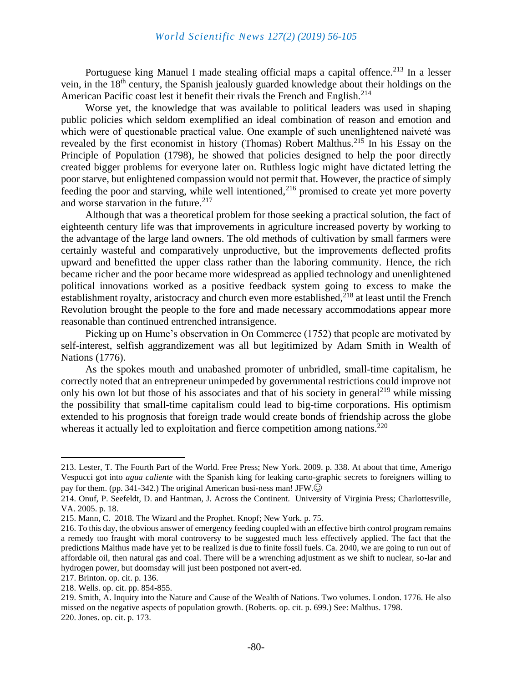Portuguese king Manuel I made stealing official maps a capital offence.<sup>213</sup> In a lesser vein, in the 18th century, the Spanish jealously guarded knowledge about their holdings on the American Pacific coast lest it benefit their rivals the French and English.<sup>214</sup>

Worse yet, the knowledge that was available to political leaders was used in shaping public policies which seldom exemplified an ideal combination of reason and emotion and which were of questionable practical value. One example of such unenlightened naiveté was revealed by the first economist in history (Thomas) Robert Malthus.<sup>215</sup> In his Essay on the Principle of Population (1798), he showed that policies designed to help the poor directly created bigger problems for everyone later on. Ruthless logic might have dictated letting the poor starve, but enlightened compassion would not permit that. However, the practice of simply feeding the poor and starving, while well intentioned,  $2^{16}$  promised to create yet more poverty and worse starvation in the future. $217$ 

Although that was a theoretical problem for those seeking a practical solution, the fact of eighteenth century life was that improvements in agriculture increased poverty by working to the advantage of the large land owners. The old methods of cultivation by small farmers were certainly wasteful and comparatively unproductive, but the improvements deflected profits upward and benefitted the upper class rather than the laboring community. Hence, the rich became richer and the poor became more widespread as applied technology and unenlightened political innovations worked as a positive feedback system going to excess to make the establishment royalty, aristocracy and church even more established, $^{218}$  at least until the French Revolution brought the people to the fore and made necessary accommodations appear more reasonable than continued entrenched intransigence.

Picking up on Hume's observation in On Commerce (1752) that people are motivated by self-interest, selfish aggrandizement was all but legitimized by Adam Smith in Wealth of Nations (1776).

As the spokes mouth and unabashed promoter of unbridled, small-time capitalism, he correctly noted that an entrepreneur unimpeded by governmental restrictions could improve not only his own lot but those of his associates and that of his society in general<sup>219</sup> while missing the possibility that small-time capitalism could lead to big-time corporations. His optimism extended to his prognosis that foreign trade would create bonds of friendship across the globe whereas it actually led to exploitation and fierce competition among nations.<sup>220</sup>

<sup>213.</sup> Lester, T. The Fourth Part of the World. Free Press; New York. 2009. p. 338. At about that time, Amerigo Vespucci got into *agua caliente* with the Spanish king for leaking carto-graphic secrets to foreigners willing to pay for them. (pp. 341-342.) The original American busi-ness man! JFW.

<sup>214.</sup> Onuf, P. Seefeldt, D. and Hantman, J. Across the Continent. University of Virginia Press; Charlottesville, VA. 2005. p. 18.

<sup>215.</sup> Mann, C. 2018. The Wizard and the Prophet. Knopf; New York. p. 75.

<sup>216.</sup> To this day, the obvious answer of emergency feeding coupled with an effective birth control program remains a remedy too fraught with moral controversy to be suggested much less effectively applied. The fact that the predictions Malthus made have yet to be realized is due to finite fossil fuels. Ca. 2040, we are going to run out of affordable oil, then natural gas and coal. There will be a wrenching adjustment as we shift to nuclear, so-lar and hydrogen power, but doomsday will just been postponed not avert-ed.

<sup>217.</sup> Brinton. op. cit. p. 136.

<sup>218.</sup> Wells. op. cit. pp. 854-855.

<sup>219.</sup> Smith, A. Inquiry into the Nature and Cause of the Wealth of Nations. Two volumes. London. 1776. He also missed on the negative aspects of population growth. (Roberts. op. cit. p. 699.) See: Malthus. 1798. 220. Jones. op. cit. p. 173.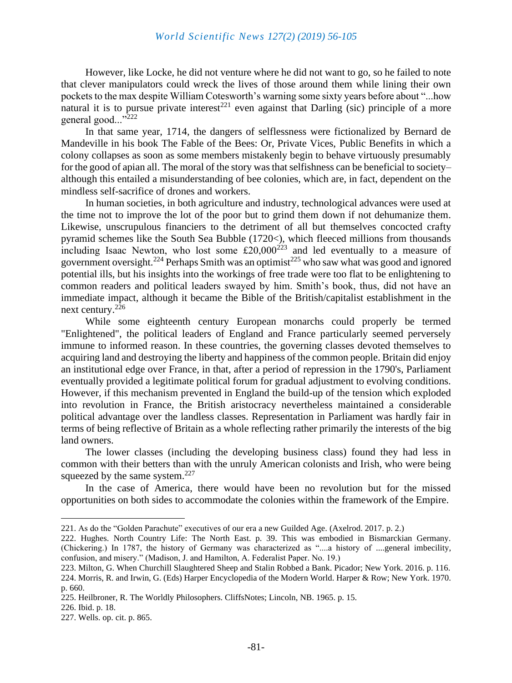However, like Locke, he did not venture where he did not want to go, so he failed to note that clever manipulators could wreck the lives of those around them while lining their own pockets to the max despite William Cotesworth's warning some sixty years before about "...how natural it is to pursue private interest<sup>221</sup> even against that Darling (sic) principle of a more general good..."<sup>222</sup>

In that same year, 1714, the dangers of selflessness were fictionalized by Bernard de Mandeville in his book The Fable of the Bees: Or, Private Vices, Public Benefits in which a colony collapses as soon as some members mistakenly begin to behave virtuously presumably for the good of apian all. The moral of the story was that selfishness can be beneficial to society– although this entailed a misunderstanding of bee colonies, which are, in fact, dependent on the mindless self-sacrifice of drones and workers.

In human societies, in both agriculture and industry, technological advances were used at the time not to improve the lot of the poor but to grind them down if not dehumanize them. Likewise, unscrupulous financiers to the detriment of all but themselves concocted crafty pyramid schemes like the South Sea Bubble (1720<), which fleeced millions from thousands including Isaac Newton, who lost some  $\hat{\epsilon}20,000^{223}$  and led eventually to a measure of government oversight.<sup>224</sup> Perhaps Smith was an optimist<sup>225</sup> who saw what was good and ignored potential ills, but his insights into the workings of free trade were too flat to be enlightening to common readers and political leaders swayed by him. Smith's book, thus, did not have an immediate impact, although it became the Bible of the British/capitalist establishment in the next century.<sup>226</sup>

While some eighteenth century European monarchs could properly be termed "Enlightened", the political leaders of England and France particularly seemed perversely immune to informed reason. In these countries, the governing classes devoted themselves to acquiring land and destroying the liberty and happiness of the common people. Britain did enjoy an institutional edge over France, in that, after a period of repression in the 1790's, Parliament eventually provided a legitimate political forum for gradual adjustment to evolving conditions. However, if this mechanism prevented in England the build-up of the tension which exploded into revolution in France, the British aristocracy nevertheless maintained a considerable political advantage over the landless classes. Representation in Parliament was hardly fair in terms of being reflective of Britain as a whole reflecting rather primarily the interests of the big land owners.

The lower classes (including the developing business class) found they had less in common with their betters than with the unruly American colonists and Irish, who were being squeezed by the same system.<sup>227</sup>

In the case of America, there would have been no revolution but for the missed opportunities on both sides to accommodate the colonies within the framework of the Empire.

<sup>221.</sup> As do the "Golden Parachute" executives of our era a new Guilded Age. (Axelrod. 2017. p. 2.)

<sup>222.</sup> Hughes. North Country Life: The North East. p. 39. This was embodied in Bismarckian Germany. (Chickering.) In 1787, the history of Germany was characterized as "....a history of ....general imbecility, confusion, and misery." (Madison, J. and Hamilton, A. Federalist Paper. No. 19.)

<sup>223.</sup> Milton, G. When Churchill Slaughtered Sheep and Stalin Robbed a Bank. Picador; New York. 2016. p. 116. 224. Morris, R. and Irwin, G. (Eds) Harper Encyclopedia of the Modern World. Harper & Row; New York. 1970. p. 660.

<sup>225.</sup> Heilbroner, R. The Worldly Philosophers. CliffsNotes; Lincoln, NB. 1965. p. 15.

<sup>226.</sup> Ibid. p. 18.

<sup>227.</sup> Wells. op. cit. p. 865.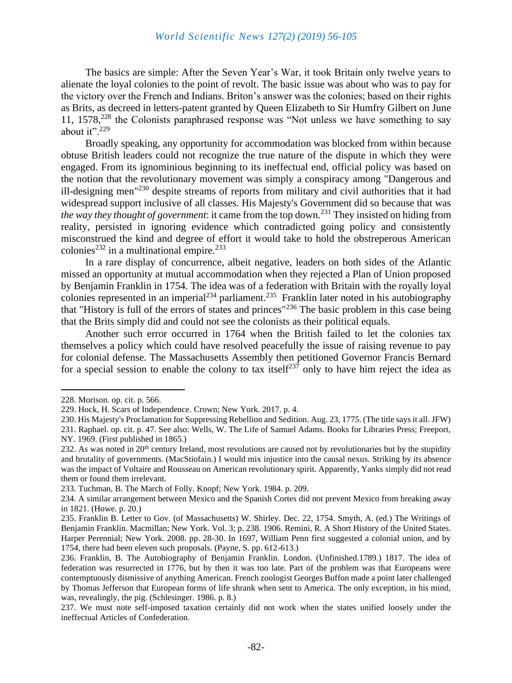The basics are simple: After the Seven Year's War, it took Britain only twelve years to alienate the loyal colonies to the point of revolt. The basic issue was about who was to pay for the victory over the French and Indians. Briton's answer was the colonies; based on their rights as Brits, as decreed in letters-patent granted by Queen Elizabeth to Sir Humfry Gilbert on June 11,  $1578<sup>228</sup>$  the Colonists paraphrased response was "Not unless we have something to say about it". $229$ 

Broadly speaking, any opportunity for accommodation was blocked from within because obtuse British leaders could not recognize the true nature of the dispute in which they were engaged. From its ignominious beginning to its ineffectual end, official policy was based on the notion that the revolutionary movement was simply a conspiracy among "Dangerous and ill-designing men"<sup>230</sup> despite streams of reports from military and civil authorities that it had widespread support inclusive of all classes. His Majesty's Government did so because that was *the way they thought of government*: it came from the top down.<sup>231</sup> They insisted on hiding from reality, persisted in ignoring evidence which contradicted going policy and consistently misconstrued the kind and degree of effort it would take to hold the obstreperous American colonies<sup>232</sup> in a multinational empire.<sup>233</sup>

In a rare display of concurrence, albeit negative, leaders on both sides of the Atlantic missed an opportunity at mutual accommodation when they rejected a Plan of Union proposed by Benjamin Franklin in 1754. The idea was of a federation with Britain with the royally loyal colonies represented in an imperial<sup>234</sup> parliament.<sup>235</sup> Franklin later noted in his autobiography that "History is full of the errors of states and princes"<sup>236</sup> The basic problem in this case being that the Brits simply did and could not see the colonists as their political equals.

Another such error occurred in 1764 when the British failed to let the colonies tax themselves a policy which could have resolved peacefully the issue of raising revenue to pay for colonial defense. The Massachusetts Assembly then petitioned Governor Francis Bernard for a special session to enable the colony to tax itself<sup>237</sup> only to have him reject the idea as

<sup>228.</sup> Morison. op. cit. p. 566.

<sup>229.</sup> Hock, H. Scars of Independence. Crown; New York. 2017. p. 4.

<sup>230.</sup> His Majesty's Proclamation for Suppressing Rebellion and Sedition. Aug. 23, 1775. (The title says it all. JFW)

<sup>231.</sup> Raphael. op. cit. p. 47. See also: Wells, W. The Life of Samuel Adams. Books for Libraries Press; Freeport, NY. 1969. (First published in 1865.)

<sup>232.</sup> As was noted in  $20<sup>th</sup>$  century Ireland, most revolutions are caused not by revolutionaries but by the stupidity and brutality of governments. (MacStiofain.) I would mix injustice into the causal nexus. Striking by its absence was the impact of Voltaire and Rousseau on American revolutionary spirit. Apparently, Yanks simply did not read them or found them irrelevant.

<sup>233.</sup> Tuchman, B. The March of Folly. Knopf; New York. 1984. p. 209.

<sup>234.</sup> A similar arrangement between Mexico and the Spanish Cortes did not prevent Mexico from breaking away in 1821. (Howe. p. 20.)

<sup>235.</sup> Franklin B. Letter to Gov. (of Massachusetts) W. Shirley. Dec. 22, 1754. Smyth, A. (ed.) The Writings of Benjamin Franklin. Macmillan; New York. Vol. 3; p. 238. 1906. Remini, R. A Short History of the United States. Harper Perennial; New York. 2008. pp. 28-30. In 1697, William Penn first suggested a colonial union, and by 1754, there had been eleven such proposals. (Payne, S. pp. 612-613.)

<sup>236.</sup> Franklin, B. The Autobiography of Benjamin Franklin. London. (Unfinished.1789.) 1817. The idea of federation was resurrected in 1776, but by then it was too late. Part of the problem was that Europeans were contemptuously dismissive of anything American. French zoologist Georges Buffon made a point later challenged by Thomas Jefferson that European forms of life shrank when sent to America. The only exception, in his mind, was, revealingly, the pig. (Schlesinger. 1986. p. 8.)

<sup>237.</sup> We must note self-imposed taxation certainly did not work when the states unified loosely under the ineffectual Articles of Confederation.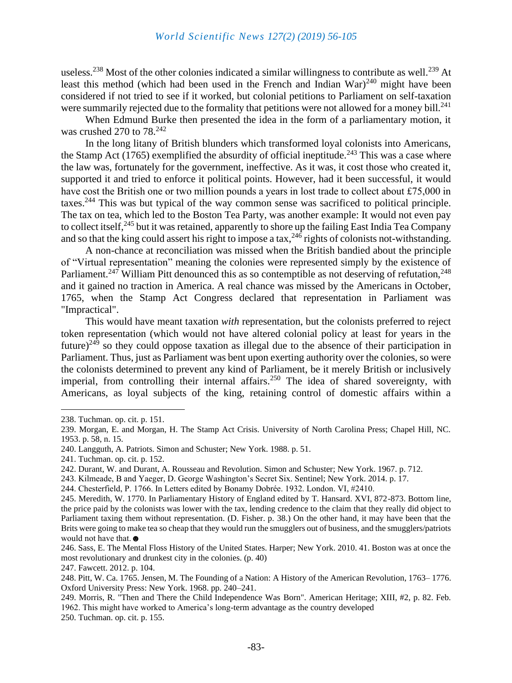useless.<sup>238</sup> Most of the other colonies indicated a similar willingness to contribute as well.<sup>239</sup> At least this method (which had been used in the French and Indian War)<sup>240</sup> might have been considered if not tried to see if it worked, but colonial petitions to Parliament on self-taxation were summarily rejected due to the formality that petitions were not allowed for a money bill.<sup>241</sup>

When Edmund Burke then presented the idea in the form of a parliamentary motion, it was crushed 270 to  $78.<sup>242</sup>$ 

In the long litany of British blunders which transformed loyal colonists into Americans, the Stamp Act  $(1765)$  exemplified the absurdity of official ineptitude.<sup>243</sup> This was a case where the law was, fortunately for the government, ineffective. As it was, it cost those who created it, supported it and tried to enforce it political points. However, had it been successful, it would have cost the British one or two million pounds a years in lost trade to collect about £75,000 in taxes.<sup>244</sup> This was but typical of the way common sense was sacrificed to political principle. The tax on tea, which led to the Boston Tea Party, was another example: It would not even pay to collect itself,<sup>245</sup> but it was retained, apparently to shore up the failing East India Tea Company and so that the king could assert his right to impose a tax,  $^{246}$  rights of colonists not-withstanding.

A non-chance at reconciliation was missed when the British bandied about the principle of "Virtual representation" meaning the colonies were represented simply by the existence of Parliament.<sup>247</sup> William Pitt denounced this as so contemptible as not deserving of refutation,<sup>248</sup> and it gained no traction in America. A real chance was missed by the Americans in October, 1765, when the Stamp Act Congress declared that representation in Parliament was "Impractical".

This would have meant taxation *with* representation, but the colonists preferred to reject token representation (which would not have altered colonial policy at least for years in the future)<sup>249</sup> so they could oppose taxation as illegal due to the absence of their participation in Parliament. Thus, just as Parliament was bent upon exerting authority over the colonies, so were the colonists determined to prevent any kind of Parliament, be it merely British or inclusively imperial, from controlling their internal affairs.<sup>250</sup> The idea of shared sovereignty, with Americans, as loyal subjects of the king, retaining control of domestic affairs within a

<sup>238.</sup> Tuchman. op. cit. p. 151.

<sup>239.</sup> Morgan, E. and Morgan, H. The Stamp Act Crisis. University of North Carolina Press; Chapel Hill, NC. 1953. p. 58, n. 15.

<sup>240.</sup> Langguth, A. Patriots. Simon and Schuster; New York. 1988. p. 51.

<sup>241.</sup> Tuchman. op. cit. p. 152.

<sup>242.</sup> Durant, W. and Durant, A. Rousseau and Revolution. Simon and Schuster; New York. 1967. p. 712.

<sup>243.</sup> Kilmeade, B and Yaeger, D. George Washington's Secret Six. Sentinel; New York. 2014. p. 17.

<sup>244.</sup> Chesterfield, P. 1766. In Letters edited by Bonamy Dobrée. 1932. London. VI, #2410.

<sup>245.</sup> Meredith, W. 1770. In Parliamentary History of England edited by T. Hansard. XVI, 872-873. Bottom line, the price paid by the colonists was lower with the tax, lending credence to the claim that they really did object to Parliament taxing them without representation. (D. Fisher. p. 38.) On the other hand, it may have been that the Brits were going to make tea so cheap that they would run the smugglers out of business, and the smugglers/patriots would not have that. ●

<sup>246.</sup> Sass, E. The Mental Floss History of the United States. Harper; New York. 2010. 41. Boston was at once the most revolutionary and drunkest city in the colonies. (p. 40)

<sup>247.</sup> Fawcett. 2012. p. 104.

<sup>248.</sup> Pitt, W. Ca. 1765. Jensen, M. The Founding of a Nation: A History of the American Revolution, 1763– 1776. Oxford University Press: New York. 1968. pp. 240–241.

<sup>249.</sup> Morris, R. "Then and There the Child Independence Was Born". American Heritage; XIII, #2, p. 82. Feb. 1962. This might have worked to America's long-term advantage as the country developed

<sup>250.</sup> Tuchman. op. cit. p. 155.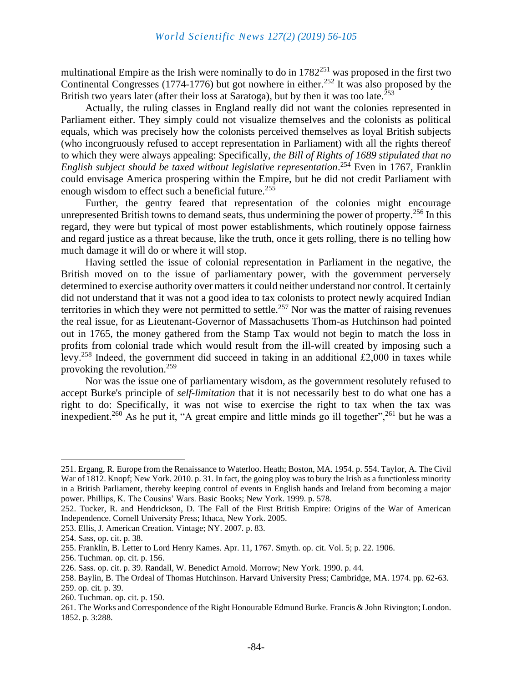multinational Empire as the Irish were nominally to do in  $1782^{251}$  was proposed in the first two Continental Congresses (1774-1776) but got nowhere in either.<sup>252</sup> It was also proposed by the British two years later (after their loss at Saratoga), but by then it was too late.<sup>253</sup>

Actually, the ruling classes in England really did not want the colonies represented in Parliament either. They simply could not visualize themselves and the colonists as political equals, which was precisely how the colonists perceived themselves as loyal British subjects (who incongruously refused to accept representation in Parliament) with all the rights thereof to which they were always appealing: Specifically, *the Bill of Rights of 1689 stipulated that no English subject should be taxed without legislative representation*. <sup>254</sup> Even in 1767, Franklin could envisage America prospering within the Empire, but he did not credit Parliament with enough wisdom to effect such a beneficial future.<sup>255</sup>

Further, the gentry feared that representation of the colonies might encourage unrepresented British towns to demand seats, thus undermining the power of property.<sup>256</sup> In this regard, they were but typical of most power establishments, which routinely oppose fairness and regard justice as a threat because, like the truth, once it gets rolling, there is no telling how much damage it will do or where it will stop.

Having settled the issue of colonial representation in Parliament in the negative, the British moved on to the issue of parliamentary power, with the government perversely determined to exercise authority over matters it could neither understand nor control. It certainly did not understand that it was not a good idea to tax colonists to protect newly acquired Indian territories in which they were not permitted to settle.<sup>257</sup> Nor was the matter of raising revenues the real issue, for as Lieutenant-Governor of Massachusetts Thom-as Hutchinson had pointed out in 1765, the money gathered from the Stamp Tax would not begin to match the loss in profits from colonial trade which would result from the ill-will created by imposing such a levy.<sup>258</sup> Indeed, the government did succeed in taking in an additional  $\text{\pounds}2,000$  in taxes while provoking the revolution. $259$ 

Nor was the issue one of parliamentary wisdom, as the government resolutely refused to accept Burke's principle of *self-limitation* that it is not necessarily best to do what one has a right to do: Specifically, it was not wise to exercise the right to tax when the tax was inexpedient.<sup>260</sup> As he put it, "A great empire and little minds go ill together",<sup>261</sup> but he was a

<sup>251.</sup> Ergang, R. Europe from the Renaissance to Waterloo. Heath; Boston, MA. 1954. p. 554. Taylor, A. The Civil War of 1812. Knopf; New York. 2010. p. 31. In fact, the going ploy was to bury the Irish as a functionless minority in a British Parliament, thereby keeping control of events in English hands and Ireland from becoming a major power. Phillips, K. The Cousins' Wars. Basic Books; New York. 1999. p. 578.

<sup>252.</sup> Tucker, R. and Hendrickson, D. The Fall of the First British Empire: Origins of the War of American Independence. Cornell University Press; Ithaca, New York. 2005.

<sup>253.</sup> Ellis, J. American Creation. Vintage; NY. 2007. p. 83.

<sup>254.</sup> Sass, op. cit. p. 38.

<sup>255.</sup> Franklin, B. Letter to Lord Henry Kames. Apr. 11, 1767. Smyth. op. cit. Vol. 5; p. 22. 1906.

<sup>256.</sup> Tuchman. op. cit. p. 156.

<sup>226.</sup> Sass. op. cit. p. 39. Randall, W. Benedict Arnold. Morrow; New York. 1990. p. 44.

<sup>258.</sup> Baylin, B. The Ordeal of Thomas Hutchinson. Harvard University Press; Cambridge, MA. 1974. pp. 62-63. 259. op. cit. p. 39.

<sup>260.</sup> Tuchman. op. cit. p. 150.

<sup>261.</sup> The Works and Correspondence of the Right Honourable Edmund Burke. Francis & John Rivington; London. 1852. p. 3:288.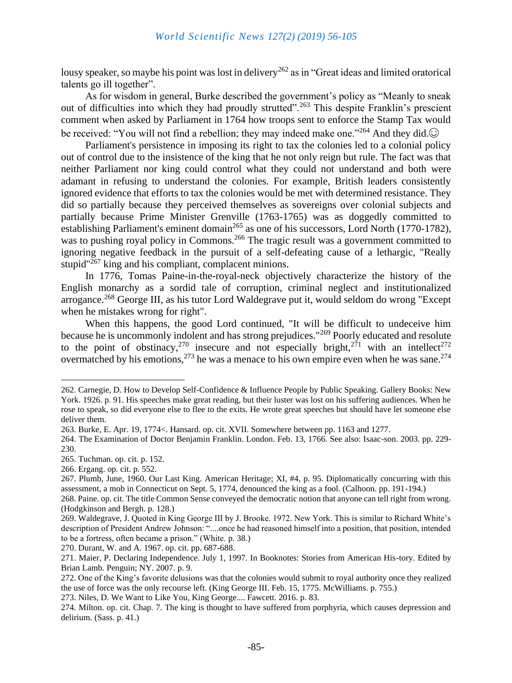lousy speaker, so maybe his point was lost in delivery<sup>262</sup> as in "Great ideas and limited oratorical talents go ill together".

As for wisdom in general, Burke described the government's policy as "Meanly to sneak out of difficulties into which they had proudly strutted".<sup>263</sup> This despite Franklin's prescient comment when asked by Parliament in 1764 how troops sent to enforce the Stamp Tax would be received: "You will not find a rebellion; they may indeed make one."<sup>264</sup> And they did. $\odot$ 

Parliament's persistence in imposing its right to tax the colonies led to a colonial policy out of control due to the insistence of the king that he not only reign but rule. The fact was that neither Parliament nor king could control what they could not understand and both were adamant in refusing to understand the colonies. For example, British leaders consistently ignored evidence that efforts to tax the colonies would be met with determined resistance. They did so partially because they perceived themselves as sovereigns over colonial subjects and partially because Prime Minister Grenville (1763-1765) was as doggedly committed to establishing Parliament's eminent domain<sup>265</sup> as one of his successors, Lord North (1770-1782), was to pushing royal policy in Commons.<sup>266</sup> The tragic result was a government committed to ignoring negative feedback in the pursuit of a self-defeating cause of a lethargic, "Really stupid $1267$  king and his compliant, complacent minions.

In 1776, Tomas Paine-in-the-royal-neck objectively characterize the history of the English monarchy as a sordid tale of corruption, criminal neglect and institutionalized arrogance.<sup>268</sup> George III, as his tutor Lord Waldegrave put it, would seldom do wrong "Except" when he mistakes wrong for right".

When this happens, the good Lord continued, "It will be difficult to undeceive him because he is uncommonly indolent and has strong prejudices."<sup>269</sup> Poorly educated and resolute to the point of obstinacy,<sup>270</sup> insecure and not especially bright,<sup>271</sup> with an intellect<sup>272</sup> overmatched by his emotions,  $273$  he was a menace to his own empire even when he was sane.  $274$ 

266. Ergang. op. cit. p. 552.

270. Durant, W. and A. 1967. op. cit. pp. 687-688.

<sup>262.</sup> Carnegie, D. How to Develop Self-Confidence & Influence People by Public Speaking. Gallery Books: New York. 1926. p. 91. His speeches make great reading, but their luster was lost on his suffering audiences. When he rose to speak, so did everyone else to flee to the exits. He wrote great speeches but should have let someone else deliver them.

<sup>263.</sup> Burke, E. Apr. 19, 1774<. Hansard. op. cit. XVII. Somewhere between pp. 1163 and 1277.

<sup>264.</sup> The Examination of Doctor Benjamin Franklin. London. Feb. 13, 1766. See also: Isaac-son. 2003. pp. 229- 230.

<sup>265.</sup> Tuchman. op. cit. p. 152.

<sup>267.</sup> Plumb, June, 1960. Our Last King. American Heritage; XI, #4, p. 95. Diplomatically concurring with this assessment, a mob in Connecticut on Sept. 5, 1774, denounced the king as a fool. (Calhoon. pp. 191-194.)

<sup>268.</sup> Paine. op. cit. The title Common Sense conveyed the democratic notion that anyone can tell right from wrong. (Hodgkinson and Bergh. p. 128.)

<sup>269.</sup> Waldegrave, J. Quoted in King George III by J. Brooke. 1972. New York. This is similar to Richard White's description of President Andrew Johnson: "....once he had reasoned himself into a position, that position, intended to be a fortress, often became a prison." (White. p. 38.)

<sup>271.</sup> Maier, P. Declaring Independence. July 1, 1997. In Booknotes: Stories from American His-tory. Edited by Brian Lamb. Penguin; NY. 2007. p. 9.

<sup>272.</sup> One of the King's favorite delusions was that the colonies would submit to royal authority once they realized the use of force was the only recourse left. (King George III. Feb. 15, 1775. McWilliams. p. 755.)

<sup>273.</sup> Niles, D. We Want to Like You, King George.... Fawcett. 2016. p. 83.

<sup>274.</sup> Milton. op. cit. Chap. 7. The king is thought to have suffered from porphyria, which causes depression and delirium. (Sass. p. 41.)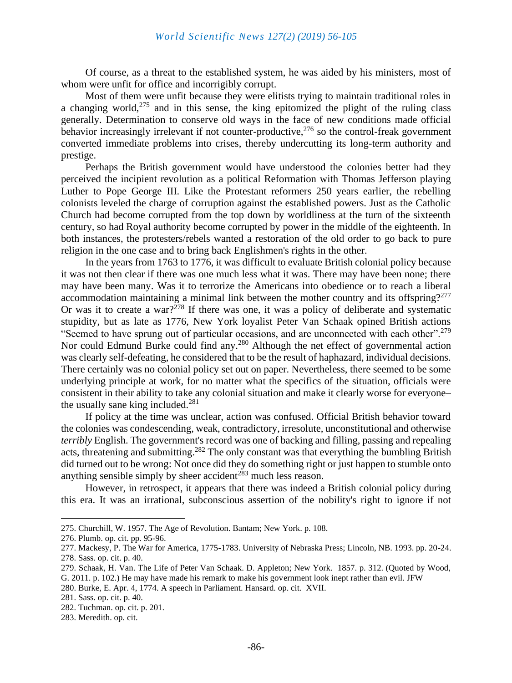Of course, as a threat to the established system, he was aided by his ministers, most of whom were unfit for office and incorrigibly corrupt.

Most of them were unfit because they were elitists trying to maintain traditional roles in a changing world,  $275$  and in this sense, the king epitomized the plight of the ruling class generally. Determination to conserve old ways in the face of new conditions made official behavior increasingly irrelevant if not counter-productive.<sup>276</sup> so the control-freak government converted immediate problems into crises, thereby undercutting its long-term authority and prestige.

Perhaps the British government would have understood the colonies better had they perceived the incipient revolution as a political Reformation with Thomas Jefferson playing Luther to Pope George III. Like the Protestant reformers 250 years earlier, the rebelling colonists leveled the charge of corruption against the established powers. Just as the Catholic Church had become corrupted from the top down by worldliness at the turn of the sixteenth century, so had Royal authority become corrupted by power in the middle of the eighteenth. In both instances, the protesters/rebels wanted a restoration of the old order to go back to pure religion in the one case and to bring back Englishmen's rights in the other.

In the years from 1763 to 1776, it was difficult to evaluate British colonial policy because it was not then clear if there was one much less what it was. There may have been none; there may have been many. Was it to terrorize the Americans into obedience or to reach a liberal accommodation maintaining a minimal link between the mother country and its offspring?<sup>277</sup> Or was it to create a war?<sup> $278$ </sup> If there was one, it was a policy of deliberate and systematic stupidity, but as late as 1776, New York loyalist Peter Van Schaak opined British actions "Seemed to have sprung out of particular occasions, and are unconnected with each other".<sup>279</sup> Nor could Edmund Burke could find any.<sup>280</sup> Although the net effect of governmental action was clearly self-defeating, he considered that to be the result of haphazard, individual decisions. There certainly was no colonial policy set out on paper. Nevertheless, there seemed to be some underlying principle at work, for no matter what the specifics of the situation, officials were consistent in their ability to take any colonial situation and make it clearly worse for everyone– the usually sane king included. $^{281}$ 

If policy at the time was unclear, action was confused. Official British behavior toward the colonies was condescending, weak, contradictory, irresolute, unconstitutional and otherwise *terribly* English. The government's record was one of backing and filling, passing and repealing acts, threatening and submitting.<sup>282</sup> The only constant was that everything the bumbling British did turned out to be wrong: Not once did they do something right or just happen to stumble onto anything sensible simply by sheer accident<sup>283</sup> much less reason.

However, in retrospect, it appears that there was indeed a British colonial policy during this era. It was an irrational, subconscious assertion of the nobility's right to ignore if not

<sup>275.</sup> Churchill, W. 1957. The Age of Revolution. Bantam; New York. p. 108.

<sup>276.</sup> Plumb. op. cit. pp. 95-96.

<sup>277.</sup> Mackesy, P. The War for America, 1775-1783. University of Nebraska Press; Lincoln, NB. 1993. pp. 20-24. 278. Sass. op. cit. p. 40.

<sup>279.</sup> Schaak, H. Van. The Life of Peter Van Schaak. D. Appleton; New York. 1857. p. 312. (Quoted by Wood, G. 2011. p. 102.) He may have made his remark to make his government look inept rather than evil. JFW

<sup>280.</sup> Burke, E. Apr. 4, 1774. A speech in Parliament. Hansard. op. cit. XVII.

<sup>281.</sup> Sass. op. cit. p. 40.

<sup>282.</sup> Tuchman. op. cit. p. 201.

<sup>283.</sup> Meredith. op. cit.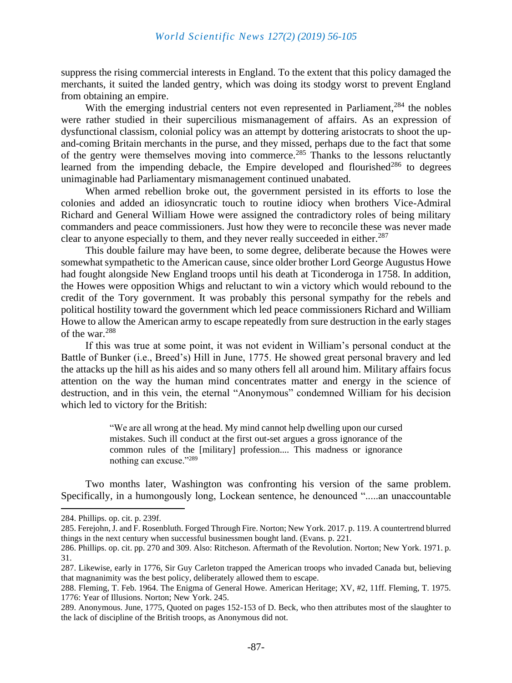suppress the rising commercial interests in England. To the extent that this policy damaged the merchants, it suited the landed gentry, which was doing its stodgy worst to prevent England from obtaining an empire.

With the emerging industrial centers not even represented in Parliament, $284$  the nobles were rather studied in their supercilious mismanagement of affairs. As an expression of dysfunctional classism, colonial policy was an attempt by dottering aristocrats to shoot the upand-coming Britain merchants in the purse, and they missed, perhaps due to the fact that some of the gentry were themselves moving into commerce.<sup>285</sup> Thanks to the lessons reluctantly learned from the impending debacle, the Empire developed and flourished<sup>286</sup> to degrees unimaginable had Parliamentary mismanagement continued unabated.

When armed rebellion broke out, the government persisted in its efforts to lose the colonies and added an idiosyncratic touch to routine idiocy when brothers Vice-Admiral Richard and General William Howe were assigned the contradictory roles of being military commanders and peace commissioners. Just how they were to reconcile these was never made clear to anyone especially to them, and they never really succeeded in either.<sup>287</sup>

This double failure may have been, to some degree, deliberate because the Howes were somewhat sympathetic to the American cause, since older brother Lord George Augustus Howe had fought alongside New England troops until his death at Ticonderoga in 1758. In addition, the Howes were opposition Whigs and reluctant to win a victory which would rebound to the credit of the Tory government. It was probably this personal sympathy for the rebels and political hostility toward the government which led peace commissioners Richard and William Howe to allow the American army to escape repeatedly from sure destruction in the early stages of the war.<sup>288</sup>

If this was true at some point, it was not evident in William's personal conduct at the Battle of Bunker (i.e., Breed's) Hill in June, 1775. He showed great personal bravery and led the attacks up the hill as his aides and so many others fell all around him. Military affairs focus attention on the way the human mind concentrates matter and energy in the science of destruction, and in this vein, the eternal "Anonymous" condemned William for his decision which led to victory for the British:

> "We are all wrong at the head. My mind cannot help dwelling upon our cursed mistakes. Such ill conduct at the first out-set argues a gross ignorance of the common rules of the [military] profession.... This madness or ignorance nothing can excuse."<sup>289</sup>

Two months later, Washington was confronting his version of the same problem. Specifically, in a humongously long, Lockean sentence, he denounced ".....an unaccountable

<sup>284.</sup> Phillips. op. cit. p. 239f.

<sup>285.</sup> Ferejohn, J. and F. Rosenbluth. Forged Through Fire. Norton; New York. 2017. p. 119. A countertrend blurred things in the next century when successful businessmen bought land. (Evans. p. 221.

<sup>286.</sup> Phillips. op. cit. pp. 270 and 309. Also: Ritcheson. Aftermath of the Revolution. Norton; New York. 1971. p. 31.

<sup>287.</sup> Likewise, early in 1776, Sir Guy Carleton trapped the American troops who invaded Canada but, believing that magnanimity was the best policy, deliberately allowed them to escape.

<sup>288.</sup> Fleming, T. Feb. 1964. The Enigma of General Howe. American Heritage; XV, #2, 11ff. Fleming, T. 1975. 1776: Year of Illusions. Norton; New York. 245.

<sup>289.</sup> Anonymous. June, 1775, Quoted on pages 152-153 of D. Beck, who then attributes most of the slaughter to the lack of discipline of the British troops, as Anonymous did not.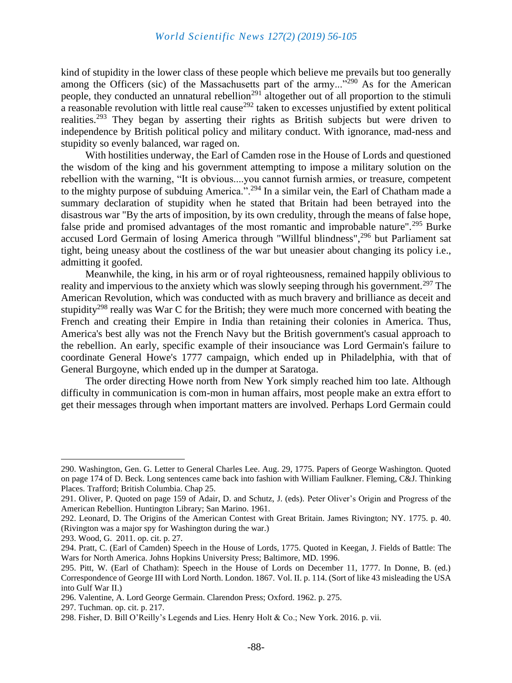kind of stupidity in the lower class of these people which believe me prevails but too generally among the Officers (sic) of the Massachusetts part of the army..."<sup>290</sup> As for the American people, they conducted an unnatural rebellion<sup>291</sup> altogether out of all proportion to the stimuli a reasonable revolution with little real cause<sup>292</sup> taken to excesses unjustified by extent political realities.<sup>293</sup> They began by asserting their rights as British subjects but were driven to independence by British political policy and military conduct. With ignorance, mad-ness and stupidity so evenly balanced, war raged on.

With hostilities underway, the Earl of Camden rose in the House of Lords and questioned the wisdom of the king and his government attempting to impose a military solution on the rebellion with the warning, "It is obvious....you cannot furnish armies, or treasure, competent to the mighty purpose of subduing America.".<sup>294</sup> In a similar vein, the Earl of Chatham made a summary declaration of stupidity when he stated that Britain had been betrayed into the disastrous war "By the arts of imposition, by its own credulity, through the means of false hope, false pride and promised advantages of the most romantic and improbable nature".<sup>295</sup> Burke accused Lord Germain of losing America through "Willful blindness",<sup>296</sup> but Parliament sat tight, being uneasy about the costliness of the war but uneasier about changing its policy i.e., admitting it goofed.

Meanwhile, the king, in his arm or of royal righteousness, remained happily oblivious to reality and impervious to the anxiety which was slowly seeping through his government.<sup>297</sup> The American Revolution, which was conducted with as much bravery and brilliance as deceit and stupidity<sup>298</sup> really was War C for the British; they were much more concerned with beating the French and creating their Empire in India than retaining their colonies in America. Thus, America's best ally was not the French Navy but the British government's casual approach to the rebellion. An early, specific example of their insouciance was Lord Germain's failure to coordinate General Howe's 1777 campaign, which ended up in Philadelphia, with that of General Burgoyne, which ended up in the dumper at Saratoga.

The order directing Howe north from New York simply reached him too late. Although difficulty in communication is com-mon in human affairs, most people make an extra effort to get their messages through when important matters are involved. Perhaps Lord Germain could

<sup>290.</sup> Washington, Gen. G. Letter to General Charles Lee. Aug. 29, 1775. Papers of George Washington. Quoted on page 174 of D. Beck. Long sentences came back into fashion with William Faulkner. Fleming, C&J. Thinking Places. Trafford; British Columbia. Chap 25.

<sup>291.</sup> Oliver, P. Quoted on page 159 of Adair, D. and Schutz, J. (eds). Peter Oliver's Origin and Progress of the American Rebellion. Huntington Library; San Marino. 1961.

<sup>292.</sup> Leonard, D. The Origins of the American Contest with Great Britain. James Rivington; NY. 1775. p. 40. (Rivington was a major spy for Washington during the war.)

<sup>293.</sup> Wood, G. 2011. op. cit. p. 27.

<sup>294.</sup> Pratt, C. (Earl of Camden) Speech in the House of Lords, 1775. Quoted in Keegan, J. Fields of Battle: The Wars for North America. Johns Hopkins University Press; Baltimore, MD. 1996.

<sup>295.</sup> Pitt, W. (Earl of Chatham): Speech in the House of Lords on December 11, 1777. In Donne, B. (ed.) Correspondence of George III with Lord North. London. 1867. Vol. II. p. 114. (Sort of like 43 misleading the USA into Gulf War II.)

<sup>296.</sup> Valentine, A. Lord George Germain. Clarendon Press; Oxford. 1962. p. 275.

<sup>297.</sup> Tuchman. op. cit. p. 217.

<sup>298.</sup> Fisher, D. Bill O'Reilly's Legends and Lies. Henry Holt & Co.; New York. 2016. p. vii.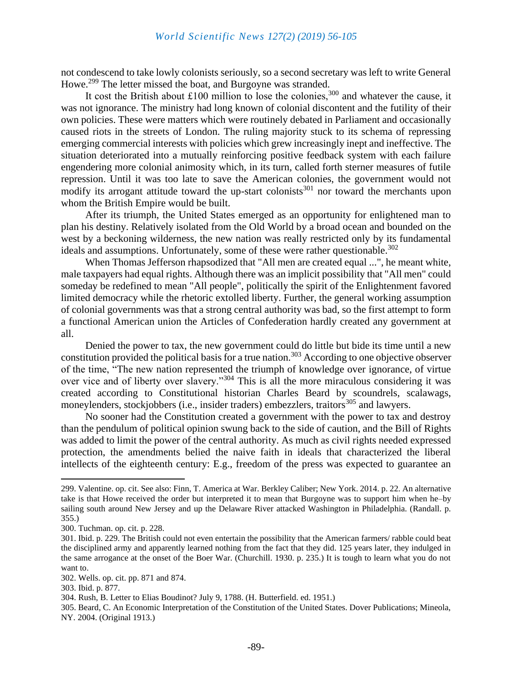not condescend to take lowly colonists seriously, so a second secretary was left to write General Howe.<sup>299</sup> The letter missed the boat, and Burgoyne was stranded.

It cost the British about £100 million to lose the colonies,<sup>300</sup> and whatever the cause, it was not ignorance. The ministry had long known of colonial discontent and the futility of their own policies. These were matters which were routinely debated in Parliament and occasionally caused riots in the streets of London. The ruling majority stuck to its schema of repressing emerging commercial interests with policies which grew increasingly inept and ineffective. The situation deteriorated into a mutually reinforcing positive feedback system with each failure engendering more colonial animosity which, in its turn, called forth sterner measures of futile repression. Until it was too late to save the American colonies, the government would not modify its arrogant attitude toward the up-start colonists<sup>301</sup> nor toward the merchants upon whom the British Empire would be built.

After its triumph, the United States emerged as an opportunity for enlightened man to plan his destiny. Relatively isolated from the Old World by a broad ocean and bounded on the west by a beckoning wilderness, the new nation was really restricted only by its fundamental ideals and assumptions. Unfortunately, some of these were rather questionable.<sup>302</sup>

When Thomas Jefferson rhapsodized that "All men are created equal ...", he meant white, male taxpayers had equal rights. Although there was an implicit possibility that "All men" could someday be redefined to mean "All people", politically the spirit of the Enlightenment favored limited democracy while the rhetoric extolled liberty. Further, the general working assumption of colonial governments was that a strong central authority was bad, so the first attempt to form a functional American union the Articles of Confederation hardly created any government at all.

Denied the power to tax, the new government could do little but bide its time until a new constitution provided the political basis for a true nation.<sup>303</sup> According to one objective observer of the time, "The new nation represented the triumph of knowledge over ignorance, of virtue over vice and of liberty over slavery."<sup>304</sup> This is all the more miraculous considering it was created according to Constitutional historian Charles Beard by scoundrels, scalawags, moneylenders, stockjobbers (i.e., insider traders) embezzlers, traitors<sup>305</sup> and lawyers.

No sooner had the Constitution created a government with the power to tax and destroy than the pendulum of political opinion swung back to the side of caution, and the Bill of Rights was added to limit the power of the central authority. As much as civil rights needed expressed protection, the amendments belied the naive faith in ideals that characterized the liberal intellects of the eighteenth century: E.g., freedom of the press was expected to guarantee an

<sup>299.</sup> Valentine. op. cit. See also: Finn, T. America at War. Berkley Caliber; New York. 2014. p. 22. An alternative take is that Howe received the order but interpreted it to mean that Burgoyne was to support him when he–by sailing south around New Jersey and up the Delaware River attacked Washington in Philadelphia. (Randall. p. 355.)

<sup>300.</sup> Tuchman. op. cit. p. 228.

<sup>301.</sup> Ibid. p. 229. The British could not even entertain the possibility that the American farmers/ rabble could beat the disciplined army and apparently learned nothing from the fact that they did. 125 years later, they indulged in the same arrogance at the onset of the Boer War. (Churchill. 1930. p. 235.) It is tough to learn what you do not want to.

<sup>302.</sup> Wells. op. cit. pp. 871 and 874.

<sup>303.</sup> Ibid. p. 877.

<sup>304.</sup> Rush, B. Letter to Elias Boudinot? July 9, 1788. (H. Butterfield. ed. 1951.)

<sup>305.</sup> Beard, C. An Economic Interpretation of the Constitution of the United States. Dover Publications; Mineola, NY. 2004. (Original 1913.)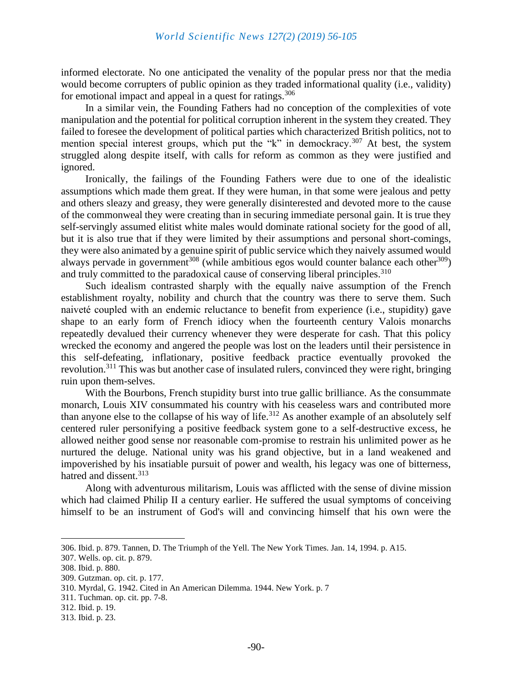informed electorate. No one anticipated the venality of the popular press nor that the media would become corrupters of public opinion as they traded informational quality (i.e., validity) for emotional impact and appeal in a quest for ratings.<sup>306</sup>

In a similar vein, the Founding Fathers had no conception of the complexities of vote manipulation and the potential for political corruption inherent in the system they created. They failed to foresee the development of political parties which characterized British politics, not to mention special interest groups, which put the "k" in demockracy.<sup>307</sup> At best, the system struggled along despite itself, with calls for reform as common as they were justified and ignored.

Ironically, the failings of the Founding Fathers were due to one of the idealistic assumptions which made them great. If they were human, in that some were jealous and petty and others sleazy and greasy, they were generally disinterested and devoted more to the cause of the commonweal they were creating than in securing immediate personal gain. It is true they self-servingly assumed elitist white males would dominate rational society for the good of all, but it is also true that if they were limited by their assumptions and personal short-comings, they were also animated by a genuine spirit of public service which they naively assumed would always pervade in government<sup>308</sup> (while ambitious egos would counter balance each other<sup>309</sup>) and truly committed to the paradoxical cause of conserving liberal principles.<sup>310</sup>

Such idealism contrasted sharply with the equally naive assumption of the French establishment royalty, nobility and church that the country was there to serve them. Such naiveté coupled with an endemic reluctance to benefit from experience (i.e., stupidity) gave shape to an early form of French idiocy when the fourteenth century Valois monarchs repeatedly devalued their currency whenever they were desperate for cash. That this policy wrecked the economy and angered the people was lost on the leaders until their persistence in this self-defeating, inflationary, positive feedback practice eventually provoked the revolution.<sup>311</sup> This was but another case of insulated rulers, convinced they were right, bringing ruin upon them-selves.

With the Bourbons, French stupidity burst into true gallic brilliance. As the consummate monarch, Louis XIV consummated his country with his ceaseless wars and contributed more than anyone else to the collapse of his way of life.<sup>312</sup> As another example of an absolutely self centered ruler personifying a positive feedback system gone to a self-destructive excess, he allowed neither good sense nor reasonable com-promise to restrain his unlimited power as he nurtured the deluge. National unity was his grand objective, but in a land weakened and impoverished by his insatiable pursuit of power and wealth, his legacy was one of bitterness, hatred and dissent.<sup>313</sup>

Along with adventurous militarism, Louis was afflicted with the sense of divine mission which had claimed Philip II a century earlier. He suffered the usual symptoms of conceiving himself to be an instrument of God's will and convincing himself that his own were the

<sup>306.</sup> Ibid. p. 879. Tannen, D. The Triumph of the Yell. The New York Times. Jan. 14, 1994. p. A15.

<sup>307.</sup> Wells. op. cit. p. 879.

<sup>308.</sup> Ibid. p. 880.

<sup>309.</sup> Gutzman. op. cit. p. 177.

<sup>310.</sup> Myrdal, G. 1942. Cited in An American Dilemma. 1944. New York. p. 7

<sup>311.</sup> Tuchman. op. cit. pp. 7-8.

<sup>312.</sup> Ibid. p. 19.

<sup>313.</sup> Ibid. p. 23.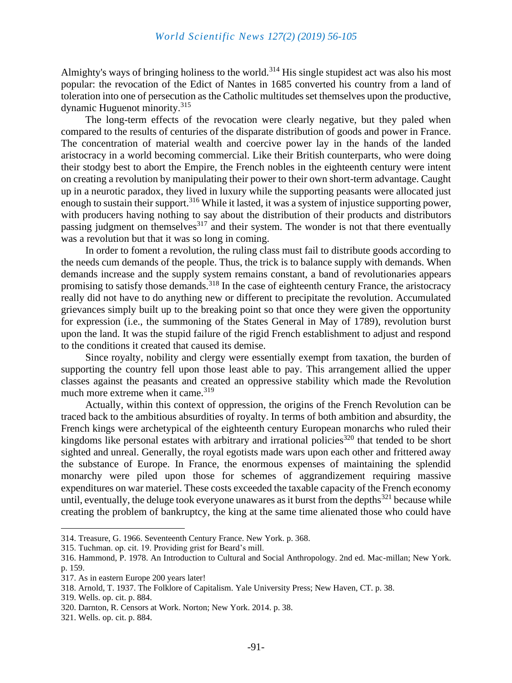Almighty's ways of bringing holiness to the world.<sup>314</sup> His single stupidest act was also his most popular: the revocation of the Edict of Nantes in 1685 converted his country from a land of toleration into one of persecution as the Catholic multitudes set themselves upon the productive, dynamic Huguenot minority.<sup>315</sup>

The long-term effects of the revocation were clearly negative, but they paled when compared to the results of centuries of the disparate distribution of goods and power in France. The concentration of material wealth and coercive power lay in the hands of the landed aristocracy in a world becoming commercial. Like their British counterparts, who were doing their stodgy best to abort the Empire, the French nobles in the eighteenth century were intent on creating a revolution by manipulating their power to their own short-term advantage. Caught up in a neurotic paradox, they lived in luxury while the supporting peasants were allocated just enough to sustain their support.<sup>316</sup> While it lasted, it was a system of injustice supporting power, with producers having nothing to say about the distribution of their products and distributors passing judgment on themselves<sup>317</sup> and their system. The wonder is not that there eventually was a revolution but that it was so long in coming.

In order to foment a revolution, the ruling class must fail to distribute goods according to the needs cum demands of the people. Thus, the trick is to balance supply with demands. When demands increase and the supply system remains constant, a band of revolutionaries appears promising to satisfy those demands.<sup>318</sup> In the case of eighteenth century France, the aristocracy really did not have to do anything new or different to precipitate the revolution. Accumulated grievances simply built up to the breaking point so that once they were given the opportunity for expression (i.e., the summoning of the States General in May of 1789), revolution burst upon the land. It was the stupid failure of the rigid French establishment to adjust and respond to the conditions it created that caused its demise.

Since royalty, nobility and clergy were essentially exempt from taxation, the burden of supporting the country fell upon those least able to pay. This arrangement allied the upper classes against the peasants and created an oppressive stability which made the Revolution much more extreme when it came.<sup>319</sup>

Actually, within this context of oppression, the origins of the French Revolution can be traced back to the ambitious absurdities of royalty. In terms of both ambition and absurdity, the French kings were archetypical of the eighteenth century European monarchs who ruled their kingdoms like personal estates with arbitrary and irrational policies<sup>320</sup> that tended to be short sighted and unreal. Generally, the royal egotists made wars upon each other and frittered away the substance of Europe. In France, the enormous expenses of maintaining the splendid monarchy were piled upon those for schemes of aggrandizement requiring massive expenditures on war materiel. These costs exceeded the taxable capacity of the French economy until, eventually, the deluge took everyone unawares as it burst from the depths<sup>321</sup> because while creating the problem of bankruptcy, the king at the same time alienated those who could have

<sup>314.</sup> Treasure, G. 1966. Seventeenth Century France. New York. p. 368.

<sup>315.</sup> Tuchman. op. cit. 19. Providing grist for Beard's mill.

<sup>316.</sup> Hammond, P. 1978. An Introduction to Cultural and Social Anthropology. 2nd ed. Mac-millan; New York. p. 159.

<sup>317.</sup> As in eastern Europe 200 years later!

<sup>318.</sup> Arnold, T. 1937. The Folklore of Capitalism. Yale University Press; New Haven, CT. p. 38.

<sup>319.</sup> Wells. op. cit. p. 884.

<sup>320.</sup> Darnton, R. Censors at Work. Norton; New York. 2014. p. 38.

<sup>321.</sup> Wells. op. cit. p. 884.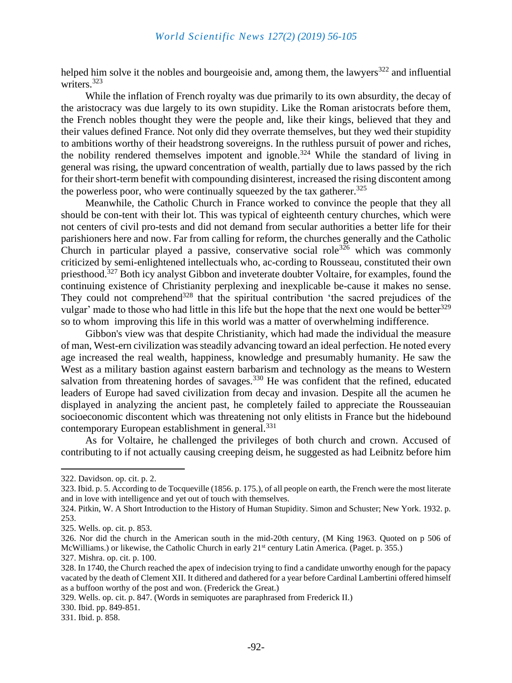helped him solve it the nobles and bourgeoisie and, among them, the lawyers<sup>322</sup> and influential writers.<sup>323</sup>

While the inflation of French royalty was due primarily to its own absurdity, the decay of the aristocracy was due largely to its own stupidity. Like the Roman aristocrats before them, the French nobles thought they were the people and, like their kings, believed that they and their values defined France. Not only did they overrate themselves, but they wed their stupidity to ambitions worthy of their headstrong sovereigns. In the ruthless pursuit of power and riches, the nobility rendered themselves impotent and ignoble.<sup>324</sup> While the standard of living in general was rising, the upward concentration of wealth, partially due to laws passed by the rich for their short-term benefit with compounding disinterest, increased the rising discontent among the powerless poor, who were continually squeezed by the tax gatherer.<sup>325</sup>

Meanwhile, the Catholic Church in France worked to convince the people that they all should be con-tent with their lot. This was typical of eighteenth century churches, which were not centers of civil pro-tests and did not demand from secular authorities a better life for their parishioners here and now. Far from calling for reform, the churches generally and the Catholic Church in particular played a passive, conservative social role<sup>326</sup> which was commonly criticized by semi-enlightened intellectuals who, ac-cording to Rousseau, constituted their own priesthood.<sup>327</sup> Both icy analyst Gibbon and inveterate doubter Voltaire, for examples, found the continuing existence of Christianity perplexing and inexplicable be-cause it makes no sense. They could not comprehend<sup>328</sup> that the spiritual contribution 'the sacred prejudices of the vulgar' made to those who had little in this life but the hope that the next one would be better<sup>329</sup> so to whom improving this life in this world was a matter of overwhelming indifference.

Gibbon's view was that despite Christianity, which had made the individual the measure of man, West-ern civilization was steadily advancing toward an ideal perfection. He noted every age increased the real wealth, happiness, knowledge and presumably humanity. He saw the West as a military bastion against eastern barbarism and technology as the means to Western salvation from threatening hordes of savages.<sup>330</sup> He was confident that the refined, educated leaders of Europe had saved civilization from decay and invasion. Despite all the acumen he displayed in analyzing the ancient past, he completely failed to appreciate the Rousseauian socioeconomic discontent which was threatening not only elitists in France but the hidebound contemporary European establishment in general.<sup>331</sup>

As for Voltaire, he challenged the privileges of both church and crown. Accused of contributing to if not actually causing creeping deism, he suggested as had Leibnitz before him

<sup>322.</sup> Davidson. op. cit. p. 2.

<sup>323.</sup> Ibid. p. 5. According to de Tocqueville (1856. p. 175.), of all people on earth, the French were the most literate and in love with intelligence and yet out of touch with themselves.

<sup>324.</sup> Pitkin, W. A Short Introduction to the History of Human Stupidity. Simon and Schuster; New York. 1932. p. 253.

<sup>325.</sup> Wells. op. cit. p. 853.

<sup>326.</sup> Nor did the church in the American south in the mid-20th century, (M King 1963. Quoted on p 506 of McWilliams.) or likewise, the Catholic Church in early 21<sup>st</sup> century Latin America. (Paget. p. 355.)

<sup>327.</sup> Mishra. op. cit. p. 100.

<sup>328.</sup> In 1740, the Church reached the apex of indecision trying to find a candidate unworthy enough for the papacy vacated by the death of Clement XII. It dithered and dathered for a year before Cardinal Lambertini offered himself as a buffoon worthy of the post and won. (Frederick the Great.)

<sup>329.</sup> Wells. op. cit. p. 847. (Words in semiquotes are paraphrased from Frederick II.)

<sup>330.</sup> Ibid. pp. 849-851.

<sup>331.</sup> Ibid. p. 858.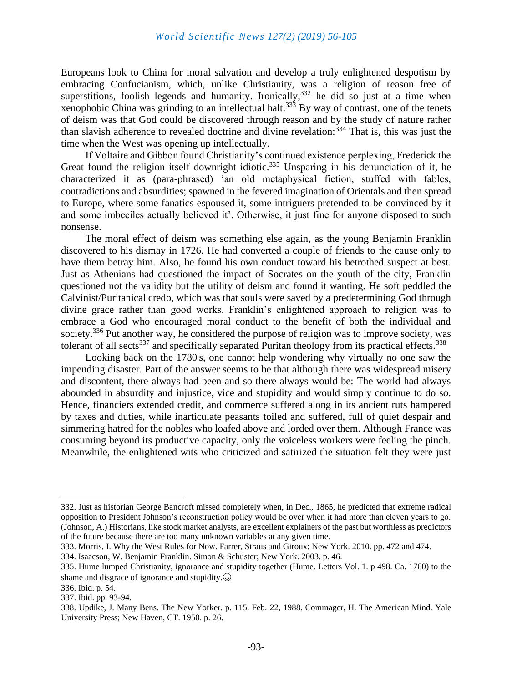Europeans look to China for moral salvation and develop a truly enlightened despotism by embracing Confucianism, which, unlike Christianity, was a religion of reason free of superstitions, foolish legends and humanity. Ironically,  $332$  he did so just at a time when xenophobic China was grinding to an intellectual halt.<sup>333</sup> By way of contrast, one of the tenets of deism was that God could be discovered through reason and by the study of nature rather than slavish adherence to revealed doctrine and divine revelation:  $334$  That is, this was just the time when the West was opening up intellectually.

If Voltaire and Gibbon found Christianity's continued existence perplexing, Frederick the Great found the religion itself downright idiotic.<sup>335</sup> Unsparing in his denunciation of it, he characterized it as (para-phrased) 'an old metaphysical fiction, stuffed with fables, contradictions and absurdities; spawned in the fevered imagination of Orientals and then spread to Europe, where some fanatics espoused it, some intriguers pretended to be convinced by it and some imbeciles actually believed it'. Otherwise, it just fine for anyone disposed to such nonsense.

The moral effect of deism was something else again, as the young Benjamin Franklin discovered to his dismay in 1726. He had converted a couple of friends to the cause only to have them betray him. Also, he found his own conduct toward his betrothed suspect at best. Just as Athenians had questioned the impact of Socrates on the youth of the city, Franklin questioned not the validity but the utility of deism and found it wanting. He soft peddled the Calvinist/Puritanical credo, which was that souls were saved by a predetermining God through divine grace rather than good works. Franklin's enlightened approach to religion was to embrace a God who encouraged moral conduct to the benefit of both the individual and society.<sup>336</sup> Put another way, he considered the purpose of religion was to improve society, was tolerant of all sects<sup>337</sup> and specifically separated Puritan theology from its practical effects.<sup>338</sup>

Looking back on the 1780's, one cannot help wondering why virtually no one saw the impending disaster. Part of the answer seems to be that although there was widespread misery and discontent, there always had been and so there always would be: The world had always abounded in absurdity and injustice, vice and stupidity and would simply continue to do so. Hence, financiers extended credit, and commerce suffered along in its ancient ruts hampered by taxes and duties, while inarticulate peasants toiled and suffered, full of quiet despair and simmering hatred for the nobles who loafed above and lorded over them. Although France was consuming beyond its productive capacity, only the voiceless workers were feeling the pinch. Meanwhile, the enlightened wits who criticized and satirized the situation felt they were just

<sup>332.</sup> Just as historian George Bancroft missed completely when, in Dec., 1865, he predicted that extreme radical opposition to President Johnson's reconstruction policy would be over when it had more than eleven years to go. (Johnson, A.) Historians, like stock market analysts, are excellent explainers of the past but worthless as predictors of the future because there are too many unknown variables at any given time.

<sup>333.</sup> Morris, I. Why the West Rules for Now. Farrer, Straus and Giroux; New York. 2010. pp. 472 and 474.

<sup>334.</sup> Isaacson, W. Benjamin Franklin. Simon & Schuster; New York. 2003. p. 46.

<sup>335.</sup> Hume lumped Christianity, ignorance and stupidity together (Hume. Letters Vol. 1. p 498. Ca. 1760) to the shame and disgrace of ignorance and stupidity. $\odot$ 

<sup>336.</sup> Ibid. p. 54.

<sup>337.</sup> Ibid. pp. 93-94.

<sup>338.</sup> Updike, J. Many Bens. The New Yorker. p. 115. Feb. 22, 1988. Commager, H. The American Mind. Yale University Press; New Haven, CT. 1950. p. 26.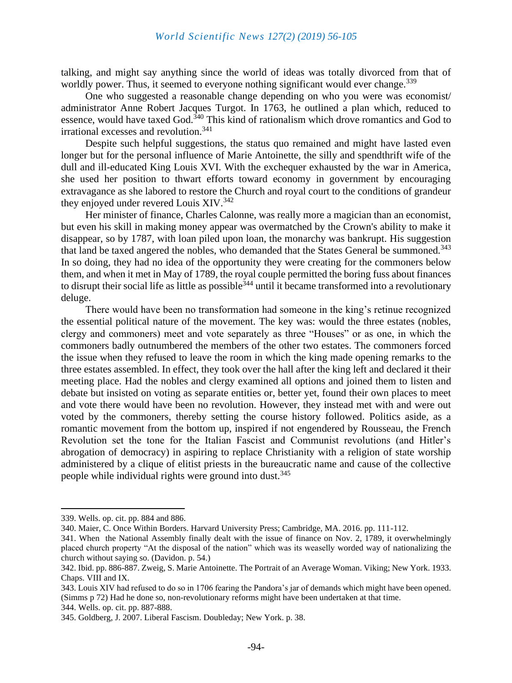#### *World Scientific News 127(2) (2019) 56-105*

talking, and might say anything since the world of ideas was totally divorced from that of worldly power. Thus, it seemed to everyone nothing significant would ever change.<sup>339</sup>

One who suggested a reasonable change depending on who you were was economist/ administrator Anne Robert Jacques Turgot. In 1763, he outlined a plan which, reduced to essence, would have taxed God.<sup>340</sup> This kind of rationalism which drove romantics and God to irrational excesses and revolution.<sup>341</sup>

Despite such helpful suggestions, the status quo remained and might have lasted even longer but for the personal influence of Marie Antoinette, the silly and spendthrift wife of the dull and ill-educated King Louis XVI. With the exchequer exhausted by the war in America, she used her position to thwart efforts toward economy in government by encouraging extravagance as she labored to restore the Church and royal court to the conditions of grandeur they enjoyed under revered Louis XIV.<sup>342</sup>

Her minister of finance, Charles Calonne, was really more a magician than an economist, but even his skill in making money appear was overmatched by the Crown's ability to make it disappear, so by 1787, with loan piled upon loan, the monarchy was bankrupt. His suggestion that land be taxed angered the nobles, who demanded that the States General be summoned.<sup>343</sup> In so doing, they had no idea of the opportunity they were creating for the commoners below them, and when it met in May of 1789, the royal couple permitted the boring fuss about finances to disrupt their social life as little as possible<sup>344</sup> until it became transformed into a revolutionary deluge.

There would have been no transformation had someone in the king's retinue recognized the essential political nature of the movement. The key was: would the three estates (nobles, clergy and commoners) meet and vote separately as three "Houses" or as one, in which the commoners badly outnumbered the members of the other two estates. The commoners forced the issue when they refused to leave the room in which the king made opening remarks to the three estates assembled. In effect, they took over the hall after the king left and declared it their meeting place. Had the nobles and clergy examined all options and joined them to listen and debate but insisted on voting as separate entities or, better yet, found their own places to meet and vote there would have been no revolution. However, they instead met with and were out voted by the commoners, thereby setting the course history followed. Politics aside, as a romantic movement from the bottom up, inspired if not engendered by Rousseau, the French Revolution set the tone for the Italian Fascist and Communist revolutions (and Hitler's abrogation of democracy) in aspiring to replace Christianity with a religion of state worship administered by a clique of elitist priests in the bureaucratic name and cause of the collective people while individual rights were ground into dust.<sup>345</sup>

<sup>339.</sup> Wells. op. cit. pp. 884 and 886.

<sup>340.</sup> Maier, C. Once Within Borders. Harvard University Press; Cambridge, MA. 2016. pp. 111-112.

<sup>341.</sup> When the National Assembly finally dealt with the issue of finance on Nov. 2, 1789, it overwhelmingly placed church property "At the disposal of the nation" which was its weaselly worded way of nationalizing the church without saying so. (Davidon. p. 54.)

<sup>342.</sup> Ibid. pp. 886-887. Zweig, S. Marie Antoinette. The Portrait of an Average Woman. Viking; New York. 1933. Chaps. VIII and IX.

<sup>343.</sup> Louis XIV had refused to do so in 1706 fearing the Pandora's jar of demands which might have been opened. (Simms p 72) Had he done so, non-revolutionary reforms might have been undertaken at that time.

<sup>344.</sup> Wells. op. cit. pp. 887-888.

<sup>345.</sup> Goldberg, J. 2007. Liberal Fascism. Doubleday; New York. p. 38.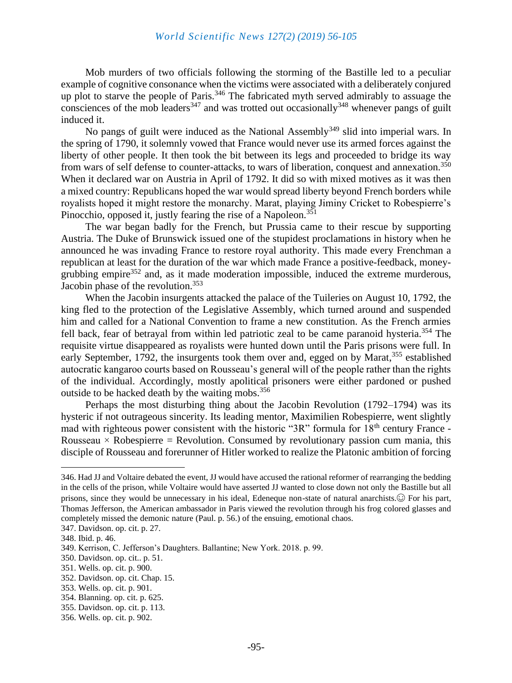Mob murders of two officials following the storming of the Bastille led to a peculiar example of cognitive consonance when the victims were associated with a deliberately conjured up plot to starve the people of Paris.<sup>346</sup> The fabricated myth served admirably to assuage the consciences of the mob leaders<sup>347</sup> and was trotted out occasionally<sup>348</sup> whenever pangs of guilt induced it.

No pangs of guilt were induced as the National Assembly<sup>349</sup> slid into imperial wars. In the spring of 1790, it solemnly vowed that France would never use its armed forces against the liberty of other people. It then took the bit between its legs and proceeded to bridge its way from wars of self defense to counter-attacks, to wars of liberation, conquest and annexation.<sup>350</sup> When it declared war on Austria in April of 1792. It did so with mixed motives as it was then a mixed country: Republicans hoped the war would spread liberty beyond French borders while royalists hoped it might restore the monarchy. Marat, playing Jiminy Cricket to Robespierre's Pinocchio, opposed it, justly fearing the rise of a Napoleon.<sup>351</sup>

The war began badly for the French, but Prussia came to their rescue by supporting Austria. The Duke of Brunswick issued one of the stupidest proclamations in history when he announced he was invading France to restore royal authority. This made every Frenchman a republican at least for the duration of the war which made France a positive-feedback, moneygrubbing empire $352$  and, as it made moderation impossible, induced the extreme murderous, Jacobin phase of the revolution.<sup>353</sup>

When the Jacobin insurgents attacked the palace of the Tuileries on August 10, 1792, the king fled to the protection of the Legislative Assembly, which turned around and suspended him and called for a National Convention to frame a new constitution. As the French armies fell back, fear of betrayal from within led patriotic zeal to be came paranoid hysteria.<sup>354</sup> The requisite virtue disappeared as royalists were hunted down until the Paris prisons were full. In early September, 1792, the insurgents took them over and, egged on by Marat,<sup>355</sup> established autocratic kangaroo courts based on Rousseau's general will of the people rather than the rights of the individual. Accordingly, mostly apolitical prisoners were either pardoned or pushed outside to be hacked death by the waiting mobs.<sup>356</sup>

Perhaps the most disturbing thing about the Jacobin Revolution (1792–1794) was its hysteric if not outrageous sincerity. Its leading mentor, Maximilien Robespierre, went slightly mad with righteous power consistent with the historic "3R" formula for  $18<sup>th</sup>$  century France -Rousseau  $\times$  Robespierre = Revolution. Consumed by revolutionary passion cum mania, this disciple of Rousseau and forerunner of Hitler worked to realize the Platonic ambition of forcing

<sup>346.</sup> Had JJ and Voltaire debated the event, JJ would have accused the rational reformer of rearranging the bedding in the cells of the prison, while Voltaire would have asserted JJ wanted to close down not only the Bastille but all prisons, since they would be unnecessary in his ideal, Edeneque non-state of natural anarchists.☺ For his part, Thomas Jefferson, the American ambassador in Paris viewed the revolution through his frog colored glasses and completely missed the demonic nature (Paul. p. 56.) of the ensuing, emotional chaos.

<sup>347.</sup> Davidson. op. cit. p. 27.

<sup>348.</sup> Ibid. p. 46.

<sup>349.</sup> Kerrison, C. Jefferson's Daughters. Ballantine; New York. 2018. p. 99.

<sup>350.</sup> Davidson. op. cit.. p. 51.

<sup>351.</sup> Wells. op. cit. p. 900.

<sup>352.</sup> Davidson. op. cit. Chap. 15.

<sup>353.</sup> Wells. op. cit. p. 901.

<sup>354.</sup> Blanning. op. cit. p. 625.

<sup>355.</sup> Davidson. op. cit. p. 113.

<sup>356.</sup> Wells. op. cit. p. 902.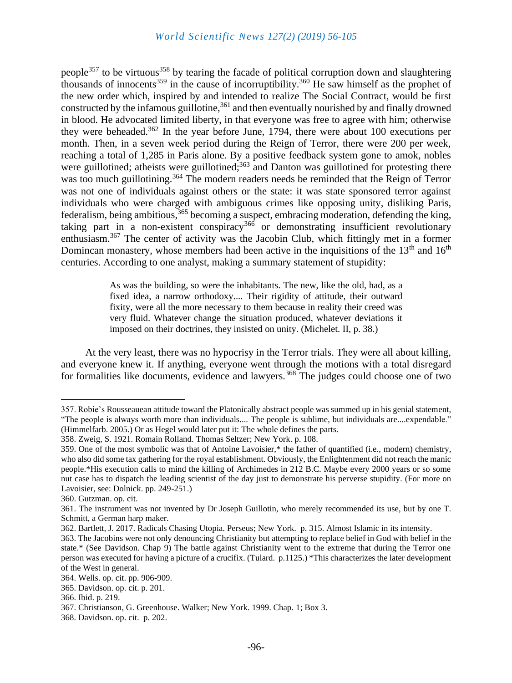# *World Scientific News 127(2) (2019) 56-105*

people<sup>357</sup> to be virtuous<sup>358</sup> by tearing the facade of political corruption down and slaughtering thousands of innocents<sup>359</sup> in the cause of incorruptibility.<sup>360</sup> He saw himself as the prophet of the new order which, inspired by and intended to realize The Social Contract, would be first constructed by the infamous guillotine,  $361$  and then eventually nourished by and finally drowned in blood. He advocated limited liberty, in that everyone was free to agree with him; otherwise they were beheaded.<sup>362</sup> In the year before June, 1794, there were about 100 executions per month. Then, in a seven week period during the Reign of Terror, there were 200 per week, reaching a total of 1,285 in Paris alone. By a positive feedback system gone to amok, nobles were guillotined; atheists were guillotined;<sup>363</sup> and Danton was guillotined for protesting there was too much guillotining.<sup>364</sup> The modern readers needs be reminded that the Reign of Terror was not one of individuals against others or the state: it was state sponsored terror against individuals who were charged with ambiguous crimes like opposing unity, disliking Paris, federalism, being ambitious,<sup>365</sup> becoming a suspect, embracing moderation, defending the king, taking part in a non-existent conspiracy<sup>366</sup> or demonstrating insufficient revolutionary enthusiasm.<sup>367</sup> The center of activity was the Jacobin Club, which fittingly met in a former Domincan monastery, whose members had been active in the inquisitions of the  $13<sup>th</sup>$  and  $16<sup>th</sup>$ centuries. According to one analyst, making a summary statement of stupidity:

> As was the building, so were the inhabitants. The new, like the old, had, as a fixed idea, a narrow orthodoxy.... Their rigidity of attitude, their outward fixity, were all the more necessary to them because in reality their creed was very fluid. Whatever change the situation produced, whatever deviations it imposed on their doctrines, they insisted on unity. (Michelet. II, p. 38.)

At the very least, there was no hypocrisy in the Terror trials. They were all about killing, and everyone knew it. If anything, everyone went through the motions with a total disregard for formalities like documents, evidence and lawyers.<sup>368</sup> The judges could choose one of two

<sup>357.</sup> Robie's Rousseauean attitude toward the Platonically abstract people was summed up in his genial statement, "The people is always worth more than individuals.... The people is sublime, but individuals are....expendable." (Himmelfarb. 2005.) Or as Hegel would later put it: The whole defines the parts.

<sup>358.</sup> Zweig, S. 1921. Romain Rolland. Thomas Seltzer; New York. p. 108.

<sup>359.</sup> One of the most symbolic was that of Antoine Lavoisier,\* the father of quantified (i.e., modern) chemistry, who also did some tax gathering for the royal establishment. Obviously, the Enlightenment did not reach the manic people.\*His execution calls to mind the killing of Archimedes in 212 B.C. Maybe every 2000 years or so some nut case has to dispatch the leading scientist of the day just to demonstrate his perverse stupidity. (For more on Lavoisier, see: Dolnick. pp. 249-251.)

<sup>360.</sup> Gutzman. op. cit.

<sup>361.</sup> The instrument was not invented by Dr Joseph Guillotin, who merely recommended its use, but by one T. Schmitt, a German harp maker.

<sup>362.</sup> Bartlett, J. 2017. Radicals Chasing Utopia. Perseus; New York. p. 315. Almost Islamic in its intensity.

<sup>363.</sup> The Jacobins were not only denouncing Christianity but attempting to replace belief in God with belief in the state.\* (See Davidson. Chap 9) The battle against Christianity went to the extreme that during the Terror one person was executed for having a picture of a crucifix. (Tulard. p.1125.) \*This characterizes the later development of the West in general.

<sup>364.</sup> Wells. op. cit. pp. 906-909.

<sup>365.</sup> Davidson. op. cit. p. 201.

<sup>366.</sup> Ibid. p. 219.

<sup>367.</sup> Christianson, G. Greenhouse. Walker; New York. 1999. Chap. 1; Box 3.

<sup>368.</sup> Davidson. op. cit. p. 202.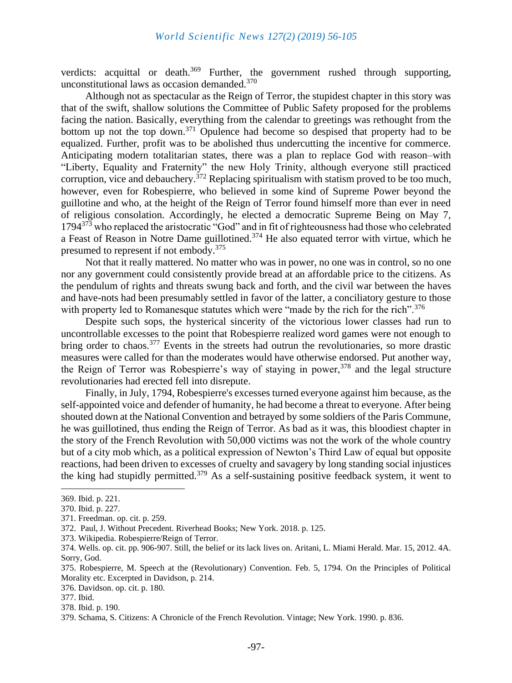verdicts: acquittal or death.<sup>369</sup> Further, the government rushed through supporting, unconstitutional laws as occasion demanded.<sup>370</sup>

Although not as spectacular as the Reign of Terror, the stupidest chapter in this story was that of the swift, shallow solutions the Committee of Public Safety proposed for the problems facing the nation. Basically, everything from the calendar to greetings was rethought from the bottom up not the top down.<sup>371</sup> Opulence had become so despised that property had to be equalized. Further, profit was to be abolished thus undercutting the incentive for commerce. Anticipating modern totalitarian states, there was a plan to replace God with reason–with "Liberty, Equality and Fraternity" the new Holy Trinity, although everyone still practiced corruption, vice and debauchery.<sup>372</sup> Replacing spiritualism with statism proved to be too much, however, even for Robespierre, who believed in some kind of Supreme Power beyond the guillotine and who, at the height of the Reign of Terror found himself more than ever in need of religious consolation. Accordingly, he elected a democratic Supreme Being on May 7, 1794<sup>373</sup> who replaced the aristocratic "God" and in fit of righteousness had those who celebrated a Feast of Reason in Notre Dame guillotined.<sup>374</sup> He also equated terror with virtue, which he presumed to represent if not embody.<sup>375</sup>

Not that it really mattered. No matter who was in power, no one was in control, so no one nor any government could consistently provide bread at an affordable price to the citizens. As the pendulum of rights and threats swung back and forth, and the civil war between the haves and have-nots had been presumably settled in favor of the latter, a conciliatory gesture to those with property led to Romanesque statutes which were "made by the rich for the rich".<sup>376</sup>

Despite such sops, the hysterical sincerity of the victorious lower classes had run to uncontrollable excesses to the point that Robespierre realized word games were not enough to bring order to chaos.<sup>377</sup> Events in the streets had outrun the revolutionaries, so more drastic measures were called for than the moderates would have otherwise endorsed. Put another way, the Reign of Terror was Robespierre's way of staying in power,<sup>378</sup> and the legal structure revolutionaries had erected fell into disrepute.

Finally, in July, 1794, Robespierre's excesses turned everyone against him because, as the self-appointed voice and defender of humanity, he had become a threat to everyone. After being shouted down at the National Convention and betrayed by some soldiers of the Paris Commune, he was guillotined, thus ending the Reign of Terror. As bad as it was, this bloodiest chapter in the story of the French Revolution with 50,000 victims was not the work of the whole country but of a city mob which, as a political expression of Newton's Third Law of equal but opposite reactions, had been driven to excesses of cruelty and savagery by long standing social injustices the king had stupidly permitted.<sup>379</sup> As a self-sustaining positive feedback system, it went to

373. Wikipedia. Robespierre/Reign of Terror.

376. Davidson. op. cit. p. 180.

<sup>369.</sup> Ibid. p. 221.

<sup>370.</sup> Ibid. p. 227.

<sup>371.</sup> Freedman. op. cit. p. 259.

<sup>372.</sup> Paul, J. Without Precedent. Riverhead Books; New York. 2018. p. 125.

<sup>374.</sup> Wells. op. cit. pp. 906-907. Still, the belief or its lack lives on. Aritani, L. Miami Herald. Mar. 15, 2012. 4A. Sorry, God.

<sup>375.</sup> Robespierre, M. Speech at the (Revolutionary) Convention. Feb. 5, 1794. On the Principles of Political Morality etc. Excerpted in Davidson, p. 214.

<sup>377.</sup> Ibid.

<sup>378.</sup> Ibid. p. 190.

<sup>379.</sup> Schama, S. Citizens: A Chronicle of the French Revolution. Vintage; New York. 1990. p. 836.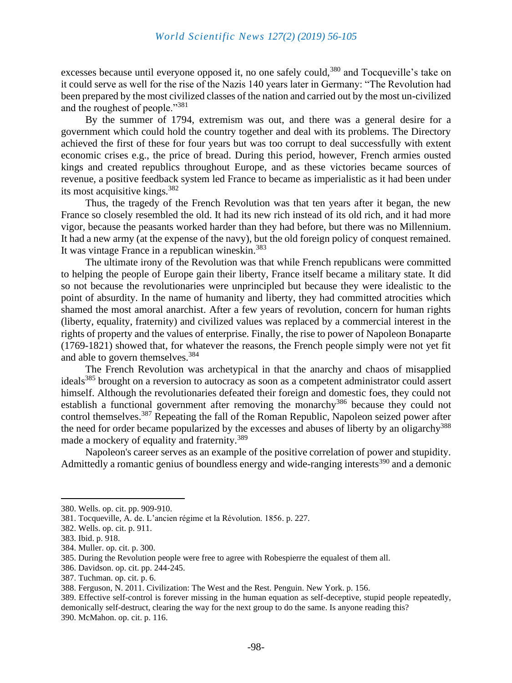excesses because until everyone opposed it, no one safely could,<sup>380</sup> and Tocqueville's take on it could serve as well for the rise of the Nazis 140 years later in Germany: "The Revolution had been prepared by the most civilized classes of the nation and carried out by the most un-civilized and the roughest of people."<sup>381</sup>

By the summer of 1794, extremism was out, and there was a general desire for a government which could hold the country together and deal with its problems. The Directory achieved the first of these for four years but was too corrupt to deal successfully with extent economic crises e.g., the price of bread. During this period, however, French armies ousted kings and created republics throughout Europe, and as these victories became sources of revenue, a positive feedback system led France to became as imperialistic as it had been under its most acquisitive kings.<sup>382</sup>

Thus, the tragedy of the French Revolution was that ten years after it began, the new France so closely resembled the old. It had its new rich instead of its old rich, and it had more vigor, because the peasants worked harder than they had before, but there was no Millennium. It had a new army (at the expense of the navy), but the old foreign policy of conquest remained. It was vintage France in a republican wineskin.<sup>383</sup>

The ultimate irony of the Revolution was that while French republicans were committed to helping the people of Europe gain their liberty, France itself became a military state. It did so not because the revolutionaries were unprincipled but because they were idealistic to the point of absurdity. In the name of humanity and liberty, they had committed atrocities which shamed the most amoral anarchist. After a few years of revolution, concern for human rights (liberty, equality, fraternity) and civilized values was replaced by a commercial interest in the rights of property and the values of enterprise. Finally, the rise to power of Napoleon Bonaparte (1769-1821) showed that, for whatever the reasons, the French people simply were not yet fit and able to govern themselves.<sup>384</sup>

The French Revolution was archetypical in that the anarchy and chaos of misapplied ideals<sup>385</sup> brought on a reversion to autocracy as soon as a competent administrator could assert himself. Although the revolutionaries defeated their foreign and domestic foes, they could not establish a functional government after removing the monarchy<sup>386</sup> because they could not control themselves.<sup>387</sup> Repeating the fall of the Roman Republic, Napoleon seized power after the need for order became popularized by the excesses and abuses of liberty by an oligarchy<sup>388</sup> made a mockery of equality and fraternity.<sup>389</sup>

Napoleon's career serves as an example of the positive correlation of power and stupidity. Admittedly a romantic genius of boundless energy and wide-ranging interests<sup>390</sup> and a demonic

<sup>380.</sup> Wells. op. cit. pp. 909-910.

<sup>381.</sup> Tocqueville, A. de. L'ancien régime et la Révolution. 1856. p. 227.

<sup>382.</sup> Wells. op. cit. p. 911.

<sup>383.</sup> Ibid. p. 918.

<sup>384.</sup> Muller. op. cit. p. 300.

<sup>385.</sup> During the Revolution people were free to agree with Robespierre the equalest of them all.

<sup>386.</sup> Davidson. op. cit. pp. 244-245.

<sup>387.</sup> Tuchman. op. cit. p. 6.

<sup>388.</sup> Ferguson, N. 2011. Civilization: The West and the Rest. Penguin. New York. p. 156.

<sup>389.</sup> Effective self-control is forever missing in the human equation as self-deceptive, stupid people repeatedly, demonically self-destruct, clearing the way for the next group to do the same. Is anyone reading this? 390. McMahon. op. cit. p. 116.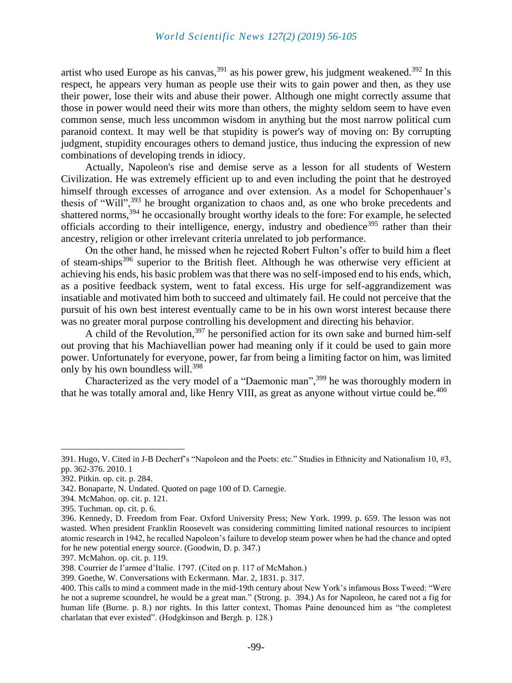artist who used Europe as his canvas,  $391$  as his power grew, his judgment weakened.  $392$  In this respect, he appears very human as people use their wits to gain power and then, as they use their power, lose their wits and abuse their power. Although one might correctly assume that those in power would need their wits more than others, the mighty seldom seem to have even common sense, much less uncommon wisdom in anything but the most narrow political cum paranoid context. It may well be that stupidity is power's way of moving on: By corrupting judgment, stupidity encourages others to demand justice, thus inducing the expression of new combinations of developing trends in idiocy.

Actually, Napoleon's rise and demise serve as a lesson for all students of Western Civilization. He was extremely efficient up to and even including the point that he destroyed himself through excesses of arrogance and over extension. As a model for Schopenhauer's thesis of "Will",<sup>393</sup> he brought organization to chaos and, as one who broke precedents and shattered norms,<sup>394</sup> he occasionally brought worthy ideals to the fore: For example, he selected officials according to their intelligence, energy, industry and obedience<sup>395</sup> rather than their ancestry, religion or other irrelevant criteria unrelated to job performance.

On the other hand, he missed when he rejected Robert Fulton's offer to build him a fleet of steam-ships<sup>396</sup> superior to the British fleet. Although he was otherwise very efficient at achieving his ends, his basic problem was that there was no self-imposed end to his ends, which, as a positive feedback system, went to fatal excess. His urge for self-aggrandizement was insatiable and motivated him both to succeed and ultimately fail. He could not perceive that the pursuit of his own best interest eventually came to be in his own worst interest because there was no greater moral purpose controlling his development and directing his behavior.

A child of the Revolution,  $397$  he personified action for its own sake and burned him-self out proving that his Machiavellian power had meaning only if it could be used to gain more power. Unfortunately for everyone, power, far from being a limiting factor on him, was limited only by his own boundless will.<sup>398</sup>

Characterized as the very model of a "Daemonic man",<sup>399</sup> he was thoroughly modern in that he was totally amoral and, like Henry VIII, as great as anyone without virtue could be.<sup>400</sup>

<sup>391.</sup> Hugo, V. Cited in J-B Decherf's "Napoleon and the Poets: etc." Studies in Ethnicity and Nationalism 10, #3, pp. 362-376. 2010. 1

<sup>392.</sup> Pitkin. op. cit. p. 284.

<sup>342.</sup> Bonaparte, N. Undated. Quoted on page 100 of D. Carnegie.

<sup>394.</sup> McMahon. op. cit. p. 121.

<sup>395.</sup> Tuchman. op. cit. p. 6.

<sup>396.</sup> Kennedy, D. Freedom from Fear. Oxford University Press; New York. 1999. p. 659. The lesson was not wasted. When president Franklin Roosevelt was considering committing limited national resources to incipient atomic research in 1942, he recalled Napoleon's failure to develop steam power when he had the chance and opted for he new potential energy source. (Goodwin, D. p. 347.)

<sup>397.</sup> McMahon. op. cit. p. 119.

<sup>398.</sup> Courrier de l'armee d'Italie. 1797. (Cited on p. 117 of McMahon.)

<sup>399.</sup> Goethe, W. Conversations with Eckermann. Mar. 2, 1831. p. 317.

<sup>400.</sup> This calls to mind a comment made in the mid-19th century about New York's infamous Boss Tweed: "Were he not a supreme scoundrel, he would be a great man." (Strong. p. 394.) As for Napoleon, he cared not a fig for human life (Burne. p. 8.) nor rights. In this latter context, Thomas Paine denounced him as "the completest charlatan that ever existed". (Hodgkinson and Bergh. p. 128.)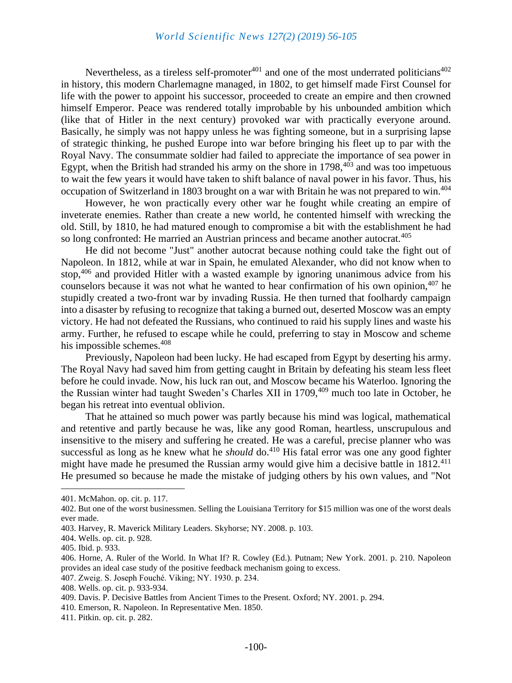Nevertheless, as a tireless self-promoter $401$  and one of the most underrated politicians $402$ in history, this modern Charlemagne managed, in 1802, to get himself made First Counsel for life with the power to appoint his successor, proceeded to create an empire and then crowned himself Emperor. Peace was rendered totally improbable by his unbounded ambition which (like that of Hitler in the next century) provoked war with practically everyone around. Basically, he simply was not happy unless he was fighting someone, but in a surprising lapse of strategic thinking, he pushed Europe into war before bringing his fleet up to par with the Royal Navy. The consummate soldier had failed to appreciate the importance of sea power in Egypt, when the British had stranded his army on the shore in  $1798,403$  and was too impetuous to wait the few years it would have taken to shift balance of naval power in his favor. Thus, his occupation of Switzerland in 1803 brought on a war with Britain he was not prepared to win.<sup>404</sup>

However, he won practically every other war he fought while creating an empire of inveterate enemies. Rather than create a new world, he contented himself with wrecking the old. Still, by 1810, he had matured enough to compromise a bit with the establishment he had so long confronted: He married an Austrian princess and became another autocrat.<sup>405</sup>

He did not become "Just" another autocrat because nothing could take the fight out of Napoleon. In 1812, while at war in Spain, he emulated Alexander, who did not know when to stop,<sup>406</sup> and provided Hitler with a wasted example by ignoring unanimous advice from his counselors because it was not what he wanted to hear confirmation of his own opinion,<sup>407</sup> he stupidly created a two-front war by invading Russia. He then turned that foolhardy campaign into a disaster by refusing to recognize that taking a burned out, deserted Moscow was an empty victory. He had not defeated the Russians, who continued to raid his supply lines and waste his army. Further, he refused to escape while he could, preferring to stay in Moscow and scheme his impossible schemes.<sup>408</sup>

Previously, Napoleon had been lucky. He had escaped from Egypt by deserting his army. The Royal Navy had saved him from getting caught in Britain by defeating his steam less fleet before he could invade. Now, his luck ran out, and Moscow became his Waterloo. Ignoring the the Russian winter had taught Sweden's Charles XII in 1709,<sup>409</sup> much too late in October, he began his retreat into eventual oblivion.

That he attained so much power was partly because his mind was logical, mathematical and retentive and partly because he was, like any good Roman, heartless, unscrupulous and insensitive to the misery and suffering he created. He was a careful, precise planner who was successful as long as he knew what he *should* do.<sup>410</sup> His fatal error was one any good fighter might have made he presumed the Russian army would give him a decisive battle in  $1812^{411}$ He presumed so because he made the mistake of judging others by his own values, and "Not

<sup>401.</sup> McMahon. op. cit. p. 117.

<sup>402.</sup> But one of the worst businessmen. Selling the Louisiana Territory for \$15 million was one of the worst deals ever made.

<sup>403.</sup> Harvey, R. Maverick Military Leaders. Skyhorse; NY. 2008. p. 103.

<sup>404.</sup> Wells. op. cit. p. 928.

<sup>405.</sup> Ibid. p. 933.

<sup>406.</sup> Horne, A. Ruler of the World. In What If? R. Cowley (Ed.). Putnam; New York. 2001. p. 210. Napoleon provides an ideal case study of the positive feedback mechanism going to excess.

<sup>407.</sup> Zweig. S. Joseph Fouché. Viking; NY. 1930. p. 234.

<sup>408.</sup> Wells. op. cit. p. 933-934.

<sup>409.</sup> Davis. P. Decisive Battles from Ancient Times to the Present. Oxford; NY. 2001. p. 294.

<sup>410.</sup> Emerson, R. Napoleon. In Representative Men. 1850.

<sup>411.</sup> Pitkin. op. cit. p. 282.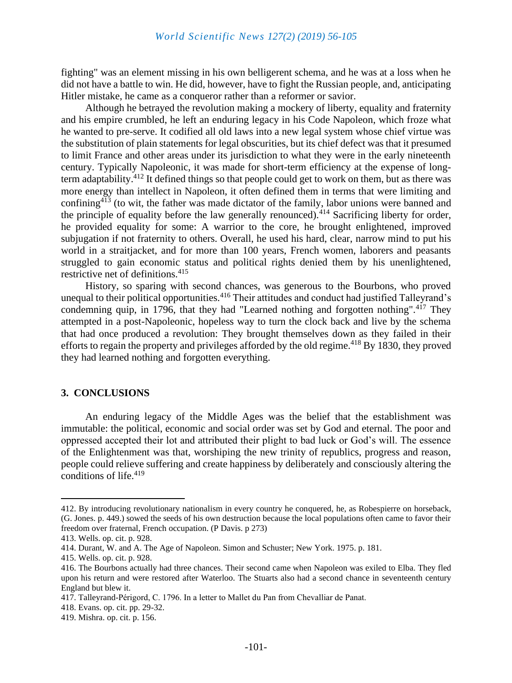fighting" was an element missing in his own belligerent schema, and he was at a loss when he did not have a battle to win. He did, however, have to fight the Russian people, and, anticipating Hitler mistake, he came as a conqueror rather than a reformer or savior.

Although he betrayed the revolution making a mockery of liberty, equality and fraternity and his empire crumbled, he left an enduring legacy in his Code Napoleon, which froze what he wanted to pre-serve. It codified all old laws into a new legal system whose chief virtue was the substitution of plain statements for legal obscurities, but its chief defect was that it presumed to limit France and other areas under its jurisdiction to what they were in the early nineteenth century. Typically Napoleonic, it was made for short-term efficiency at the expense of longterm adaptability.<sup>412</sup> It defined things so that people could get to work on them, but as there was more energy than intellect in Napoleon, it often defined them in terms that were limiting and confining<sup>413</sup> (to wit, the father was made dictator of the family, labor unions were banned and the principle of equality before the law generally renounced).<sup>414</sup> Sacrificing liberty for order, he provided equality for some: A warrior to the core, he brought enlightened, improved subjugation if not fraternity to others. Overall, he used his hard, clear, narrow mind to put his world in a straitjacket, and for more than 100 years, French women, laborers and peasants struggled to gain economic status and political rights denied them by his unenlightened, restrictive net of definitions.<sup>415</sup>

History, so sparing with second chances, was generous to the Bourbons, who proved unequal to their political opportunities.<sup>416</sup> Their attitudes and conduct had justified Talleyrand's condemning quip, in 1796, that they had "Learned nothing and forgotten nothing".<sup>417</sup> They attempted in a post-Napoleonic, hopeless way to turn the clock back and live by the schema that had once produced a revolution: They brought themselves down as they failed in their efforts to regain the property and privileges afforded by the old regime.<sup>418</sup> By 1830, they proved they had learned nothing and forgotten everything.

#### **3. CONCLUSIONS**

An enduring legacy of the Middle Ages was the belief that the establishment was immutable: the political, economic and social order was set by God and eternal. The poor and oppressed accepted their lot and attributed their plight to bad luck or God's will. The essence of the Enlightenment was that, worshiping the new trinity of republics, progress and reason, people could relieve suffering and create happiness by deliberately and consciously altering the conditions of life.<sup>419</sup>

<sup>412.</sup> By introducing revolutionary nationalism in every country he conquered, he, as Robespierre on horseback, (G. Jones. p. 449.) sowed the seeds of his own destruction because the local populations often came to favor their freedom over fraternal, French occupation. (P Davis. p 273)

<sup>413.</sup> Wells. op. cit. p. 928.

<sup>414.</sup> Durant, W. and A. The Age of Napoleon. Simon and Schuster; New York. 1975. p. 181.

<sup>415.</sup> Wells. op. cit. p. 928.

<sup>416.</sup> The Bourbons actually had three chances. Their second came when Napoleon was exiled to Elba. They fled upon his return and were restored after Waterloo. The Stuarts also had a second chance in seventeenth century England but blew it.

<sup>417.</sup> Talleyrand-Périgord, C. 1796. In a letter to Mallet du Pan from Chevalliar de Panat.

<sup>418.</sup> Evans. op. cit. pp. 29-32.

<sup>419.</sup> Mishra. op. cit. p. 156.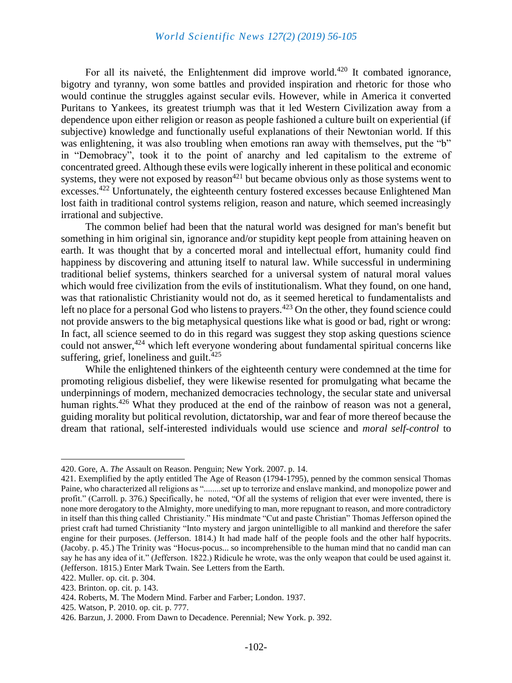For all its naiveté, the Enlightenment did improve world.<sup>420</sup> It combated ignorance, bigotry and tyranny, won some battles and provided inspiration and rhetoric for those who would continue the struggles against secular evils. However, while in America it converted Puritans to Yankees, its greatest triumph was that it led Western Civilization away from a dependence upon either religion or reason as people fashioned a culture built on experiential (if subjective) knowledge and functionally useful explanations of their Newtonian world. If this was enlightening, it was also troubling when emotions ran away with themselves, put the "b" in "Demobracy", took it to the point of anarchy and led capitalism to the extreme of concentrated greed. Although these evils were logically inherent in these political and economic systems, they were not exposed by reason<sup>421</sup> but became obvious only as those systems went to excesses.<sup>422</sup> Unfortunately, the eighteenth century fostered excesses because Enlightened Man lost faith in traditional control systems religion, reason and nature, which seemed increasingly irrational and subjective.

The common belief had been that the natural world was designed for man's benefit but something in him original sin, ignorance and/or stupidity kept people from attaining heaven on earth. It was thought that by a concerted moral and intellectual effort, humanity could find happiness by discovering and attuning itself to natural law. While successful in undermining traditional belief systems, thinkers searched for a universal system of natural moral values which would free civilization from the evils of institutionalism. What they found, on one hand, was that rationalistic Christianity would not do, as it seemed heretical to fundamentalists and left no place for a personal God who listens to prayers.<sup>423</sup> On the other, they found science could not provide answers to the big metaphysical questions like what is good or bad, right or wrong: In fact, all science seemed to do in this regard was suggest they stop asking questions science could not answer,<sup>424</sup> which left everyone wondering about fundamental spiritual concerns like suffering, grief, loneliness and guilt. $425$ 

While the enlightened thinkers of the eighteenth century were condemned at the time for promoting religious disbelief, they were likewise resented for promulgating what became the underpinnings of modern, mechanized democracies technology, the secular state and universal human rights.<sup>426</sup> What they produced at the end of the rainbow of reason was not a general, guiding morality but political revolution, dictatorship, war and fear of more thereof because the dream that rational, self-interested individuals would use science and *moral self-control* to

<sup>420.</sup> Gore, A. *The* Assault on Reason. Penguin; New York. 2007. p. 14.

<sup>421.</sup> Exemplified by the aptly entitled The Age of Reason (1794-1795), penned by the common sensical Thomas Paine, who characterized all religions as "........set up to terrorize and enslave mankind, and monopolize power and profit." (Carroll. p. 376.) Specifically, he noted, "Of all the systems of religion that ever were invented, there is none more derogatory to the Almighty, more unedifying to man, more repugnant to reason, and more contradictory in itself than this thing called Christianity." His mindmate "Cut and paste Christian" Thomas Jefferson opined the priest craft had turned Christianity "Into mystery and jargon unintelligible to all mankind and therefore the safer engine for their purposes. (Jefferson. 1814.) It had made half of the people fools and the other half hypocrits. (Jacoby. p. 45.) The Trinity was "Hocus-pocus... so incomprehensible to the human mind that no candid man can say he has any idea of it." (Jefferson. 1822.) Ridicule he wrote, was the only weapon that could be used against it. (Jefferson. 1815.) Enter Mark Twain. See Letters from the Earth.

<sup>422.</sup> Muller. op. cit. p. 304.

<sup>423.</sup> Brinton. op. cit. p. 143.

<sup>424.</sup> Roberts, M. The Modern Mind. Farber and Farber; London. 1937.

<sup>425.</sup> Watson, P. 2010. op. cit. p. 777.

<sup>426.</sup> Barzun, J. 2000. From Dawn to Decadence. Perennial; New York. p. 392.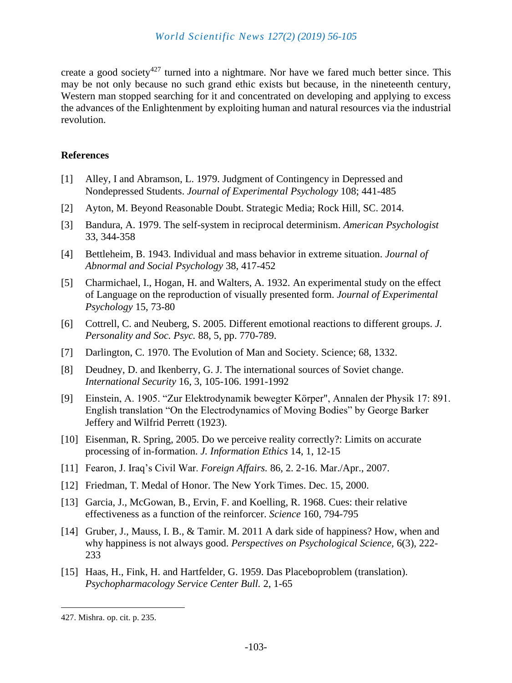create a good society<sup>427</sup> turned into a nightmare. Nor have we fared much better since. This may be not only because no such grand ethic exists but because, in the nineteenth century, Western man stopped searching for it and concentrated on developing and applying to excess the advances of the Enlightenment by exploiting human and natural resources via the industrial revolution.

# **References**

- [1] Alley, I and Abramson, L. 1979. Judgment of Contingency in Depressed and Nondepressed Students. *Journal of Experimental Psychology* 108; 441-485
- [2] Ayton, M. Beyond Reasonable Doubt. Strategic Media; Rock Hill, SC. 2014.
- [3] Bandura, A. 1979. The self-system in reciprocal determinism. *American Psychologist* 33, 344-358
- [4] Bettleheim, B. 1943. Individual and mass behavior in extreme situation. *Journal of Abnormal and Social Psychology* 38, 417-452
- [5] Charmichael, I., Hogan, H. and Walters, A. 1932. An experimental study on the effect of Language on the reproduction of visually presented form. *Journal of Experimental Psychology* 15, 73-80
- [6] Cottrell, C. and Neuberg, S. 2005. Different emotional reactions to different groups. *J. Personality and Soc. Psyc.* 88, 5, pp. 770-789.
- [7] Darlington, C. 1970. The Evolution of Man and Society. Science; 68, 1332.
- [8] Deudney, D. and Ikenberry, G. J. The international sources of Soviet change. *International Security* 16, 3, 105-106. 1991-1992
- [9] Einstein, A. 1905. "Zur Elektrodynamik bewegter Körper", Annalen der Physik 17: 891. English translation "On the Electrodynamics of Moving Bodies" by George Barker Jeffery and Wilfrid Perrett (1923).
- [10] Eisenman, R. Spring, 2005. Do we perceive reality correctly?: Limits on accurate processing of in-formation. *J. Information Ethics* 14, 1, 12-15
- [11] Fearon, J. Iraq's Civil War. *Foreign Affairs.* 86, 2. 2-16. Mar./Apr., 2007.
- [12] Friedman, T. Medal of Honor. The New York Times. Dec. 15, 2000.
- [13] Garcia, J., McGowan, B., Ervin, F. and Koelling, R. 1968. Cues: their relative effectiveness as a function of the reinforcer. *Science* 160, 794-795
- [14] Gruber, J., Mauss, I. B., & Tamir. M. 2011 A dark side of happiness? How, when and why happiness is not always good. *Perspectives on Psychological Science,* 6(3), 222- 233
- [15] Haas, H., Fink, H. and Hartfelder, G. 1959. Das Placeboproblem (translation). *Psychopharmacology Service Center Bull.* 2, 1-65

<sup>427.</sup> Mishra. op. cit. p. 235.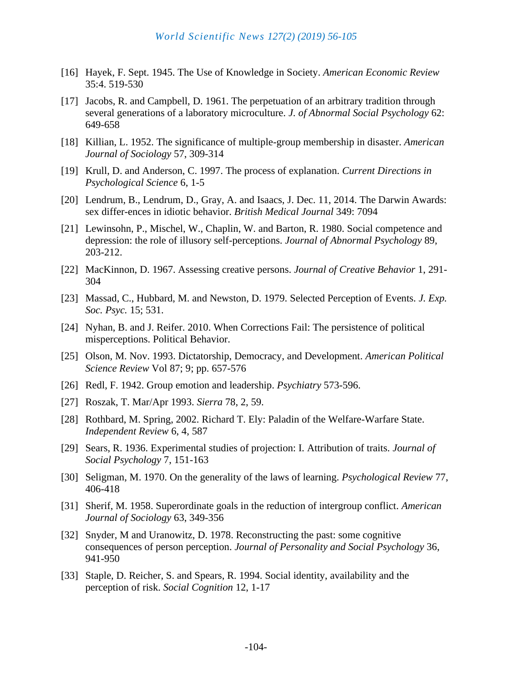- [16] Hayek, F. Sept. 1945. The Use of Knowledge in Society. *American Economic Review* 35:4. 519-530
- [17] Jacobs, R. and Campbell, D. 1961. The perpetuation of an arbitrary tradition through several generations of a laboratory microculture. *J. of Abnormal Social Psychology* 62: 649-658
- [18] Killian, L. 1952. The significance of multiple-group membership in disaster. *American Journal of Sociology* 57, 309-314
- [19] Krull, D. and Anderson, C. 1997. The process of explanation. *Current Directions in Psychological Science* 6, 1-5
- [20] Lendrum, B., Lendrum, D., Gray, A. and Isaacs, J. Dec. 11, 2014. The Darwin Awards: sex differ-ences in idiotic behavior. *British Medical Journal* 349: 7094
- [21] Lewinsohn, P., Mischel, W., Chaplin, W. and Barton, R. 1980. Social competence and depression: the role of illusory self-perceptions. *Journal of Abnormal Psychology* 89, 203-212.
- [22] MacKinnon, D. 1967. Assessing creative persons. *Journal of Creative Behavior* 1, 291- 304
- [23] Massad, C., Hubbard, M. and Newston, D. 1979. Selected Perception of Events. *J. Exp. Soc. Psyc.* 15; 531.
- [24] Nyhan, B. and J. Reifer. 2010. When Corrections Fail: The persistence of political misperceptions. Political Behavior.
- [25] Olson, M. Nov. 1993. Dictatorship, Democracy, and Development. *American Political Science Review* Vol 87; 9; pp. 657-576
- [26] Redl, F. 1942. Group emotion and leadership. *Psychiatry* 573-596.
- [27] Roszak, T. Mar/Apr 1993. *Sierra* 78, 2, 59.
- [28] Rothbard, M. Spring, 2002. Richard T. Ely: Paladin of the Welfare-Warfare State. *Independent Review* 6, 4, 587
- [29] Sears, R. 1936. Experimental studies of projection: I. Attribution of traits. *Journal of Social Psychology* 7, 151-163
- [30] Seligman, M. 1970. On the generality of the laws of learning. *Psychological Review* 77, 406-418
- [31] Sherif, M. 1958. Superordinate goals in the reduction of intergroup conflict. *American Journal of Sociology* 63, 349-356
- [32] Snyder, M and Uranowitz, D. 1978. Reconstructing the past: some cognitive consequences of person perception. *Journal of Personality and Social Psychology* 36, 941-950
- [33] Staple, D. Reicher, S. and Spears, R. 1994. Social identity, availability and the perception of risk. *Social Cognition* 12, 1-17